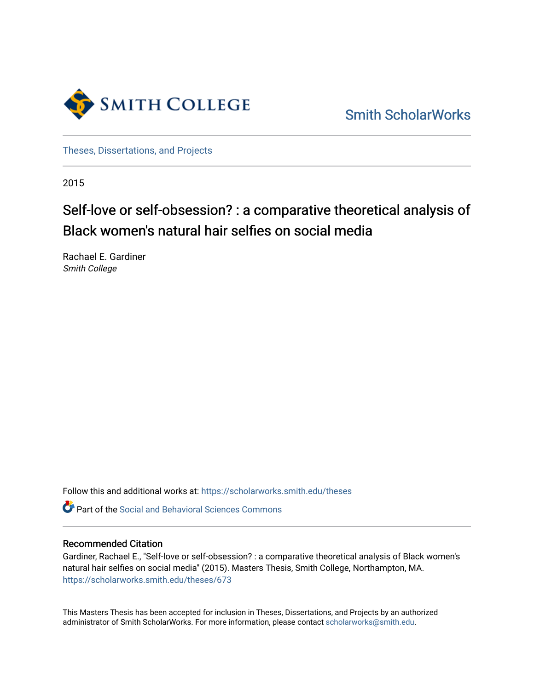

[Smith ScholarWorks](https://scholarworks.smith.edu/) 

[Theses, Dissertations, and Projects](https://scholarworks.smith.edu/theses) 

2015

# Self-love or self-obsession? : a comparative theoretical analysis of Black women's natural hair selfies on social media

Rachael E. Gardiner Smith College

Follow this and additional works at: [https://scholarworks.smith.edu/theses](https://scholarworks.smith.edu/theses?utm_source=scholarworks.smith.edu%2Ftheses%2F673&utm_medium=PDF&utm_campaign=PDFCoverPages) 

Part of the [Social and Behavioral Sciences Commons](http://network.bepress.com/hgg/discipline/316?utm_source=scholarworks.smith.edu%2Ftheses%2F673&utm_medium=PDF&utm_campaign=PDFCoverPages) 

# Recommended Citation

Gardiner, Rachael E., "Self-love or self-obsession? : a comparative theoretical analysis of Black women's natural hair selfies on social media" (2015). Masters Thesis, Smith College, Northampton, MA. [https://scholarworks.smith.edu/theses/673](https://scholarworks.smith.edu/theses/673?utm_source=scholarworks.smith.edu%2Ftheses%2F673&utm_medium=PDF&utm_campaign=PDFCoverPages) 

This Masters Thesis has been accepted for inclusion in Theses, Dissertations, and Projects by an authorized administrator of Smith ScholarWorks. For more information, please contact [scholarworks@smith.edu](mailto:scholarworks@smith.edu).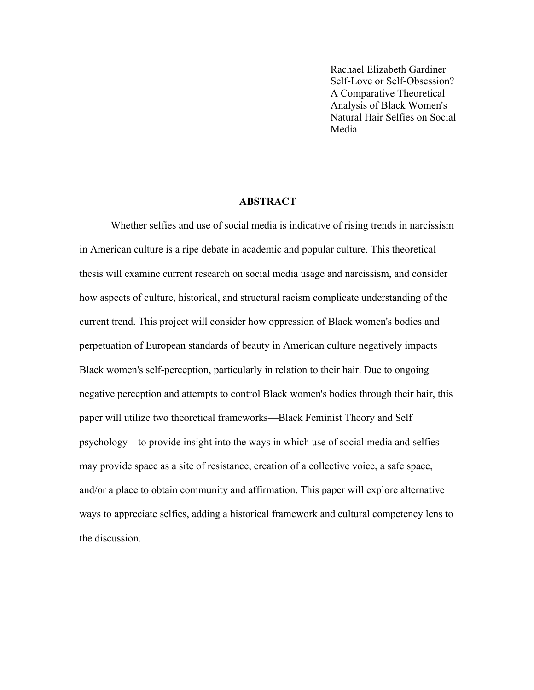Rachael Elizabeth Gardiner Self-Love or Self-Obsession? A Comparative Theoretical Analysis of Black Women's Natural Hair Selfies on Social Media

# **ABSTRACT**

Whether selfies and use of social media is indicative of rising trends in narcissism in American culture is a ripe debate in academic and popular culture. This theoretical thesis will examine current research on social media usage and narcissism, and consider how aspects of culture, historical, and structural racism complicate understanding of the current trend. This project will consider how oppression of Black women's bodies and perpetuation of European standards of beauty in American culture negatively impacts Black women's self-perception, particularly in relation to their hair. Due to ongoing negative perception and attempts to control Black women's bodies through their hair, this paper will utilize two theoretical frameworks—Black Feminist Theory and Self psychology—to provide insight into the ways in which use of social media and selfies may provide space as a site of resistance, creation of a collective voice, a safe space, and/or a place to obtain community and affirmation. This paper will explore alternative ways to appreciate selfies, adding a historical framework and cultural competency lens to the discussion.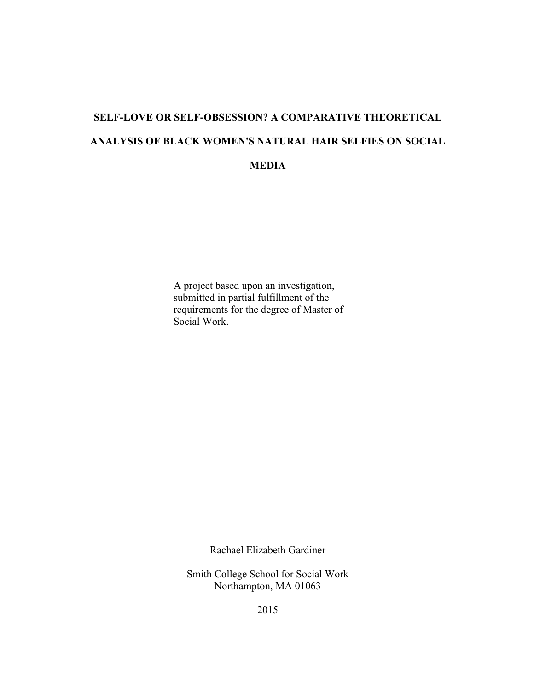# **SELF-LOVE OR SELF-OBSESSION? A COMPARATIVE THEORETICAL ANALYSIS OF BLACK WOMEN'S NATURAL HAIR SELFIES ON SOCIAL MEDIA**

A project based upon an investigation, submitted in partial fulfillment of the requirements for the degree of Master of Social Work.

Rachael Elizabeth Gardiner

Smith College School for Social Work Northampton, MA 01063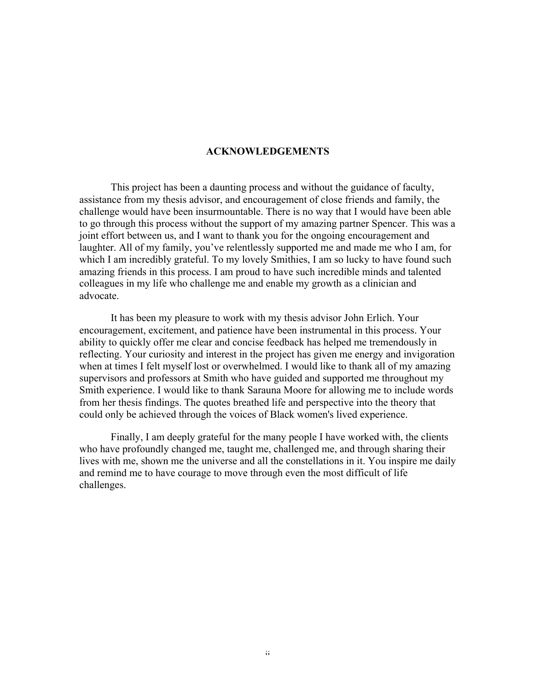# **ACKNOWLEDGEMENTS**

This project has been a daunting process and without the guidance of faculty, assistance from my thesis advisor, and encouragement of close friends and family, the challenge would have been insurmountable. There is no way that I would have been able to go through this process without the support of my amazing partner Spencer. This was a joint effort between us, and I want to thank you for the ongoing encouragement and laughter. All of my family, you've relentlessly supported me and made me who I am, for which I am incredibly grateful. To my lovely Smithies, I am so lucky to have found such amazing friends in this process. I am proud to have such incredible minds and talented colleagues in my life who challenge me and enable my growth as a clinician and advocate.

It has been my pleasure to work with my thesis advisor John Erlich. Your encouragement, excitement, and patience have been instrumental in this process. Your ability to quickly offer me clear and concise feedback has helped me tremendously in reflecting. Your curiosity and interest in the project has given me energy and invigoration when at times I felt myself lost or overwhelmed. I would like to thank all of my amazing supervisors and professors at Smith who have guided and supported me throughout my Smith experience. I would like to thank Sarauna Moore for allowing me to include words from her thesis findings. The quotes breathed life and perspective into the theory that could only be achieved through the voices of Black women's lived experience.

Finally, I am deeply grateful for the many people I have worked with, the clients who have profoundly changed me, taught me, challenged me, and through sharing their lives with me, shown me the universe and all the constellations in it. You inspire me daily and remind me to have courage to move through even the most difficult of life challenges.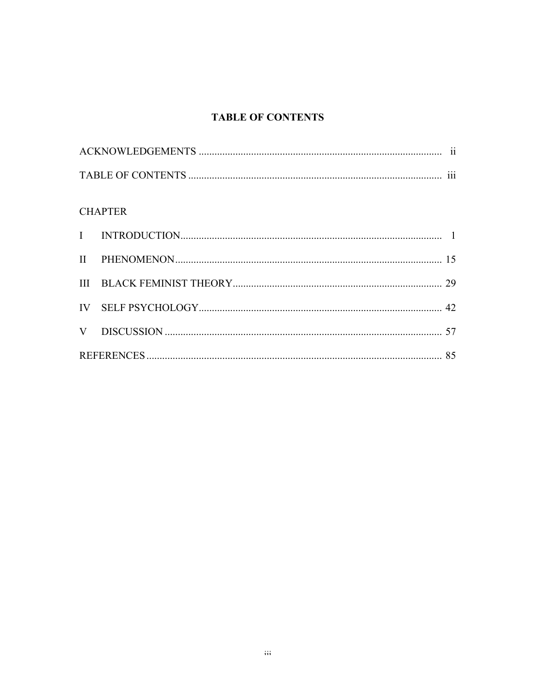# **TABLE OF CONTENTS**

| $\cdots$ |
|----------|

# **CHAPTER**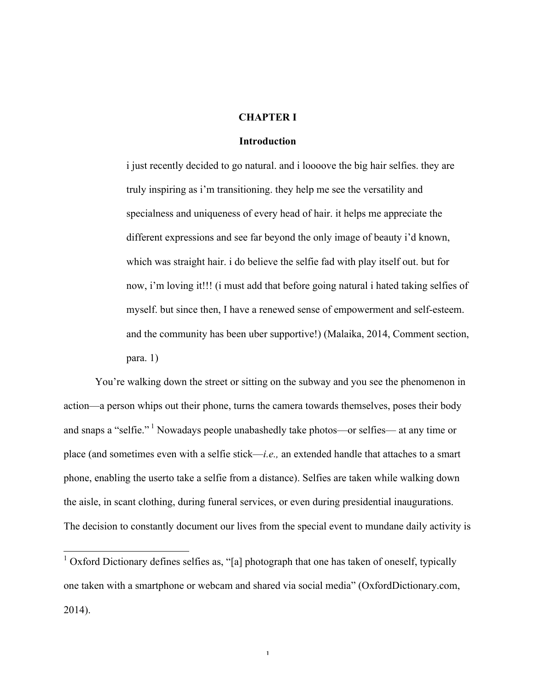# **CHAPTER I**

#### **Introduction**

i just recently decided to go natural. and i loooove the big hair selfies. they are truly inspiring as i'm transitioning. they help me see the versatility and specialness and uniqueness of every head of hair. it helps me appreciate the different expressions and see far beyond the only image of beauty i'd known, which was straight hair. i do believe the selfie fad with play itself out. but for now, i'm loving it!!! (i must add that before going natural i hated taking selfies of myself. but since then, I have a renewed sense of empowerment and self-esteem. and the community has been uber supportive!) (Malaika, 2014, Comment section, para. 1)

You're walking down the street or sitting on the subway and you see the phenomenon in action—a person whips out their phone, turns the camera towards themselves, poses their body and snaps a "selfie." <sup>1</sup> Nowadays people unabashedly take photos—or selfies— at any time or place (and sometimes even with a selfie stick—*i.e.,* an extended handle that attaches to a smart phone, enabling the userto take a selfie from a distance). Selfies are taken while walking down the aisle, in scant clothing, during funeral services, or even during presidential inaugurations. The decision to constantly document our lives from the special event to mundane daily activity is

<sup>&</sup>lt;sup>1</sup> Oxford Dictionary defines selfies as, "[a] photograph that one has taken of oneself, typically one taken with a smartphone or webcam and shared via social media" (OxfordDictionary.com, 2014).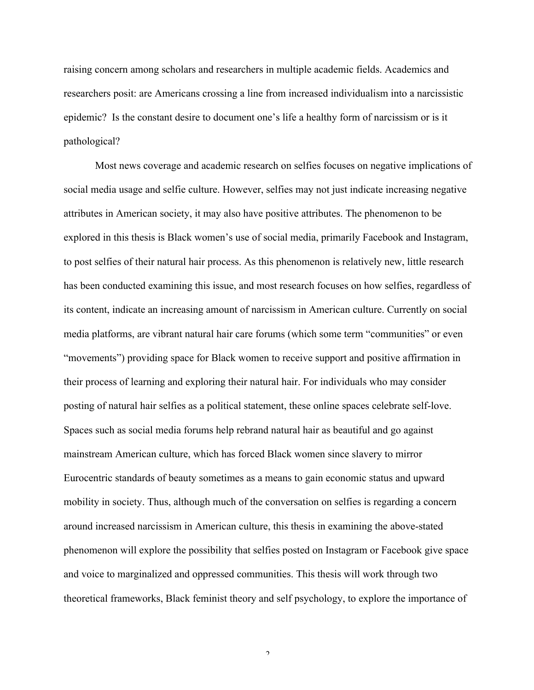raising concern among scholars and researchers in multiple academic fields. Academics and researchers posit: are Americans crossing a line from increased individualism into a narcissistic epidemic? Is the constant desire to document one's life a healthy form of narcissism or is it pathological?

Most news coverage and academic research on selfies focuses on negative implications of social media usage and selfie culture. However, selfies may not just indicate increasing negative attributes in American society, it may also have positive attributes. The phenomenon to be explored in this thesis is Black women's use of social media, primarily Facebook and Instagram, to post selfies of their natural hair process. As this phenomenon is relatively new, little research has been conducted examining this issue, and most research focuses on how selfies, regardless of its content, indicate an increasing amount of narcissism in American culture. Currently on social media platforms, are vibrant natural hair care forums (which some term "communities" or even "movements") providing space for Black women to receive support and positive affirmation in their process of learning and exploring their natural hair. For individuals who may consider posting of natural hair selfies as a political statement, these online spaces celebrate self-love. Spaces such as social media forums help rebrand natural hair as beautiful and go against mainstream American culture, which has forced Black women since slavery to mirror Eurocentric standards of beauty sometimes as a means to gain economic status and upward mobility in society. Thus, although much of the conversation on selfies is regarding a concern around increased narcissism in American culture, this thesis in examining the above-stated phenomenon will explore the possibility that selfies posted on Instagram or Facebook give space and voice to marginalized and oppressed communities. This thesis will work through two theoretical frameworks, Black feminist theory and self psychology, to explore the importance of

 $\gamma$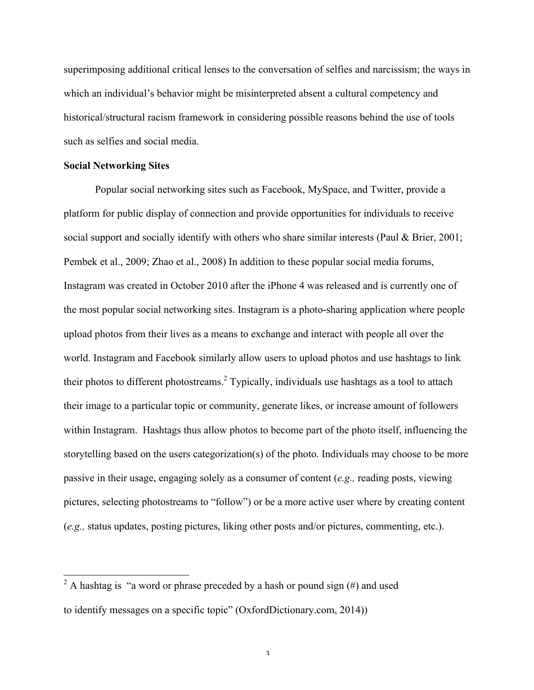superimposing additional critical lenses to the conversation of selfies and narcissism; the ways in which an individual's behavior might be misinterpreted absent a cultural competency and historical/structural racism framework in considering possible reasons behind the use of tools such as selfies and social media.

# **Social Networking Sites**

Popular social networking sites such as Facebook, MySpace, and Twitter, provide a platform for public display of connection and provide opportunities for individuals to receive social support and socially identify with others who share similar interests (Paul & Brier, 2001; Pembek et al., 2009; Zhao et al., 2008) In addition to these popular social media forums, Instagram was created in October 2010 after the iPhone 4 was released and is currently one of the most popular social networking sites. Instagram is a photo-sharing application where people upload photos from their lives as a means to exchange and interact with people all over the world. Instagram and Facebook similarly allow users to upload photos and use hashtags to link their photos to different photostreams. <sup>2</sup> Typically, individuals use hashtags as a tool to attach their image to a particular topic or community, generate likes, or increase amount of followers within Instagram. Hashtags thus allow photos to become part of the photo itself, influencing the storytelling based on the users categorization(s) of the photo. Individuals may choose to be more passive in their usage, engaging solely as a consumer of content (*e.g.,* reading posts, viewing pictures, selecting photostreams to "follow") or be a more active user where by creating content (*e.g.,* status updates, posting pictures, liking other posts and/or pictures, commenting, etc.).

<sup>&</sup>lt;sup>2</sup> A hashtag is "a word or phrase preceded by a hash or pound sign  $(\#)$  and used to identify messages on a specific topic" (OxfordDictionary.com, 2014))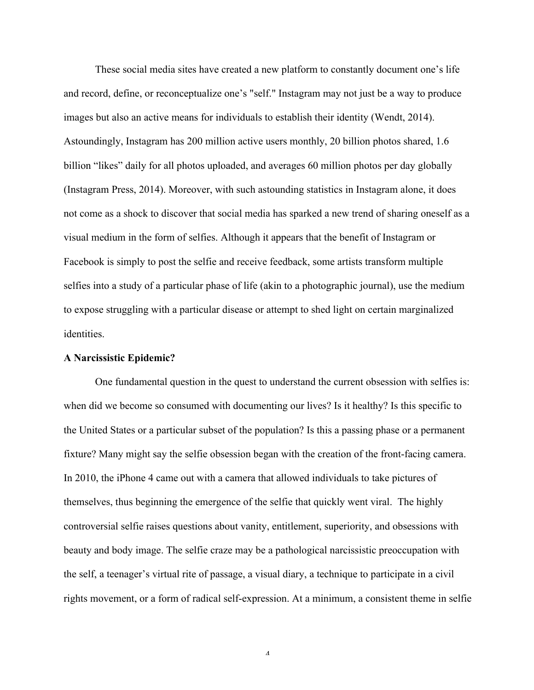These social media sites have created a new platform to constantly document one's life and record, define, or reconceptualize one's "self." Instagram may not just be a way to produce images but also an active means for individuals to establish their identity (Wendt, 2014). Astoundingly, Instagram has 200 million active users monthly, 20 billion photos shared, 1.6 billion "likes" daily for all photos uploaded, and averages 60 million photos per day globally (Instagram Press, 2014). Moreover, with such astounding statistics in Instagram alone, it does not come as a shock to discover that social media has sparked a new trend of sharing oneself as a visual medium in the form of selfies. Although it appears that the benefit of Instagram or Facebook is simply to post the selfie and receive feedback, some artists transform multiple selfies into a study of a particular phase of life (akin to a photographic journal), use the medium to expose struggling with a particular disease or attempt to shed light on certain marginalized identities.

# **A Narcissistic Epidemic?**

One fundamental question in the quest to understand the current obsession with selfies is: when did we become so consumed with documenting our lives? Is it healthy? Is this specific to the United States or a particular subset of the population? Is this a passing phase or a permanent fixture? Many might say the selfie obsession began with the creation of the front-facing camera. In 2010, the iPhone 4 came out with a camera that allowed individuals to take pictures of themselves, thus beginning the emergence of the selfie that quickly went viral. The highly controversial selfie raises questions about vanity, entitlement, superiority, and obsessions with beauty and body image. The selfie craze may be a pathological narcissistic preoccupation with the self, a teenager's virtual rite of passage, a visual diary, a technique to participate in a civil rights movement, or a form of radical self-expression. At a minimum, a consistent theme in selfie

 $\boldsymbol{\Lambda}$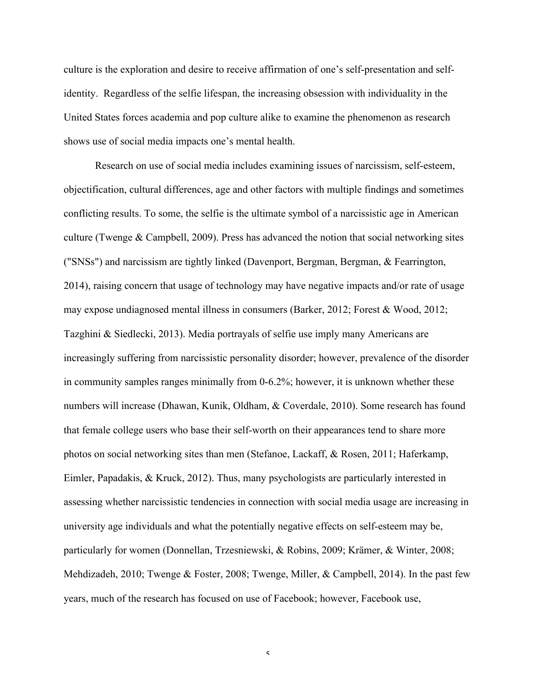culture is the exploration and desire to receive affirmation of one's self-presentation and selfidentity. Regardless of the selfie lifespan, the increasing obsession with individuality in the United States forces academia and pop culture alike to examine the phenomenon as research shows use of social media impacts one's mental health.

Research on use of social media includes examining issues of narcissism, self-esteem, objectification, cultural differences, age and other factors with multiple findings and sometimes conflicting results. To some, the selfie is the ultimate symbol of a narcissistic age in American culture (Twenge & Campbell, 2009). Press has advanced the notion that social networking sites ("SNSs") and narcissism are tightly linked (Davenport, Bergman, Bergman, & Fearrington, 2014), raising concern that usage of technology may have negative impacts and/or rate of usage may expose undiagnosed mental illness in consumers (Barker, 2012; Forest & Wood, 2012; Tazghini & Siedlecki, 2013). Media portrayals of selfie use imply many Americans are increasingly suffering from narcissistic personality disorder; however, prevalence of the disorder in community samples ranges minimally from 0-6.2%; however, it is unknown whether these numbers will increase (Dhawan, Kunik, Oldham, & Coverdale, 2010). Some research has found that female college users who base their self-worth on their appearances tend to share more photos on social networking sites than men (Stefanoe, Lackaff, & Rosen, 2011; Haferkamp, Eimler, Papadakis, & Kruck, 2012). Thus, many psychologists are particularly interested in assessing whether narcissistic tendencies in connection with social media usage are increasing in university age individuals and what the potentially negative effects on self-esteem may be, particularly for women (Donnellan, Trzesniewski, & Robins, 2009; Krämer, & Winter, 2008; Mehdizadeh, 2010; Twenge & Foster, 2008; Twenge, Miller, & Campbell, 2014). In the past few years, much of the research has focused on use of Facebook; however, Facebook use,

 $\varsigma$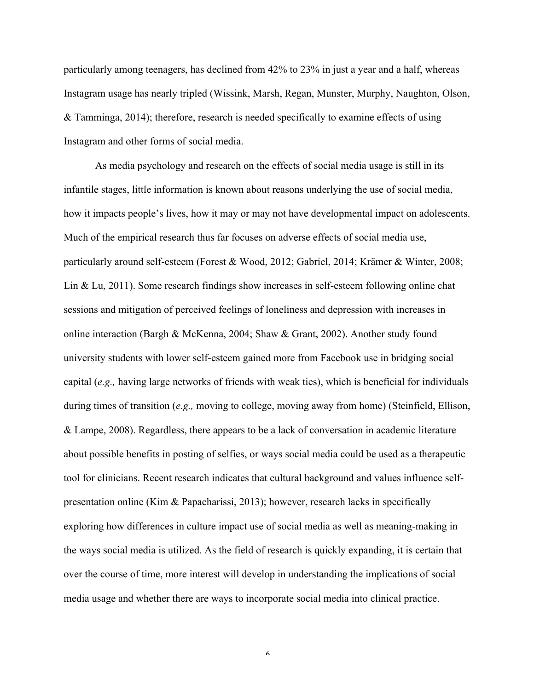particularly among teenagers, has declined from 42% to 23% in just a year and a half, whereas Instagram usage has nearly tripled (Wissink, Marsh, Regan, Munster, Murphy, Naughton, Olson, & Tamminga, 2014); therefore, research is needed specifically to examine effects of using Instagram and other forms of social media.

As media psychology and research on the effects of social media usage is still in its infantile stages, little information is known about reasons underlying the use of social media, how it impacts people's lives, how it may or may not have developmental impact on adolescents. Much of the empirical research thus far focuses on adverse effects of social media use, particularly around self-esteem (Forest & Wood, 2012; Gabriel, 2014; Krämer & Winter, 2008; Lin & Lu, 2011). Some research findings show increases in self-esteem following online chat sessions and mitigation of perceived feelings of loneliness and depression with increases in online interaction (Bargh & McKenna, 2004; Shaw & Grant, 2002). Another study found university students with lower self-esteem gained more from Facebook use in bridging social capital (*e.g.,* having large networks of friends with weak ties), which is beneficial for individuals during times of transition (*e.g.,* moving to college, moving away from home) (Steinfield, Ellison, & Lampe, 2008). Regardless, there appears to be a lack of conversation in academic literature about possible benefits in posting of selfies, or ways social media could be used as a therapeutic tool for clinicians. Recent research indicates that cultural background and values influence selfpresentation online (Kim & Papacharissi, 2013); however, research lacks in specifically exploring how differences in culture impact use of social media as well as meaning-making in the ways social media is utilized. As the field of research is quickly expanding, it is certain that over the course of time, more interest will develop in understanding the implications of social media usage and whether there are ways to incorporate social media into clinical practice.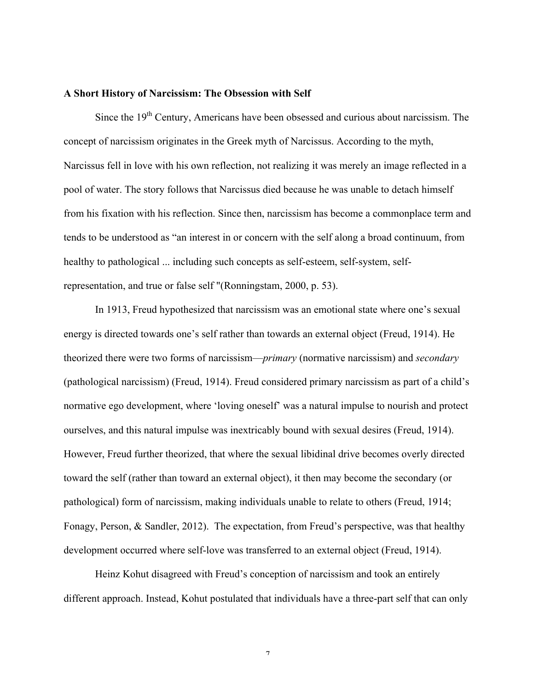#### **A Short History of Narcissism: The Obsession with Self**

Since the  $19<sup>th</sup>$  Century, Americans have been obsessed and curious about narcissism. The concept of narcissism originates in the Greek myth of Narcissus. According to the myth, Narcissus fell in love with his own reflection, not realizing it was merely an image reflected in a pool of water. The story follows that Narcissus died because he was unable to detach himself from his fixation with his reflection. Since then, narcissism has become a commonplace term and tends to be understood as "an interest in or concern with the self along a broad continuum, from healthy to pathological ... including such concepts as self-esteem, self-system, selfrepresentation, and true or false self "(Ronningstam, 2000, p. 53).

In 1913, Freud hypothesized that narcissism was an emotional state where one's sexual energy is directed towards one's self rather than towards an external object (Freud, 1914). He theorized there were two forms of narcissism—*primary* (normative narcissism) and *secondary* (pathological narcissism) (Freud, 1914). Freud considered primary narcissism as part of a child's normative ego development, where 'loving oneself' was a natural impulse to nourish and protect ourselves, and this natural impulse was inextricably bound with sexual desires (Freud, 1914). However, Freud further theorized, that where the sexual libidinal drive becomes overly directed toward the self (rather than toward an external object), it then may become the secondary (or pathological) form of narcissism, making individuals unable to relate to others (Freud, 1914; Fonagy, Person, & Sandler, 2012). The expectation, from Freud's perspective, was that healthy development occurred where self-love was transferred to an external object (Freud, 1914).

Heinz Kohut disagreed with Freud's conception of narcissism and took an entirely different approach. Instead, Kohut postulated that individuals have a three-part self that can only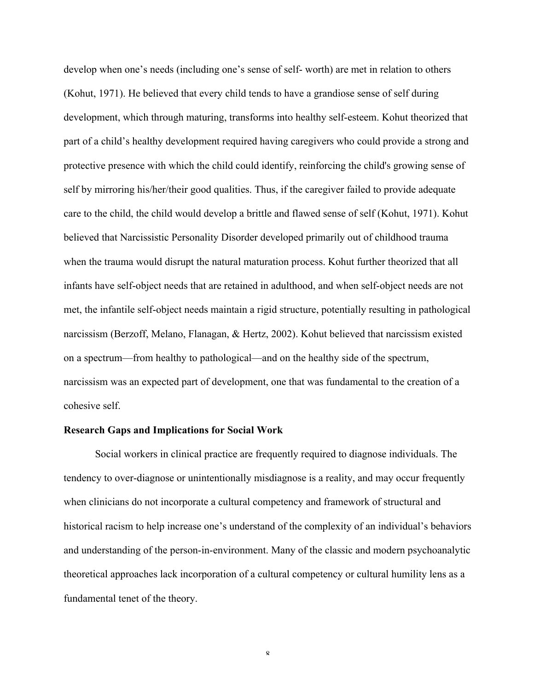develop when one's needs (including one's sense of self- worth) are met in relation to others (Kohut, 1971). He believed that every child tends to have a grandiose sense of self during development, which through maturing, transforms into healthy self-esteem. Kohut theorized that part of a child's healthy development required having caregivers who could provide a strong and protective presence with which the child could identify, reinforcing the child's growing sense of self by mirroring his/her/their good qualities. Thus, if the caregiver failed to provide adequate care to the child, the child would develop a brittle and flawed sense of self (Kohut, 1971). Kohut believed that Narcissistic Personality Disorder developed primarily out of childhood trauma when the trauma would disrupt the natural maturation process. Kohut further theorized that all infants have self-object needs that are retained in adulthood, and when self-object needs are not met, the infantile self-object needs maintain a rigid structure, potentially resulting in pathological narcissism (Berzoff, Melano, Flanagan, & Hertz, 2002). Kohut believed that narcissism existed on a spectrum—from healthy to pathological—and on the healthy side of the spectrum, narcissism was an expected part of development, one that was fundamental to the creation of a cohesive self.

## **Research Gaps and Implications for Social Work**

Social workers in clinical practice are frequently required to diagnose individuals. The tendency to over-diagnose or unintentionally misdiagnose is a reality, and may occur frequently when clinicians do not incorporate a cultural competency and framework of structural and historical racism to help increase one's understand of the complexity of an individual's behaviors and understanding of the person-in-environment. Many of the classic and modern psychoanalytic theoretical approaches lack incorporation of a cultural competency or cultural humility lens as a fundamental tenet of the theory.

 $\pmb{\mathsf{Q}}$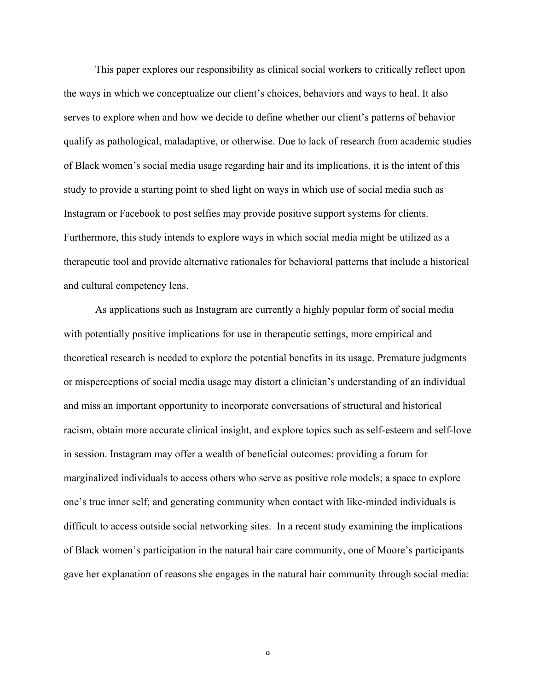This paper explores our responsibility as clinical social workers to critically reflect upon the ways in which we conceptualize our client's choices, behaviors and ways to heal. It also serves to explore when and how we decide to define whether our client's patterns of behavior qualify as pathological, maladaptive, or otherwise. Due to lack of research from academic studies of Black women's social media usage regarding hair and its implications, it is the intent of this study to provide a starting point to shed light on ways in which use of social media such as Instagram or Facebook to post selfies may provide positive support systems for clients. Furthermore, this study intends to explore ways in which social media might be utilized as a therapeutic tool and provide alternative rationales for behavioral patterns that include a historical and cultural competency lens.

As applications such as Instagram are currently a highly popular form of social media with potentially positive implications for use in therapeutic settings, more empirical and theoretical research is needed to explore the potential benefits in its usage. Premature judgments or misperceptions of social media usage may distort a clinician's understanding of an individual and miss an important opportunity to incorporate conversations of structural and historical racism, obtain more accurate clinical insight, and explore topics such as self-esteem and self-love in session. Instagram may offer a wealth of beneficial outcomes: providing a forum for marginalized individuals to access others who serve as positive role models; a space to explore one's true inner self; and generating community when contact with like-minded individuals is difficult to access outside social networking sites. In a recent study examining the implications of Black women's participation in the natural hair care community, one of Moore's participants gave her explanation of reasons she engages in the natural hair community through social media:

 $\Omega$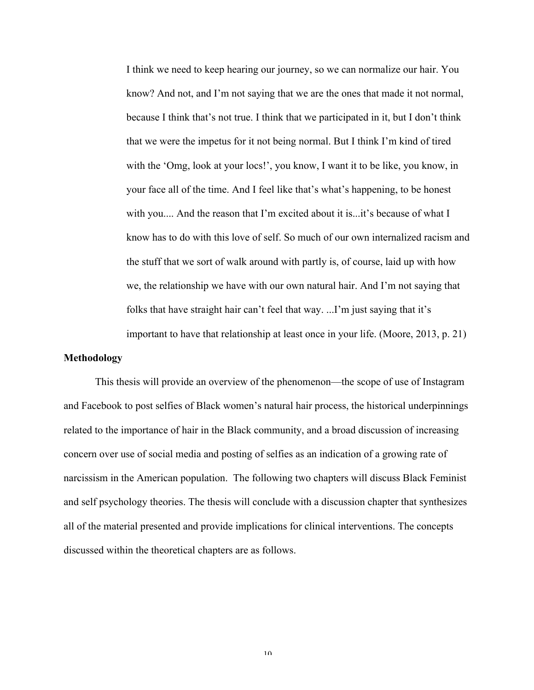I think we need to keep hearing our journey, so we can normalize our hair. You know? And not, and I'm not saying that we are the ones that made it not normal, because I think that's not true. I think that we participated in it, but I don't think that we were the impetus for it not being normal. But I think I'm kind of tired with the 'Omg, look at your locs!', you know, I want it to be like, you know, in your face all of the time. And I feel like that's what's happening, to be honest with you.... And the reason that I'm excited about it is...it's because of what I know has to do with this love of self. So much of our own internalized racism and the stuff that we sort of walk around with partly is, of course, laid up with how we, the relationship we have with our own natural hair. And I'm not saying that folks that have straight hair can't feel that way. ...I'm just saying that it's important to have that relationship at least once in your life. (Moore, 2013, p. 21)

# **Methodology**

This thesis will provide an overview of the phenomenon—the scope of use of Instagram and Facebook to post selfies of Black women's natural hair process, the historical underpinnings related to the importance of hair in the Black community, and a broad discussion of increasing concern over use of social media and posting of selfies as an indication of a growing rate of narcissism in the American population. The following two chapters will discuss Black Feminist and self psychology theories. The thesis will conclude with a discussion chapter that synthesizes all of the material presented and provide implications for clinical interventions. The concepts discussed within the theoretical chapters are as follows.

 $1<sub>0</sub>$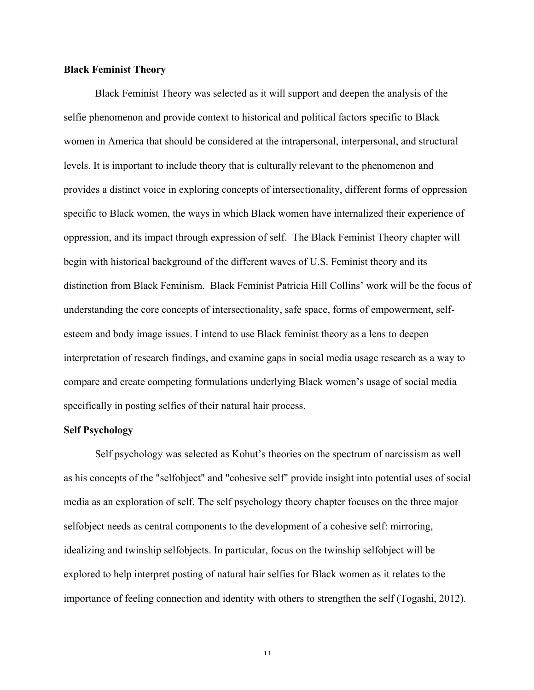#### **Black Feminist Theory**

Black Feminist Theory was selected as it will support and deepen the analysis of the selfie phenomenon and provide context to historical and political factors specific to Black women in America that should be considered at the intrapersonal, interpersonal, and structural levels. It is important to include theory that is culturally relevant to the phenomenon and provides a distinct voice in exploring concepts of intersectionality, different forms of oppression specific to Black women, the ways in which Black women have internalized their experience of oppression, and its impact through expression of self. The Black Feminist Theory chapter will begin with historical background of the different waves of U.S. Feminist theory and its distinction from Black Feminism. Black Feminist Patricia Hill Collins' work will be the focus of understanding the core concepts of intersectionality, safe space, forms of empowerment, selfesteem and body image issues. I intend to use Black feminist theory as a lens to deepen interpretation of research findings, and examine gaps in social media usage research as a way to compare and create competing formulations underlying Black women's usage of social media specifically in posting selfies of their natural hair process.

## **Self Psychology**

Self psychology was selected as Kohut's theories on the spectrum of narcissism as well as his concepts of the "selfobject" and "cohesive self" provide insight into potential uses of social media as an exploration of self. The self psychology theory chapter focuses on the three major selfobject needs as central components to the development of a cohesive self: mirroring, idealizing and twinship selfobjects. In particular, focus on the twinship selfobject will be explored to help interpret posting of natural hair selfies for Black women as it relates to the importance of feeling connection and identity with others to strengthen the self (Togashi, 2012).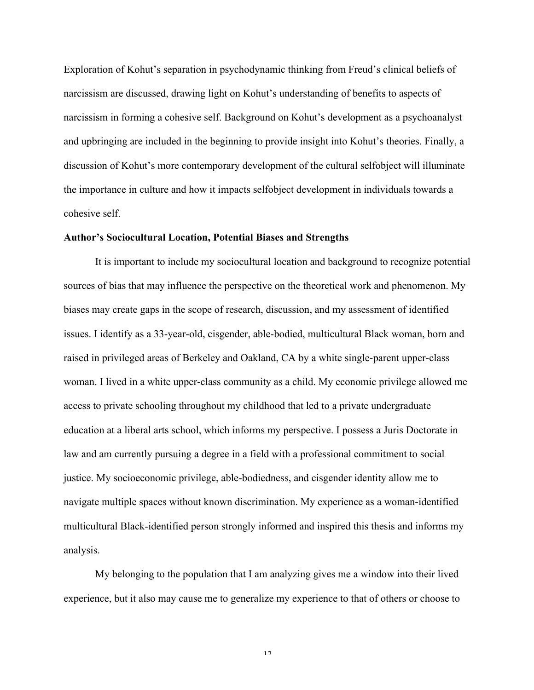Exploration of Kohut's separation in psychodynamic thinking from Freud's clinical beliefs of narcissism are discussed, drawing light on Kohut's understanding of benefits to aspects of narcissism in forming a cohesive self. Background on Kohut's development as a psychoanalyst and upbringing are included in the beginning to provide insight into Kohut's theories. Finally, a discussion of Kohut's more contemporary development of the cultural selfobject will illuminate the importance in culture and how it impacts selfobject development in individuals towards a cohesive self.

#### **Author's Sociocultural Location, Potential Biases and Strengths**

It is important to include my sociocultural location and background to recognize potential sources of bias that may influence the perspective on the theoretical work and phenomenon. My biases may create gaps in the scope of research, discussion, and my assessment of identified issues. I identify as a 33-year-old, cisgender, able-bodied, multicultural Black woman, born and raised in privileged areas of Berkeley and Oakland, CA by a white single-parent upper-class woman. I lived in a white upper-class community as a child. My economic privilege allowed me access to private schooling throughout my childhood that led to a private undergraduate education at a liberal arts school, which informs my perspective. I possess a Juris Doctorate in law and am currently pursuing a degree in a field with a professional commitment to social justice. My socioeconomic privilege, able-bodiedness, and cisgender identity allow me to navigate multiple spaces without known discrimination. My experience as a woman-identified multicultural Black-identified person strongly informed and inspired this thesis and informs my analysis.

My belonging to the population that I am analyzing gives me a window into their lived experience, but it also may cause me to generalize my experience to that of others or choose to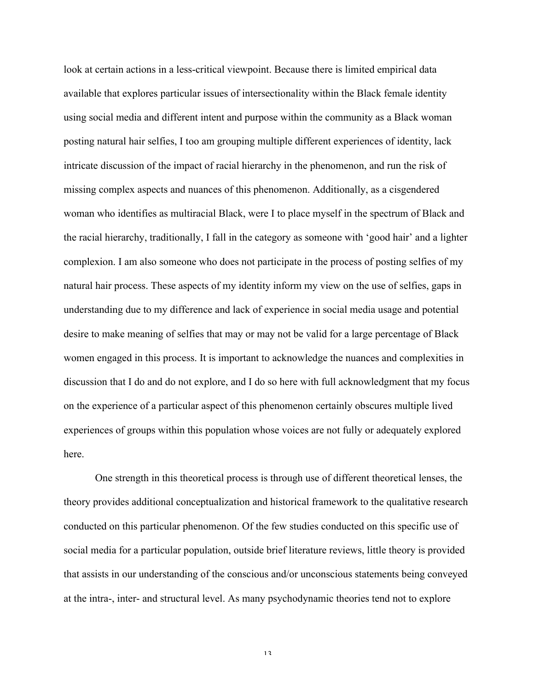look at certain actions in a less-critical viewpoint. Because there is limited empirical data available that explores particular issues of intersectionality within the Black female identity using social media and different intent and purpose within the community as a Black woman posting natural hair selfies, I too am grouping multiple different experiences of identity, lack intricate discussion of the impact of racial hierarchy in the phenomenon, and run the risk of missing complex aspects and nuances of this phenomenon. Additionally, as a cisgendered woman who identifies as multiracial Black, were I to place myself in the spectrum of Black and the racial hierarchy, traditionally, I fall in the category as someone with 'good hair' and a lighter complexion. I am also someone who does not participate in the process of posting selfies of my natural hair process. These aspects of my identity inform my view on the use of selfies, gaps in understanding due to my difference and lack of experience in social media usage and potential desire to make meaning of selfies that may or may not be valid for a large percentage of Black women engaged in this process. It is important to acknowledge the nuances and complexities in discussion that I do and do not explore, and I do so here with full acknowledgment that my focus on the experience of a particular aspect of this phenomenon certainly obscures multiple lived experiences of groups within this population whose voices are not fully or adequately explored here.

One strength in this theoretical process is through use of different theoretical lenses, the theory provides additional conceptualization and historical framework to the qualitative research conducted on this particular phenomenon. Of the few studies conducted on this specific use of social media for a particular population, outside brief literature reviews, little theory is provided that assists in our understanding of the conscious and/or unconscious statements being conveyed at the intra-, inter- and structural level. As many psychodynamic theories tend not to explore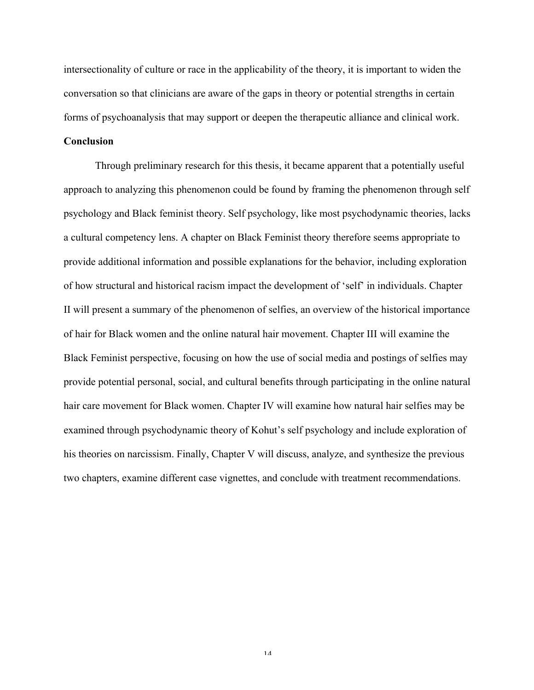intersectionality of culture or race in the applicability of the theory, it is important to widen the conversation so that clinicians are aware of the gaps in theory or potential strengths in certain forms of psychoanalysis that may support or deepen the therapeutic alliance and clinical work.

# **Conclusion**

Through preliminary research for this thesis, it became apparent that a potentially useful approach to analyzing this phenomenon could be found by framing the phenomenon through self psychology and Black feminist theory. Self psychology, like most psychodynamic theories, lacks a cultural competency lens. A chapter on Black Feminist theory therefore seems appropriate to provide additional information and possible explanations for the behavior, including exploration of how structural and historical racism impact the development of 'self' in individuals. Chapter II will present a summary of the phenomenon of selfies, an overview of the historical importance of hair for Black women and the online natural hair movement. Chapter III will examine the Black Feminist perspective, focusing on how the use of social media and postings of selfies may provide potential personal, social, and cultural benefits through participating in the online natural hair care movement for Black women. Chapter IV will examine how natural hair selfies may be examined through psychodynamic theory of Kohut's self psychology and include exploration of his theories on narcissism. Finally, Chapter V will discuss, analyze, and synthesize the previous two chapters, examine different case vignettes, and conclude with treatment recommendations.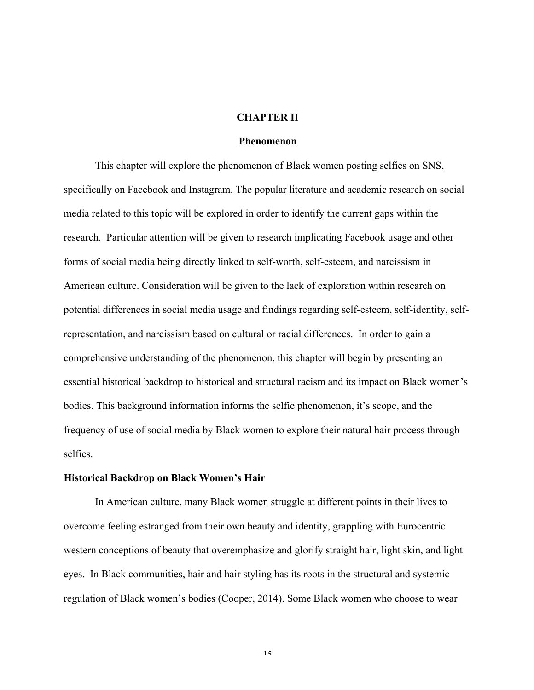#### **CHAPTER II**

#### **Phenomenon**

This chapter will explore the phenomenon of Black women posting selfies on SNS, specifically on Facebook and Instagram. The popular literature and academic research on social media related to this topic will be explored in order to identify the current gaps within the research. Particular attention will be given to research implicating Facebook usage and other forms of social media being directly linked to self-worth, self-esteem, and narcissism in American culture. Consideration will be given to the lack of exploration within research on potential differences in social media usage and findings regarding self-esteem, self-identity, selfrepresentation, and narcissism based on cultural or racial differences. In order to gain a comprehensive understanding of the phenomenon, this chapter will begin by presenting an essential historical backdrop to historical and structural racism and its impact on Black women's bodies. This background information informs the selfie phenomenon, it's scope, and the frequency of use of social media by Black women to explore their natural hair process through selfies.

#### **Historical Backdrop on Black Women's Hair**

In American culture, many Black women struggle at different points in their lives to overcome feeling estranged from their own beauty and identity, grappling with Eurocentric western conceptions of beauty that overemphasize and glorify straight hair, light skin, and light eyes. In Black communities, hair and hair styling has its roots in the structural and systemic regulation of Black women's bodies (Cooper, 2014). Some Black women who choose to wear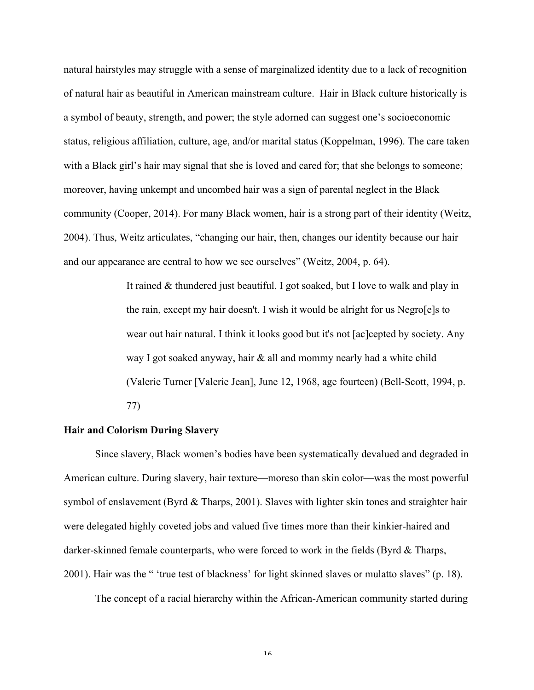natural hairstyles may struggle with a sense of marginalized identity due to a lack of recognition of natural hair as beautiful in American mainstream culture. Hair in Black culture historically is a symbol of beauty, strength, and power; the style adorned can suggest one's socioeconomic status, religious affiliation, culture, age, and/or marital status (Koppelman, 1996). The care taken with a Black girl's hair may signal that she is loved and cared for; that she belongs to someone; moreover, having unkempt and uncombed hair was a sign of parental neglect in the Black community (Cooper, 2014). For many Black women, hair is a strong part of their identity (Weitz, 2004). Thus, Weitz articulates, "changing our hair, then, changes our identity because our hair and our appearance are central to how we see ourselves" (Weitz, 2004, p. 64).

> It rained & thundered just beautiful. I got soaked, but I love to walk and play in the rain, except my hair doesn't. I wish it would be alright for us Negro[e]s to wear out hair natural. I think it looks good but it's not [ac]cepted by society. Any way I got soaked anyway, hair & all and mommy nearly had a white child (Valerie Turner [Valerie Jean], June 12, 1968, age fourteen) (Bell-Scott, 1994, p. 77)

# **Hair and Colorism During Slavery**

Since slavery, Black women's bodies have been systematically devalued and degraded in American culture. During slavery, hair texture—moreso than skin color—was the most powerful symbol of enslavement (Byrd & Tharps, 2001). Slaves with lighter skin tones and straighter hair were delegated highly coveted jobs and valued five times more than their kinkier-haired and darker-skinned female counterparts, who were forced to work in the fields (Byrd & Tharps, 2001). Hair was the " 'true test of blackness' for light skinned slaves or mulatto slaves" (p. 18).

The concept of a racial hierarchy within the African-American community started during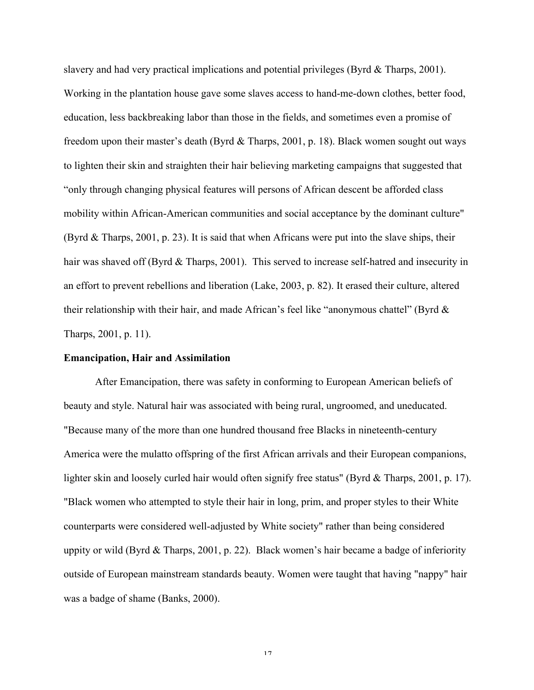slavery and had very practical implications and potential privileges (Byrd & Tharps, 2001). Working in the plantation house gave some slaves access to hand-me-down clothes, better food, education, less backbreaking labor than those in the fields, and sometimes even a promise of freedom upon their master's death (Byrd & Tharps, 2001, p. 18). Black women sought out ways to lighten their skin and straighten their hair believing marketing campaigns that suggested that "only through changing physical features will persons of African descent be afforded class mobility within African-American communities and social acceptance by the dominant culture" (Byrd & Tharps, 2001, p. 23). It is said that when Africans were put into the slave ships, their hair was shaved off (Byrd & Tharps, 2001). This served to increase self-hatred and insecurity in an effort to prevent rebellions and liberation (Lake, 2003, p. 82). It erased their culture, altered their relationship with their hair, and made African's feel like "anonymous chattel" (Byrd & Tharps, 2001, p. 11).

# **Emancipation, Hair and Assimilation**

After Emancipation, there was safety in conforming to European American beliefs of beauty and style. Natural hair was associated with being rural, ungroomed, and uneducated. "Because many of the more than one hundred thousand free Blacks in nineteenth-century America were the mulatto offspring of the first African arrivals and their European companions, lighter skin and loosely curled hair would often signify free status" (Byrd & Tharps, 2001, p. 17). "Black women who attempted to style their hair in long, prim, and proper styles to their White counterparts were considered well-adjusted by White society" rather than being considered uppity or wild (Byrd & Tharps, 2001, p. 22). Black women's hair became a badge of inferiority outside of European mainstream standards beauty. Women were taught that having "nappy" hair was a badge of shame (Banks, 2000).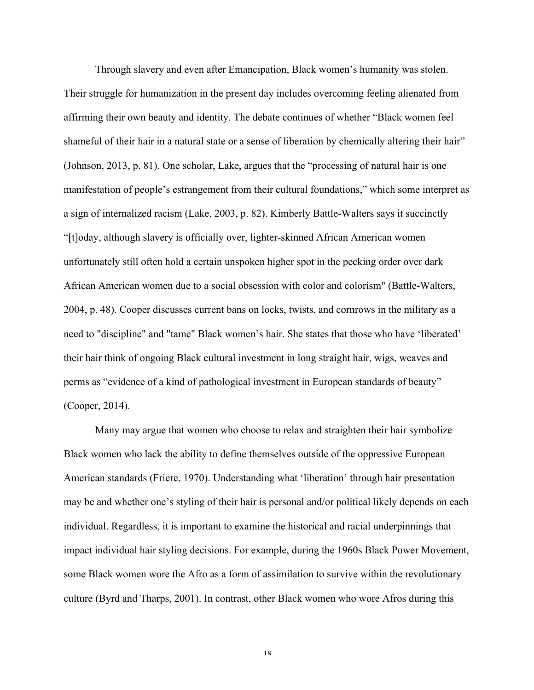Through slavery and even after Emancipation, Black women's humanity was stolen. Their struggle for humanization in the present day includes overcoming feeling alienated from affirming their own beauty and identity. The debate continues of whether "Black women feel shameful of their hair in a natural state or a sense of liberation by chemically altering their hair" (Johnson, 2013, p. 81). One scholar, Lake, argues that the "processing of natural hair is one manifestation of people's estrangement from their cultural foundations," which some interpret as a sign of internalized racism (Lake, 2003, p. 82). Kimberly Battle-Walters says it succinctly "[t]oday, although slavery is officially over, lighter-skinned African American women unfortunately still often hold a certain unspoken higher spot in the pecking order over dark African American women due to a social obsession with color and colorism" (Battle-Walters, 2004, p. 48). Cooper discusses current bans on locks, twists, and cornrows in the military as a need to "discipline" and "tame" Black women's hair. She states that those who have 'liberated' their hair think of ongoing Black cultural investment in long straight hair, wigs, weaves and perms as "evidence of a kind of pathological investment in European standards of beauty" (Cooper, 2014).

Many may argue that women who choose to relax and straighten their hair symbolize Black women who lack the ability to define themselves outside of the oppressive European American standards (Friere, 1970). Understanding what 'liberation' through hair presentation may be and whether one's styling of their hair is personal and/or political likely depends on each individual. Regardless, it is important to examine the historical and racial underpinnings that impact individual hair styling decisions. For example, during the 1960s Black Power Movement, some Black women wore the Afro as a form of assimilation to survive within the revolutionary culture (Byrd and Tharps, 2001). In contrast, other Black women who wore Afros during this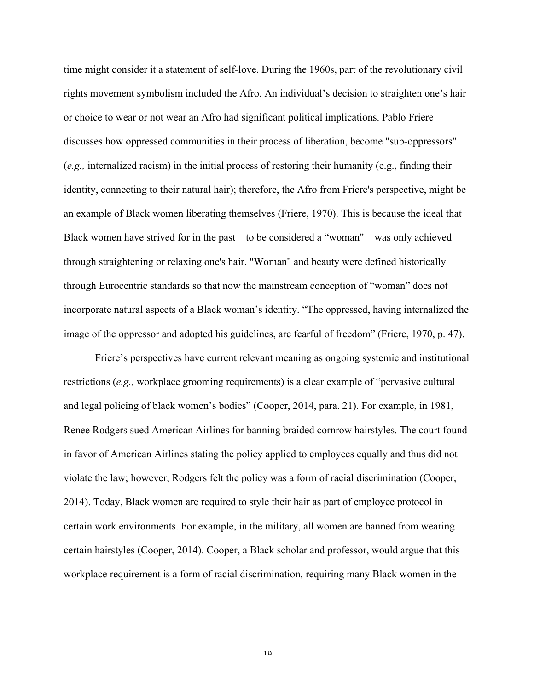time might consider it a statement of self-love. During the 1960s, part of the revolutionary civil rights movement symbolism included the Afro. An individual's decision to straighten one's hair or choice to wear or not wear an Afro had significant political implications. Pablo Friere discusses how oppressed communities in their process of liberation, become "sub-oppressors" (*e.g.,* internalized racism) in the initial process of restoring their humanity (e.g., finding their identity, connecting to their natural hair); therefore, the Afro from Friere's perspective, might be an example of Black women liberating themselves (Friere, 1970). This is because the ideal that Black women have strived for in the past—to be considered a "woman"—was only achieved through straightening or relaxing one's hair. "Woman" and beauty were defined historically through Eurocentric standards so that now the mainstream conception of "woman" does not incorporate natural aspects of a Black woman's identity. "The oppressed, having internalized the image of the oppressor and adopted his guidelines, are fearful of freedom" (Friere, 1970, p. 47).

Friere's perspectives have current relevant meaning as ongoing systemic and institutional restrictions (*e.g.,* workplace grooming requirements) is a clear example of "pervasive cultural and legal policing of black women's bodies" (Cooper, 2014, para. 21). For example, in 1981, Renee Rodgers sued American Airlines for banning braided cornrow hairstyles. The court found in favor of American Airlines stating the policy applied to employees equally and thus did not violate the law; however, Rodgers felt the policy was a form of racial discrimination (Cooper, 2014). Today, Black women are required to style their hair as part of employee protocol in certain work environments. For example, in the military, all women are banned from wearing certain hairstyles (Cooper, 2014). Cooper, a Black scholar and professor, would argue that this workplace requirement is a form of racial discrimination, requiring many Black women in the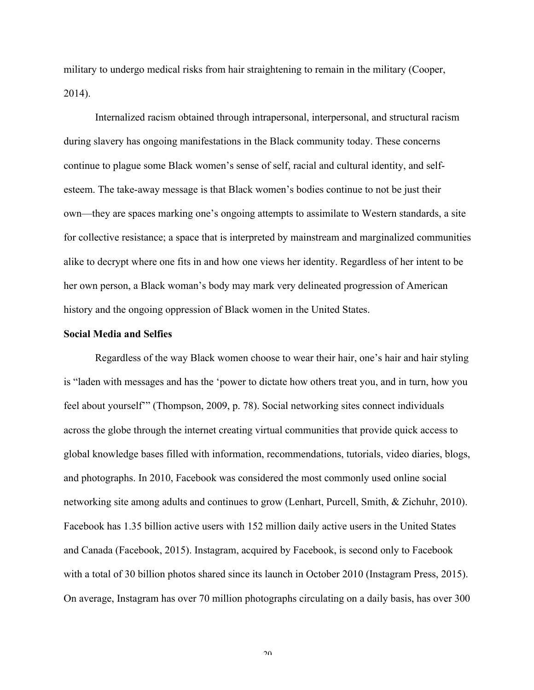military to undergo medical risks from hair straightening to remain in the military (Cooper, 2014).

Internalized racism obtained through intrapersonal, interpersonal, and structural racism during slavery has ongoing manifestations in the Black community today. These concerns continue to plague some Black women's sense of self, racial and cultural identity, and selfesteem. The take-away message is that Black women's bodies continue to not be just their own—they are spaces marking one's ongoing attempts to assimilate to Western standards, a site for collective resistance; a space that is interpreted by mainstream and marginalized communities alike to decrypt where one fits in and how one views her identity. Regardless of her intent to be her own person, a Black woman's body may mark very delineated progression of American history and the ongoing oppression of Black women in the United States.

#### **Social Media and Selfies**

Regardless of the way Black women choose to wear their hair, one's hair and hair styling is "laden with messages and has the 'power to dictate how others treat you, and in turn, how you feel about yourself'" (Thompson, 2009, p. 78). Social networking sites connect individuals across the globe through the internet creating virtual communities that provide quick access to global knowledge bases filled with information, recommendations, tutorials, video diaries, blogs, and photographs. In 2010, Facebook was considered the most commonly used online social networking site among adults and continues to grow (Lenhart, Purcell, Smith, & Zichuhr, 2010). Facebook has 1.35 billion active users with 152 million daily active users in the United States and Canada (Facebook, 2015). Instagram, acquired by Facebook, is second only to Facebook with a total of 30 billion photos shared since its launch in October 2010 (Instagram Press, 2015). On average, Instagram has over 70 million photographs circulating on a daily basis, has over 300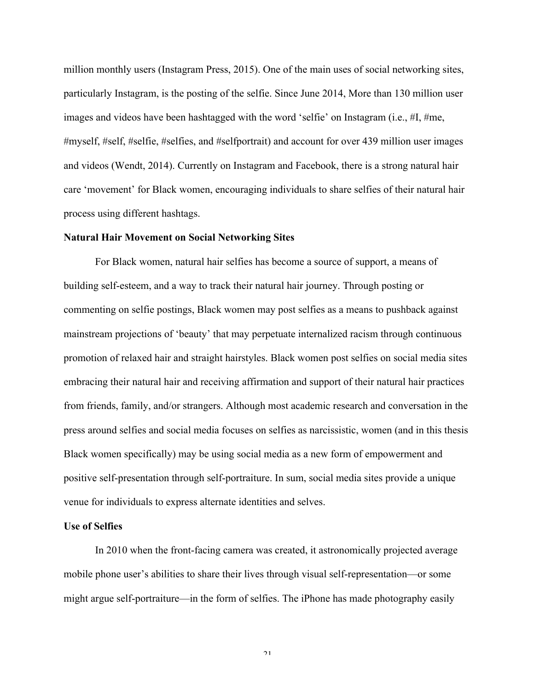million monthly users (Instagram Press, 2015). One of the main uses of social networking sites, particularly Instagram, is the posting of the selfie. Since June 2014, More than 130 million user images and videos have been hashtagged with the word 'selfie' on Instagram (i.e., #I, #me, #myself, #self, #selfie, #selfies, and #selfportrait) and account for over 439 million user images and videos (Wendt, 2014). Currently on Instagram and Facebook, there is a strong natural hair care 'movement' for Black women, encouraging individuals to share selfies of their natural hair process using different hashtags.

#### **Natural Hair Movement on Social Networking Sites**

For Black women, natural hair selfies has become a source of support, a means of building self-esteem, and a way to track their natural hair journey. Through posting or commenting on selfie postings, Black women may post selfies as a means to pushback against mainstream projections of 'beauty' that may perpetuate internalized racism through continuous promotion of relaxed hair and straight hairstyles. Black women post selfies on social media sites embracing their natural hair and receiving affirmation and support of their natural hair practices from friends, family, and/or strangers. Although most academic research and conversation in the press around selfies and social media focuses on selfies as narcissistic, women (and in this thesis Black women specifically) may be using social media as a new form of empowerment and positive self-presentation through self-portraiture. In sum, social media sites provide a unique venue for individuals to express alternate identities and selves.

#### **Use of Selfies**

In 2010 when the front-facing camera was created, it astronomically projected average mobile phone user's abilities to share their lives through visual self-representation—or some might argue self-portraiture—in the form of selfies. The iPhone has made photography easily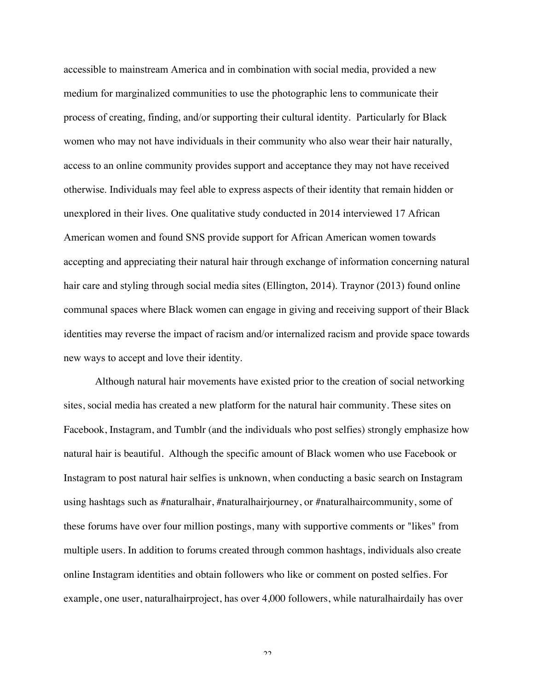accessible to mainstream America and in combination with social media, provided a new medium for marginalized communities to use the photographic lens to communicate their process of creating, finding, and/or supporting their cultural identity. Particularly for Black women who may not have individuals in their community who also wear their hair naturally, access to an online community provides support and acceptance they may not have received otherwise. Individuals may feel able to express aspects of their identity that remain hidden or unexplored in their lives. One qualitative study conducted in 2014 interviewed 17 African American women and found SNS provide support for African American women towards accepting and appreciating their natural hair through exchange of information concerning natural hair care and styling through social media sites (Ellington, 2014). Traynor (2013) found online communal spaces where Black women can engage in giving and receiving support of their Black identities may reverse the impact of racism and/or internalized racism and provide space towards new ways to accept and love their identity.

Although natural hair movements have existed prior to the creation of social networking sites, social media has created a new platform for the natural hair community. These sites on Facebook, Instagram, and Tumblr (and the individuals who post selfies) strongly emphasize how natural hair is beautiful. Although the specific amount of Black women who use Facebook or Instagram to post natural hair selfies is unknown, when conducting a basic search on Instagram using hashtags such as #naturalhair, #naturalhairjourney, or #naturalhaircommunity, some of these forums have over four million postings, many with supportive comments or "likes" from multiple users. In addition to forums created through common hashtags, individuals also create online Instagram identities and obtain followers who like or comment on posted selfies. For example, one user, naturalhairproject, has over 4,000 followers, while naturalhairdaily has over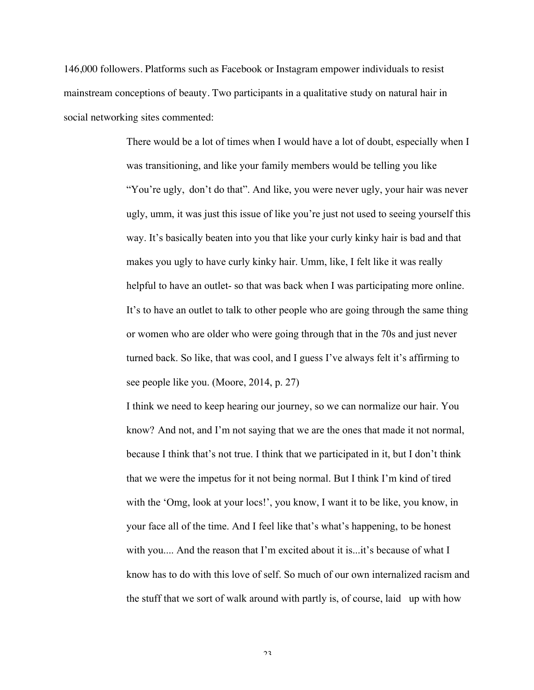146,000 followers. Platforms such as Facebook or Instagram empower individuals to resist mainstream conceptions of beauty. Two participants in a qualitative study on natural hair in social networking sites commented:

> There would be a lot of times when I would have a lot of doubt, especially when I was transitioning, and like your family members would be telling you like "You're ugly, don't do that". And like, you were never ugly, your hair was never ugly, umm, it was just this issue of like you're just not used to seeing yourself this way. It's basically beaten into you that like your curly kinky hair is bad and that makes you ugly to have curly kinky hair. Umm, like, I felt like it was really helpful to have an outlet- so that was back when I was participating more online. It's to have an outlet to talk to other people who are going through the same thing or women who are older who were going through that in the 70s and just never turned back. So like, that was cool, and I guess I've always felt it's affirming to see people like you. (Moore, 2014, p. 27)

> I think we need to keep hearing our journey, so we can normalize our hair. You know? And not, and I'm not saying that we are the ones that made it not normal, because I think that's not true. I think that we participated in it, but I don't think that we were the impetus for it not being normal. But I think I'm kind of tired with the 'Omg, look at your locs!', you know, I want it to be like, you know, in your face all of the time. And I feel like that's what's happening, to be honest with you.... And the reason that I'm excited about it is...it's because of what I know has to do with this love of self. So much of our own internalized racism and the stuff that we sort of walk around with partly is, of course, laid up with how

> > $2<sub>2</sub>$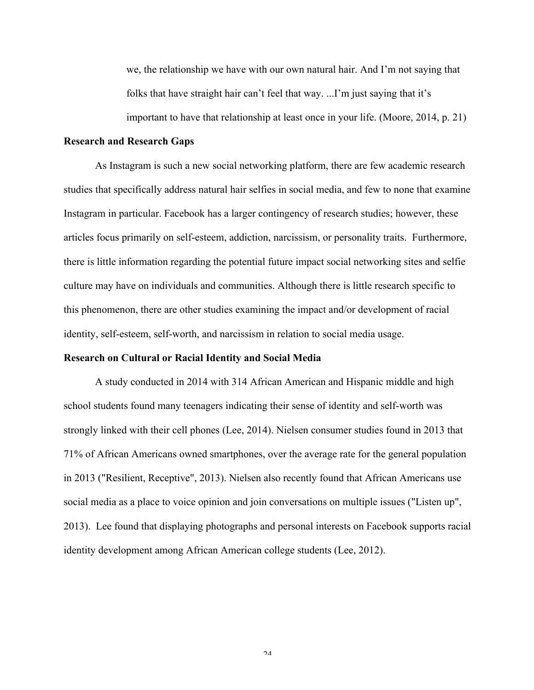we, the relationship we have with our own natural hair. And I'm not saying that folks that have straight hair can't feel that way. ...I'm just saying that it's important to have that relationship at least once in your life. (Moore, 2014, p. 21)

#### **Research and Research Gaps**

As Instagram is such a new social networking platform, there are few academic research studies that specifically address natural hair selfies in social media, and few to none that examine Instagram in particular. Facebook has a larger contingency of research studies; however, these articles focus primarily on self-esteem, addiction, narcissism, or personality traits. Furthermore, there is little information regarding the potential future impact social networking sites and selfie culture may have on individuals and communities. Although there is little research specific to this phenomenon, there are other studies examining the impact and/or development of racial identity, self-esteem, self-worth, and narcissism in relation to social media usage.

#### **Research on Cultural or Racial Identity and Social Media**

A study conducted in 2014 with 314 African American and Hispanic middle and high school students found many teenagers indicating their sense of identity and self-worth was strongly linked with their cell phones (Lee, 2014). Nielsen consumer studies found in 2013 that 71% of African Americans owned smartphones, over the average rate for the general population in 2013 ("Resilient, Receptive", 2013). Nielsen also recently found that African Americans use social media as a place to voice opinion and join conversations on multiple issues ("Listen up", 2013). Lee found that displaying photographs and personal interests on Facebook supports racial identity development among African American college students (Lee, 2012).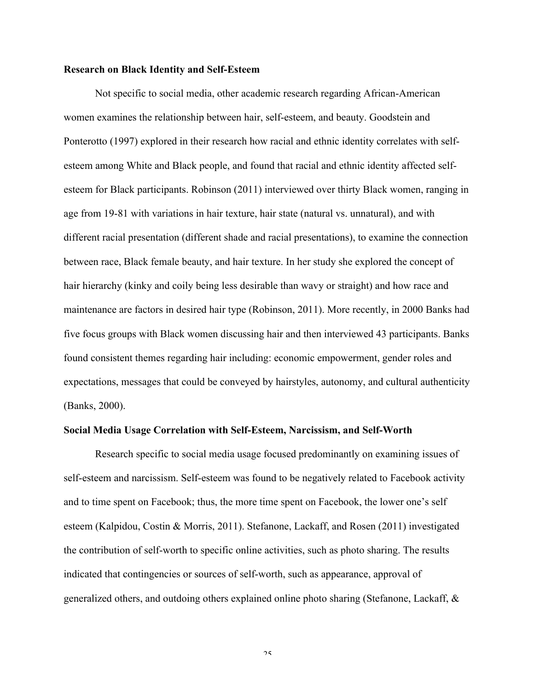# **Research on Black Identity and Self-Esteem**

Not specific to social media, other academic research regarding African-American women examines the relationship between hair, self-esteem, and beauty. Goodstein and Ponterotto (1997) explored in their research how racial and ethnic identity correlates with selfesteem among White and Black people, and found that racial and ethnic identity affected selfesteem for Black participants. Robinson (2011) interviewed over thirty Black women, ranging in age from 19-81 with variations in hair texture, hair state (natural vs. unnatural), and with different racial presentation (different shade and racial presentations), to examine the connection between race, Black female beauty, and hair texture. In her study she explored the concept of hair hierarchy (kinky and coily being less desirable than wavy or straight) and how race and maintenance are factors in desired hair type (Robinson, 2011). More recently, in 2000 Banks had five focus groups with Black women discussing hair and then interviewed 43 participants. Banks found consistent themes regarding hair including: economic empowerment, gender roles and expectations, messages that could be conveyed by hairstyles, autonomy, and cultural authenticity (Banks, 2000).

#### **Social Media Usage Correlation with Self-Esteem, Narcissism, and Self-Worth**

Research specific to social media usage focused predominantly on examining issues of self-esteem and narcissism. Self-esteem was found to be negatively related to Facebook activity and to time spent on Facebook; thus, the more time spent on Facebook, the lower one's self esteem (Kalpidou, Costin & Morris, 2011). Stefanone, Lackaff, and Rosen (2011) investigated the contribution of self-worth to specific online activities, such as photo sharing. The results indicated that contingencies or sources of self-worth, such as appearance, approval of generalized others, and outdoing others explained online photo sharing (Stefanone, Lackaff, &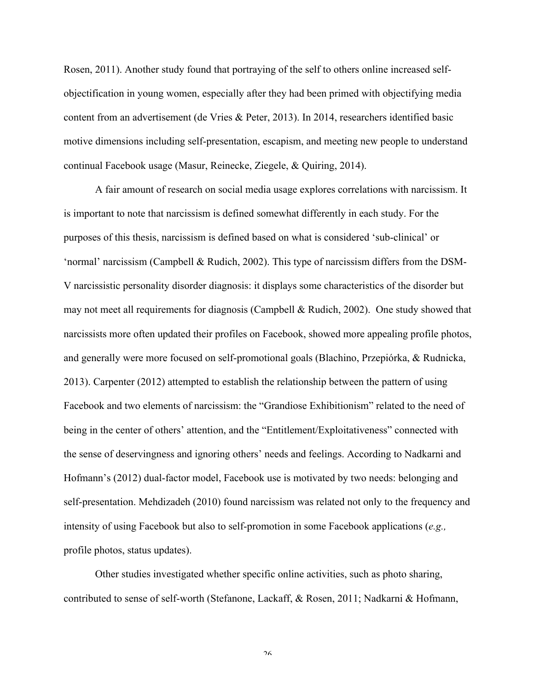Rosen, 2011). Another study found that portraying of the self to others online increased selfobjectification in young women, especially after they had been primed with objectifying media content from an advertisement (de Vries & Peter, 2013). In 2014, researchers identified basic motive dimensions including self-presentation, escapism, and meeting new people to understand continual Facebook usage (Masur, Reinecke, Ziegele, & Quiring, 2014).

A fair amount of research on social media usage explores correlations with narcissism. It is important to note that narcissism is defined somewhat differently in each study. For the purposes of this thesis, narcissism is defined based on what is considered 'sub-clinical' or 'normal' narcissism (Campbell & Rudich, 2002). This type of narcissism differs from the DSM-V narcissistic personality disorder diagnosis: it displays some characteristics of the disorder but may not meet all requirements for diagnosis (Campbell & Rudich, 2002). One study showed that narcissists more often updated their profiles on Facebook, showed more appealing profile photos, and generally were more focused on self-promotional goals (Blachino, Przepiórka, & Rudnicka, 2013). Carpenter (2012) attempted to establish the relationship between the pattern of using Facebook and two elements of narcissism: the "Grandiose Exhibitionism" related to the need of being in the center of others' attention, and the "Entitlement/Exploitativeness" connected with the sense of deservingness and ignoring others' needs and feelings. According to Nadkarni and Hofmann's (2012) dual-factor model, Facebook use is motivated by two needs: belonging and self-presentation. Mehdizadeh (2010) found narcissism was related not only to the frequency and intensity of using Facebook but also to self-promotion in some Facebook applications (*e.g.,* profile photos, status updates).

Other studies investigated whether specific online activities, such as photo sharing, contributed to sense of self-worth (Stefanone, Lackaff, & Rosen, 2011; Nadkarni & Hofmann,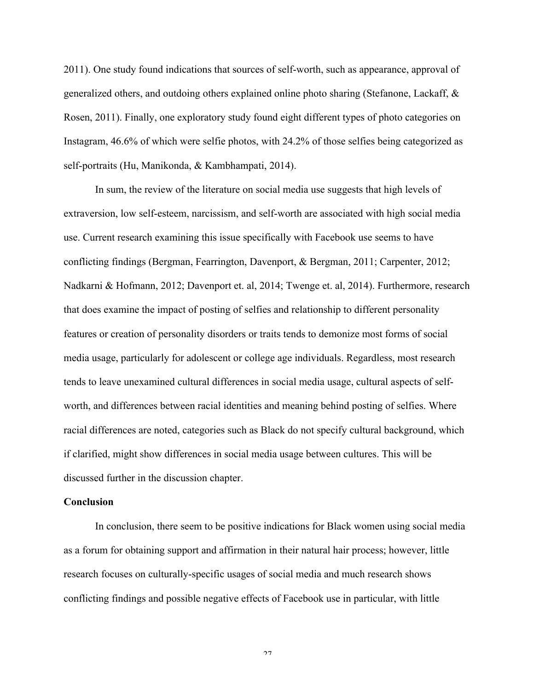2011). One study found indications that sources of self-worth, such as appearance, approval of generalized others, and outdoing others explained online photo sharing (Stefanone, Lackaff, & Rosen, 2011). Finally, one exploratory study found eight different types of photo categories on Instagram, 46.6% of which were selfie photos, with 24.2% of those selfies being categorized as self-portraits (Hu, Manikonda, & Kambhampati, 2014).

In sum, the review of the literature on social media use suggests that high levels of extraversion, low self-esteem, narcissism, and self-worth are associated with high social media use. Current research examining this issue specifically with Facebook use seems to have conflicting findings (Bergman, Fearrington, Davenport, & Bergman, 2011; Carpenter, 2012; Nadkarni & Hofmann, 2012; Davenport et. al, 2014; Twenge et. al, 2014). Furthermore, research that does examine the impact of posting of selfies and relationship to different personality features or creation of personality disorders or traits tends to demonize most forms of social media usage, particularly for adolescent or college age individuals. Regardless, most research tends to leave unexamined cultural differences in social media usage, cultural aspects of selfworth, and differences between racial identities and meaning behind posting of selfies. Where racial differences are noted, categories such as Black do not specify cultural background, which if clarified, might show differences in social media usage between cultures. This will be discussed further in the discussion chapter.

#### **Conclusion**

In conclusion, there seem to be positive indications for Black women using social media as a forum for obtaining support and affirmation in their natural hair process; however, little research focuses on culturally-specific usages of social media and much research shows conflicting findings and possible negative effects of Facebook use in particular, with little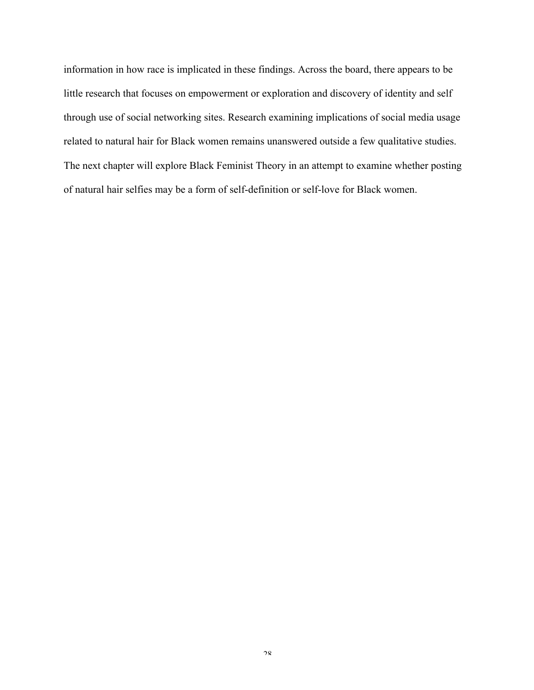information in how race is implicated in these findings. Across the board, there appears to be little research that focuses on empowerment or exploration and discovery of identity and self through use of social networking sites. Research examining implications of social media usage related to natural hair for Black women remains unanswered outside a few qualitative studies. The next chapter will explore Black Feminist Theory in an attempt to examine whether posting of natural hair selfies may be a form of self-definition or self-love for Black women.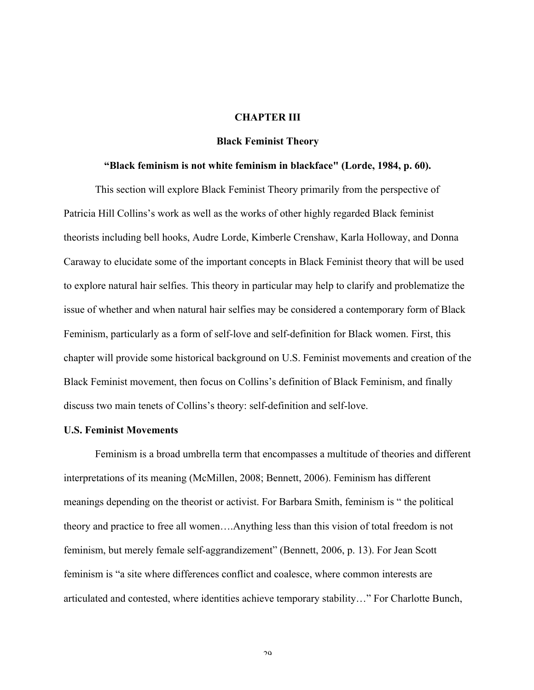# **CHAPTER III**

# **Black Feminist Theory**

### **"Black feminism is not white feminism in blackface" (Lorde, 1984, p. 60).**

This section will explore Black Feminist Theory primarily from the perspective of Patricia Hill Collins's work as well as the works of other highly regarded Black feminist theorists including bell hooks, Audre Lorde, Kimberle Crenshaw, Karla Holloway, and Donna Caraway to elucidate some of the important concepts in Black Feminist theory that will be used to explore natural hair selfies. This theory in particular may help to clarify and problematize the issue of whether and when natural hair selfies may be considered a contemporary form of Black Feminism, particularly as a form of self-love and self-definition for Black women. First, this chapter will provide some historical background on U.S. Feminist movements and creation of the Black Feminist movement, then focus on Collins's definition of Black Feminism, and finally discuss two main tenets of Collins's theory: self-definition and self-love.

# **U.S. Feminist Movements**

Feminism is a broad umbrella term that encompasses a multitude of theories and different interpretations of its meaning (McMillen, 2008; Bennett, 2006). Feminism has different meanings depending on the theorist or activist. For Barbara Smith, feminism is " the political theory and practice to free all women….Anything less than this vision of total freedom is not feminism, but merely female self-aggrandizement" (Bennett, 2006, p. 13). For Jean Scott feminism is "a site where differences conflict and coalesce, where common interests are articulated and contested, where identities achieve temporary stability…" For Charlotte Bunch,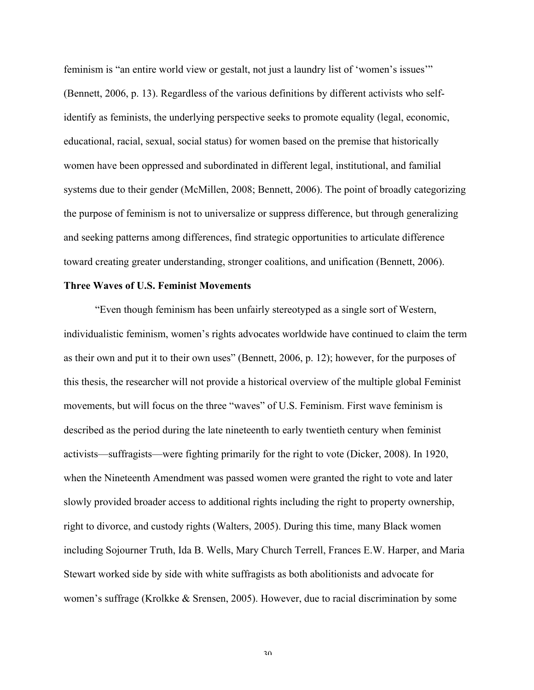feminism is "an entire world view or gestalt, not just a laundry list of 'women's issues'" (Bennett, 2006, p. 13). Regardless of the various definitions by different activists who selfidentify as feminists, the underlying perspective seeks to promote equality (legal, economic, educational, racial, sexual, social status) for women based on the premise that historically women have been oppressed and subordinated in different legal, institutional, and familial systems due to their gender (McMillen, 2008; Bennett, 2006). The point of broadly categorizing the purpose of feminism is not to universalize or suppress difference, but through generalizing and seeking patterns among differences, find strategic opportunities to articulate difference toward creating greater understanding, stronger coalitions, and unification (Bennett, 2006).

# **Three Waves of U.S. Feminist Movements**

"Even though feminism has been unfairly stereotyped as a single sort of Western, individualistic feminism, women's rights advocates worldwide have continued to claim the term as their own and put it to their own uses" (Bennett, 2006, p. 12); however, for the purposes of this thesis, the researcher will not provide a historical overview of the multiple global Feminist movements, but will focus on the three "waves" of U.S. Feminism. First wave feminism is described as the period during the late nineteenth to early twentieth century when feminist activists—suffragists—were fighting primarily for the right to vote (Dicker, 2008). In 1920, when the Nineteenth Amendment was passed women were granted the right to vote and later slowly provided broader access to additional rights including the right to property ownership, right to divorce, and custody rights (Walters, 2005). During this time, many Black women including Sojourner Truth, Ida B. Wells, Mary Church Terrell, Frances E.W. Harper, and Maria Stewart worked side by side with white suffragists as both abolitionists and advocate for women's suffrage (Krolkke & Srensen, 2005). However, due to racial discrimination by some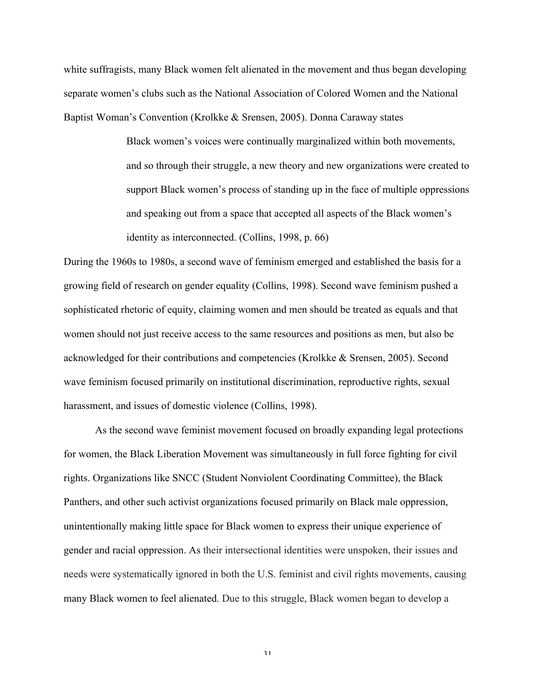white suffragists, many Black women felt alienated in the movement and thus began developing separate women's clubs such as the National Association of Colored Women and the National Baptist Woman's Convention (Krolkke & Srensen, 2005). Donna Caraway states

> Black women's voices were continually marginalized within both movements, and so through their struggle, a new theory and new organizations were created to support Black women's process of standing up in the face of multiple oppressions and speaking out from a space that accepted all aspects of the Black women's identity as interconnected. (Collins, 1998, p. 66)

During the 1960s to 1980s, a second wave of feminism emerged and established the basis for a growing field of research on gender equality (Collins, 1998). Second wave feminism pushed a sophisticated rhetoric of equity, claiming women and men should be treated as equals and that women should not just receive access to the same resources and positions as men, but also be acknowledged for their contributions and competencies (Krolkke & Srensen, 2005). Second wave feminism focused primarily on institutional discrimination, reproductive rights, sexual harassment, and issues of domestic violence (Collins, 1998).

As the second wave feminist movement focused on broadly expanding legal protections for women, the Black Liberation Movement was simultaneously in full force fighting for civil rights. Organizations like SNCC (Student Nonviolent Coordinating Committee), the Black Panthers, and other such activist organizations focused primarily on Black male oppression, unintentionally making little space for Black women to express their unique experience of gender and racial oppression. As their intersectional identities were unspoken, their issues and needs were systematically ignored in both the U.S. feminist and civil rights movements, causing many Black women to feel alienated. Due to this struggle, Black women began to develop a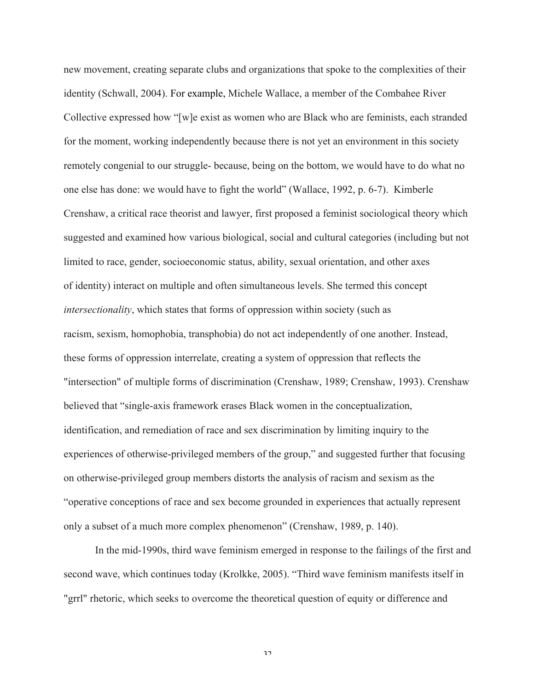new movement, creating separate clubs and organizations that spoke to the complexities of their identity (Schwall, 2004). For example, Michele Wallace, a member of the Combahee River Collective expressed how "[w]e exist as women who are Black who are feminists, each stranded for the moment, working independently because there is not yet an environment in this society remotely congenial to our struggle- because, being on the bottom, we would have to do what no one else has done: we would have to fight the world" (Wallace, 1992, p. 6-7). Kimberle Crenshaw, a critical race theorist and lawyer, first proposed a feminist sociological theory which suggested and examined how various biological, social and cultural categories (including but not limited to race, gender, socioeconomic status, ability, sexual orientation, and other axes of identity) interact on multiple and often simultaneous levels. She termed this concept *intersectionality*, which states that forms of oppression within society (such as racism, sexism, homophobia, transphobia) do not act independently of one another. Instead, these forms of oppression interrelate, creating a system of oppression that reflects the "intersection" of multiple forms of discrimination (Crenshaw, 1989; Crenshaw, 1993). Crenshaw believed that "single-axis framework erases Black women in the conceptualization, identification, and remediation of race and sex discrimination by limiting inquiry to the experiences of otherwise-privileged members of the group," and suggested further that focusing on otherwise-privileged group members distorts the analysis of racism and sexism as the "operative conceptions of race and sex become grounded in experiences that actually represent only a subset of a much more complex phenomenon" (Crenshaw, 1989, p. 140).

In the mid-1990s, third wave feminism emerged in response to the failings of the first and second wave, which continues today (Krolkke, 2005). "Third wave feminism manifests itself in "grrl" rhetoric, which seeks to overcome the theoretical question of equity or difference and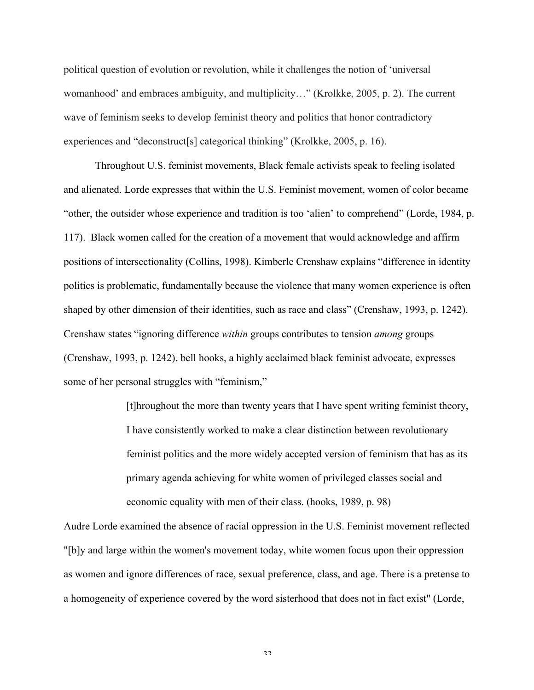political question of evolution or revolution, while it challenges the notion of 'universal womanhood' and embraces ambiguity, and multiplicity…" (Krolkke, 2005, p. 2). The current wave of feminism seeks to develop feminist theory and politics that honor contradictory experiences and "deconstruct<sup>[s]</sup> categorical thinking" (Krolkke, 2005, p. 16).

Throughout U.S. feminist movements, Black female activists speak to feeling isolated and alienated. Lorde expresses that within the U.S. Feminist movement, women of color became "other, the outsider whose experience and tradition is too 'alien' to comprehend" (Lorde, 1984, p. 117). Black women called for the creation of a movement that would acknowledge and affirm positions of intersectionality (Collins, 1998). Kimberle Crenshaw explains "difference in identity politics is problematic, fundamentally because the violence that many women experience is often shaped by other dimension of their identities, such as race and class" (Crenshaw, 1993, p. 1242). Crenshaw states "ignoring difference *within* groups contributes to tension *among* groups (Crenshaw, 1993, p. 1242). bell hooks, a highly acclaimed black feminist advocate, expresses some of her personal struggles with "feminism,"

> [t]hroughout the more than twenty years that I have spent writing feminist theory, I have consistently worked to make a clear distinction between revolutionary feminist politics and the more widely accepted version of feminism that has as its primary agenda achieving for white women of privileged classes social and economic equality with men of their class. (hooks, 1989, p. 98)

Audre Lorde examined the absence of racial oppression in the U.S. Feminist movement reflected "[b]y and large within the women's movement today, white women focus upon their oppression as women and ignore differences of race, sexual preference, class, and age. There is a pretense to a homogeneity of experience covered by the word sisterhood that does not in fact exist" (Lorde,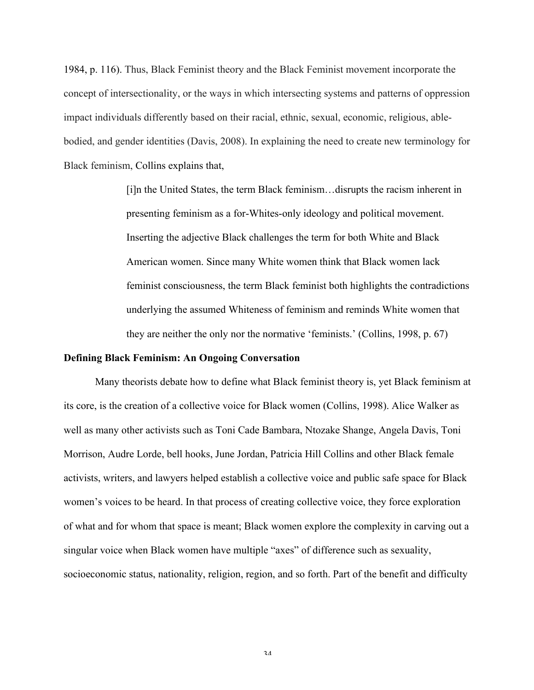1984, p. 116). Thus, Black Feminist theory and the Black Feminist movement incorporate the concept of intersectionality, or the ways in which intersecting systems and patterns of oppression impact individuals differently based on their racial, ethnic, sexual, economic, religious, ablebodied, and gender identities (Davis, 2008). In explaining the need to create new terminology for Black feminism, Collins explains that,

> [i]n the United States, the term Black feminism…disrupts the racism inherent in presenting feminism as a for-Whites-only ideology and political movement. Inserting the adjective Black challenges the term for both White and Black American women. Since many White women think that Black women lack feminist consciousness, the term Black feminist both highlights the contradictions underlying the assumed Whiteness of feminism and reminds White women that they are neither the only nor the normative 'feminists.' (Collins, 1998, p. 67)

#### **Defining Black Feminism: An Ongoing Conversation**

Many theorists debate how to define what Black feminist theory is, yet Black feminism at its core, is the creation of a collective voice for Black women (Collins, 1998). Alice Walker as well as many other activists such as Toni Cade Bambara, Ntozake Shange, Angela Davis, Toni Morrison, Audre Lorde, bell hooks, June Jordan, Patricia Hill Collins and other Black female activists, writers, and lawyers helped establish a collective voice and public safe space for Black women's voices to be heard. In that process of creating collective voice, they force exploration of what and for whom that space is meant; Black women explore the complexity in carving out a singular voice when Black women have multiple "axes" of difference such as sexuality, socioeconomic status, nationality, religion, region, and so forth. Part of the benefit and difficulty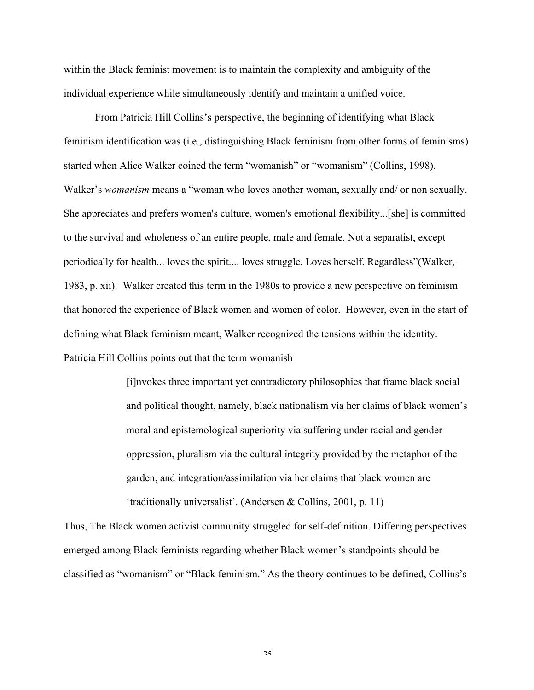within the Black feminist movement is to maintain the complexity and ambiguity of the individual experience while simultaneously identify and maintain a unified voice.

From Patricia Hill Collins's perspective, the beginning of identifying what Black feminism identification was (i.e., distinguishing Black feminism from other forms of feminisms) started when Alice Walker coined the term "womanish" or "womanism" (Collins, 1998). Walker's *womanism* means a "woman who loves another woman, sexually and/ or non sexually. She appreciates and prefers women's culture, women's emotional flexibility...[she] is committed to the survival and wholeness of an entire people, male and female. Not a separatist, except periodically for health... loves the spirit.... loves struggle. Loves herself. Regardless"(Walker, 1983, p. xii). Walker created this term in the 1980s to provide a new perspective on feminism that honored the experience of Black women and women of color. However, even in the start of defining what Black feminism meant, Walker recognized the tensions within the identity. Patricia Hill Collins points out that the term womanish

> [i]nvokes three important yet contradictory philosophies that frame black social and political thought, namely, black nationalism via her claims of black women's moral and epistemological superiority via suffering under racial and gender oppression, pluralism via the cultural integrity provided by the metaphor of the garden, and integration/assimilation via her claims that black women are 'traditionally universalist'. (Andersen & Collins, 2001, p. 11)

Thus, The Black women activist community struggled for self-definition. Differing perspectives emerged among Black feminists regarding whether Black women's standpoints should be classified as "womanism" or "Black feminism." As the theory continues to be defined, Collins's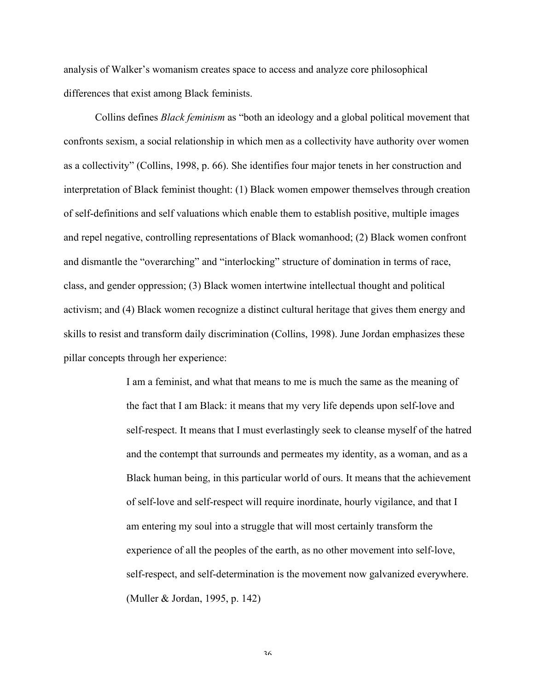analysis of Walker's womanism creates space to access and analyze core philosophical differences that exist among Black feminists.

Collins defines *Black feminism* as "both an ideology and a global political movement that confronts sexism, a social relationship in which men as a collectivity have authority over women as a collectivity" (Collins, 1998, p. 66). She identifies four major tenets in her construction and interpretation of Black feminist thought: (1) Black women empower themselves through creation of self-definitions and self valuations which enable them to establish positive, multiple images and repel negative, controlling representations of Black womanhood; (2) Black women confront and dismantle the "overarching" and "interlocking" structure of domination in terms of race, class, and gender oppression; (3) Black women intertwine intellectual thought and political activism; and (4) Black women recognize a distinct cultural heritage that gives them energy and skills to resist and transform daily discrimination (Collins, 1998). June Jordan emphasizes these pillar concepts through her experience:

> I am a feminist, and what that means to me is much the same as the meaning of the fact that I am Black: it means that my very life depends upon self-love and self-respect. It means that I must everlastingly seek to cleanse myself of the hatred and the contempt that surrounds and permeates my identity, as a woman, and as a Black human being, in this particular world of ours. It means that the achievement of self-love and self-respect will require inordinate, hourly vigilance, and that I am entering my soul into a struggle that will most certainly transform the experience of all the peoples of the earth, as no other movement into self-love, self-respect, and self-determination is the movement now galvanized everywhere. (Muller & Jordan, 1995, p. 142)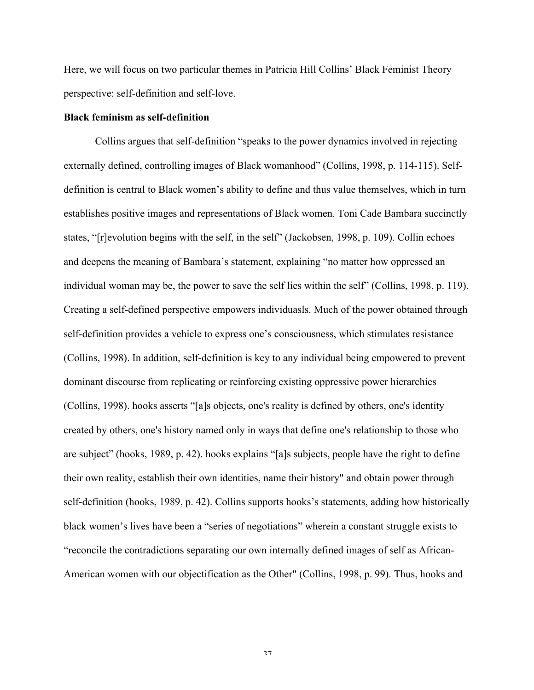Here, we will focus on two particular themes in Patricia Hill Collins' Black Feminist Theory perspective: self-definition and self-love.

## **Black feminism as self-definition**

Collins argues that self-definition "speaks to the power dynamics involved in rejecting externally defined, controlling images of Black womanhood" (Collins, 1998, p. 114-115). Selfdefinition is central to Black women's ability to define and thus value themselves, which in turn establishes positive images and representations of Black women. Toni Cade Bambara succinctly states, "[r]evolution begins with the self, in the self" (Jackobsen, 1998, p. 109). Collin echoes and deepens the meaning of Bambara's statement, explaining "no matter how oppressed an individual woman may be, the power to save the self lies within the self" (Collins, 1998, p. 119). Creating a self-defined perspective empowers individuasls. Much of the power obtained through self-definition provides a vehicle to express one's consciousness, which stimulates resistance (Collins, 1998). In addition, self-definition is key to any individual being empowered to prevent dominant discourse from replicating or reinforcing existing oppressive power hierarchies (Collins, 1998). hooks asserts "[a]s objects, one's reality is defined by others, one's identity created by others, one's history named only in ways that define one's relationship to those who are subject" (hooks, 1989, p. 42). hooks explains "[a]s subjects, people have the right to define their own reality, establish their own identities, name their history" and obtain power through self-definition (hooks, 1989, p. 42). Collins supports hooks's statements, adding how historically black women's lives have been a "series of negotiations" wherein a constant struggle exists to "reconcile the contradictions separating our own internally defined images of self as African-American women with our objectification as the Other" (Collins, 1998, p. 99). Thus, hooks and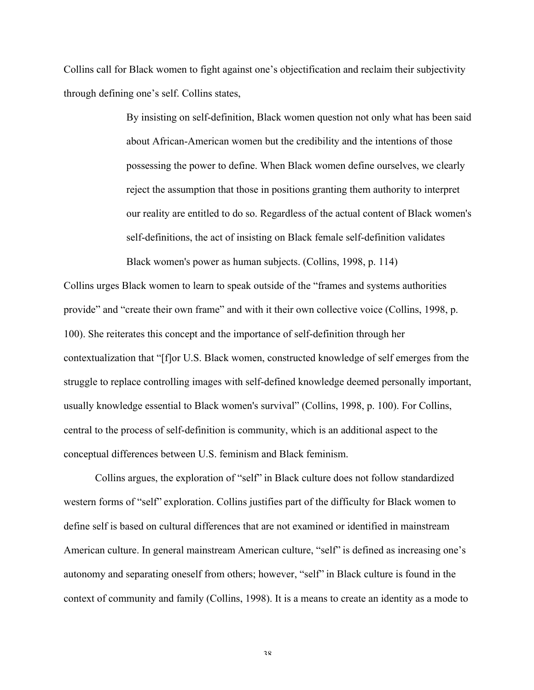Collins call for Black women to fight against one's objectification and reclaim their subjectivity through defining one's self. Collins states,

> By insisting on self-definition, Black women question not only what has been said about African-American women but the credibility and the intentions of those possessing the power to define. When Black women define ourselves, we clearly reject the assumption that those in positions granting them authority to interpret our reality are entitled to do so. Regardless of the actual content of Black women's self-definitions, the act of insisting on Black female self-definition validates Black women's power as human subjects. (Collins, 1998, p. 114)

Collins urges Black women to learn to speak outside of the "frames and systems authorities provide" and "create their own frame" and with it their own collective voice (Collins, 1998, p. 100). She reiterates this concept and the importance of self-definition through her contextualization that "[f]or U.S. Black women, constructed knowledge of self emerges from the struggle to replace controlling images with self-defined knowledge deemed personally important, usually knowledge essential to Black women's survival" (Collins, 1998, p. 100). For Collins, central to the process of self-definition is community, which is an additional aspect to the conceptual differences between U.S. feminism and Black feminism.

Collins argues, the exploration of "self" in Black culture does not follow standardized western forms of "self" exploration. Collins justifies part of the difficulty for Black women to define self is based on cultural differences that are not examined or identified in mainstream American culture. In general mainstream American culture, "self" is defined as increasing one's autonomy and separating oneself from others; however, "self" in Black culture is found in the context of community and family (Collins, 1998). It is a means to create an identity as a mode to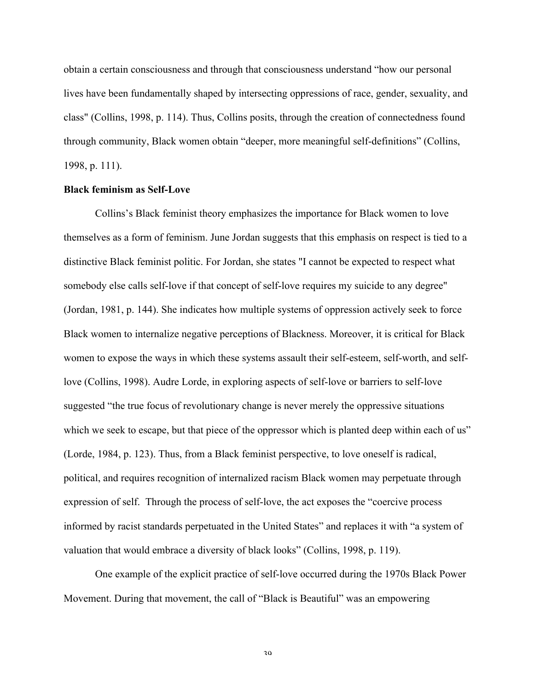obtain a certain consciousness and through that consciousness understand "how our personal lives have been fundamentally shaped by intersecting oppressions of race, gender, sexuality, and class" (Collins, 1998, p. 114). Thus, Collins posits, through the creation of connectedness found through community, Black women obtain "deeper, more meaningful self-definitions" (Collins, 1998, p. 111).

## **Black feminism as Self-Love**

Collins's Black feminist theory emphasizes the importance for Black women to love themselves as a form of feminism. June Jordan suggests that this emphasis on respect is tied to a distinctive Black feminist politic. For Jordan, she states "I cannot be expected to respect what somebody else calls self-love if that concept of self-love requires my suicide to any degree" (Jordan, 1981, p. 144). She indicates how multiple systems of oppression actively seek to force Black women to internalize negative perceptions of Blackness. Moreover, it is critical for Black women to expose the ways in which these systems assault their self-esteem, self-worth, and selflove (Collins, 1998). Audre Lorde, in exploring aspects of self-love or barriers to self-love suggested "the true focus of revolutionary change is never merely the oppressive situations which we seek to escape, but that piece of the oppressor which is planted deep within each of us" (Lorde, 1984, p. 123). Thus, from a Black feminist perspective, to love oneself is radical, political, and requires recognition of internalized racism Black women may perpetuate through expression of self. Through the process of self-love, the act exposes the "coercive process informed by racist standards perpetuated in the United States" and replaces it with "a system of valuation that would embrace a diversity of black looks" (Collins, 1998, p. 119).

One example of the explicit practice of self-love occurred during the 1970s Black Power Movement. During that movement, the call of "Black is Beautiful" was an empowering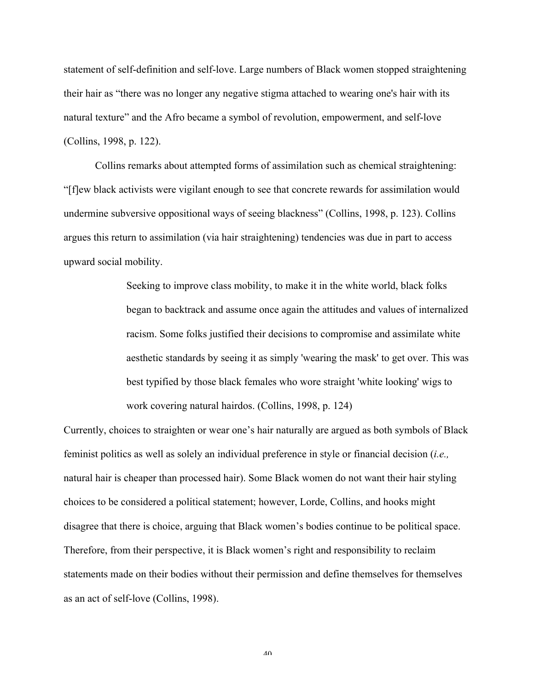statement of self-definition and self-love. Large numbers of Black women stopped straightening their hair as "there was no longer any negative stigma attached to wearing one's hair with its natural texture" and the Afro became a symbol of revolution, empowerment, and self-love (Collins, 1998, p. 122).

Collins remarks about attempted forms of assimilation such as chemical straightening: "[f]ew black activists were vigilant enough to see that concrete rewards for assimilation would undermine subversive oppositional ways of seeing blackness" (Collins, 1998, p. 123). Collins argues this return to assimilation (via hair straightening) tendencies was due in part to access upward social mobility.

> Seeking to improve class mobility, to make it in the white world, black folks began to backtrack and assume once again the attitudes and values of internalized racism. Some folks justified their decisions to compromise and assimilate white aesthetic standards by seeing it as simply 'wearing the mask' to get over. This was best typified by those black females who wore straight 'white looking' wigs to work covering natural hairdos. (Collins, 1998, p. 124)

Currently, choices to straighten or wear one's hair naturally are argued as both symbols of Black feminist politics as well as solely an individual preference in style or financial decision (*i.e.,* natural hair is cheaper than processed hair). Some Black women do not want their hair styling choices to be considered a political statement; however, Lorde, Collins, and hooks might disagree that there is choice, arguing that Black women's bodies continue to be political space. Therefore, from their perspective, it is Black women's right and responsibility to reclaim statements made on their bodies without their permission and define themselves for themselves as an act of self-love (Collins, 1998).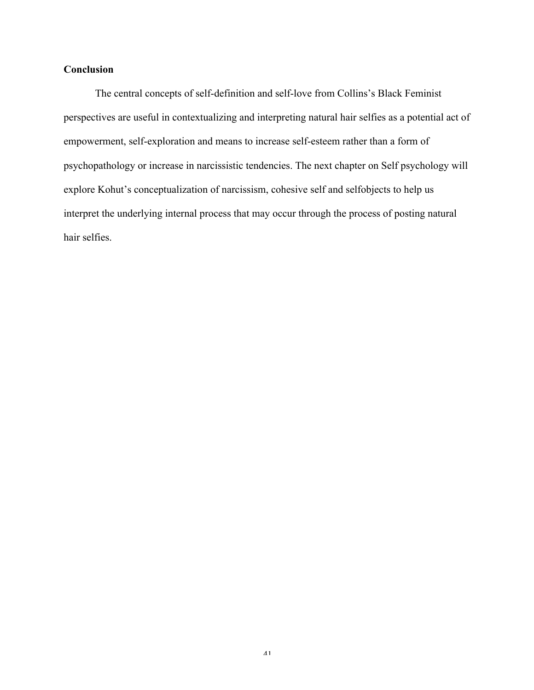# **Conclusion**

The central concepts of self-definition and self-love from Collins's Black Feminist perspectives are useful in contextualizing and interpreting natural hair selfies as a potential act of empowerment, self-exploration and means to increase self-esteem rather than a form of psychopathology or increase in narcissistic tendencies. The next chapter on Self psychology will explore Kohut's conceptualization of narcissism, cohesive self and selfobjects to help us interpret the underlying internal process that may occur through the process of posting natural hair selfies.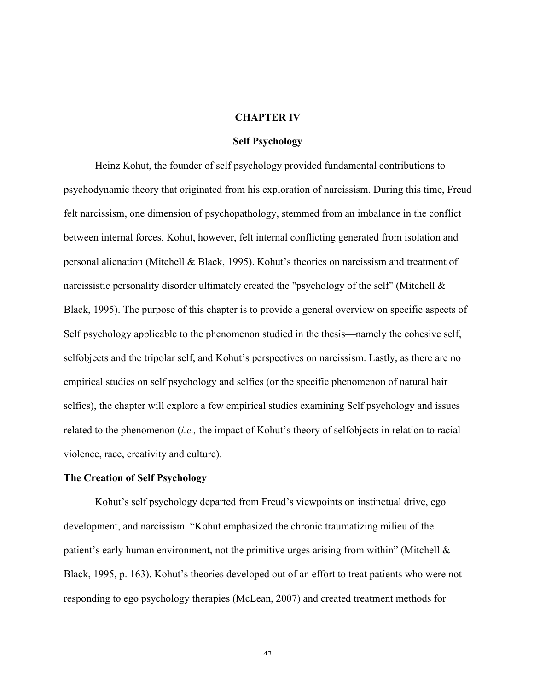## **CHAPTER IV**

## **Self Psychology**

Heinz Kohut, the founder of self psychology provided fundamental contributions to psychodynamic theory that originated from his exploration of narcissism. During this time, Freud felt narcissism, one dimension of psychopathology, stemmed from an imbalance in the conflict between internal forces. Kohut, however, felt internal conflicting generated from isolation and personal alienation (Mitchell & Black, 1995). Kohut's theories on narcissism and treatment of narcissistic personality disorder ultimately created the "psychology of the self" (Mitchell & Black, 1995). The purpose of this chapter is to provide a general overview on specific aspects of Self psychology applicable to the phenomenon studied in the thesis—namely the cohesive self, selfobjects and the tripolar self, and Kohut's perspectives on narcissism. Lastly, as there are no empirical studies on self psychology and selfies (or the specific phenomenon of natural hair selfies), the chapter will explore a few empirical studies examining Self psychology and issues related to the phenomenon (*i.e.,* the impact of Kohut's theory of selfobjects in relation to racial violence, race, creativity and culture).

# **The Creation of Self Psychology**

Kohut's self psychology departed from Freud's viewpoints on instinctual drive, ego development, and narcissism. "Kohut emphasized the chronic traumatizing milieu of the patient's early human environment, not the primitive urges arising from within" (Mitchell  $\&$ Black, 1995, p. 163). Kohut's theories developed out of an effort to treat patients who were not responding to ego psychology therapies (McLean, 2007) and created treatment methods for

 $\Lambda$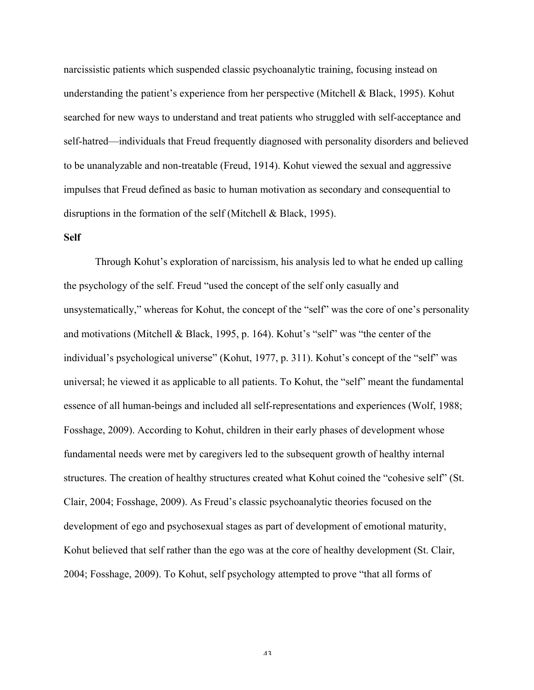narcissistic patients which suspended classic psychoanalytic training, focusing instead on understanding the patient's experience from her perspective (Mitchell & Black, 1995). Kohut searched for new ways to understand and treat patients who struggled with self-acceptance and self-hatred—individuals that Freud frequently diagnosed with personality disorders and believed to be unanalyzable and non-treatable (Freud, 1914). Kohut viewed the sexual and aggressive impulses that Freud defined as basic to human motivation as secondary and consequential to disruptions in the formation of the self (Mitchell & Black, 1995).

## **Self**

Through Kohut's exploration of narcissism, his analysis led to what he ended up calling the psychology of the self. Freud "used the concept of the self only casually and unsystematically," whereas for Kohut, the concept of the "self" was the core of one's personality and motivations (Mitchell & Black, 1995, p. 164). Kohut's "self" was "the center of the individual's psychological universe" (Kohut, 1977, p. 311). Kohut's concept of the "self" was universal; he viewed it as applicable to all patients. To Kohut, the "self" meant the fundamental essence of all human-beings and included all self-representations and experiences (Wolf, 1988; Fosshage, 2009). According to Kohut, children in their early phases of development whose fundamental needs were met by caregivers led to the subsequent growth of healthy internal structures. The creation of healthy structures created what Kohut coined the "cohesive self" (St. Clair, 2004; Fosshage, 2009). As Freud's classic psychoanalytic theories focused on the development of ego and psychosexual stages as part of development of emotional maturity, Kohut believed that self rather than the ego was at the core of healthy development (St. Clair, 2004; Fosshage, 2009). To Kohut, self psychology attempted to prove "that all forms of

 $\lambda$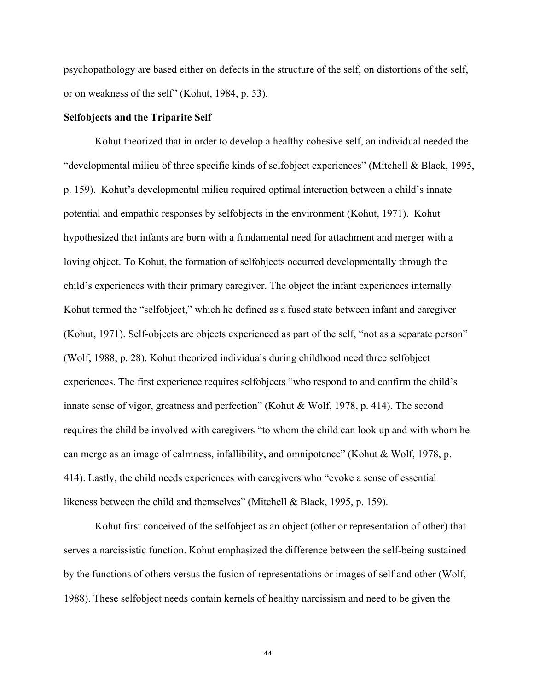psychopathology are based either on defects in the structure of the self, on distortions of the self, or on weakness of the self" (Kohut, 1984, p. 53).

## **Selfobjects and the Triparite Self**

Kohut theorized that in order to develop a healthy cohesive self, an individual needed the "developmental milieu of three specific kinds of selfobject experiences" (Mitchell & Black, 1995, p. 159). Kohut's developmental milieu required optimal interaction between a child's innate potential and empathic responses by selfobjects in the environment (Kohut, 1971). Kohut hypothesized that infants are born with a fundamental need for attachment and merger with a loving object. To Kohut, the formation of selfobjects occurred developmentally through the child's experiences with their primary caregiver. The object the infant experiences internally Kohut termed the "selfobject," which he defined as a fused state between infant and caregiver (Kohut, 1971). Self-objects are objects experienced as part of the self, "not as a separate person" (Wolf, 1988, p. 28). Kohut theorized individuals during childhood need three selfobject experiences. The first experience requires selfobjects "who respond to and confirm the child's innate sense of vigor, greatness and perfection" (Kohut & Wolf, 1978, p. 414). The second requires the child be involved with caregivers "to whom the child can look up and with whom he can merge as an image of calmness, infallibility, and omnipotence" (Kohut & Wolf, 1978, p. 414). Lastly, the child needs experiences with caregivers who "evoke a sense of essential likeness between the child and themselves" (Mitchell & Black, 1995, p. 159).

Kohut first conceived of the selfobject as an object (other or representation of other) that serves a narcissistic function. Kohut emphasized the difference between the self-being sustained by the functions of others versus the fusion of representations or images of self and other (Wolf, 1988). These selfobject needs contain kernels of healthy narcissism and need to be given the

 $\Lambda$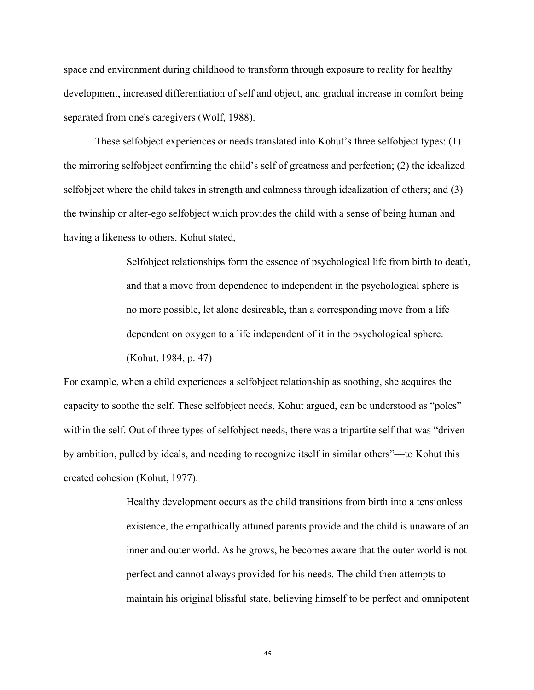space and environment during childhood to transform through exposure to reality for healthy development, increased differentiation of self and object, and gradual increase in comfort being separated from one's caregivers (Wolf, 1988).

These selfobject experiences or needs translated into Kohut's three selfobject types: (1) the mirroring selfobject confirming the child's self of greatness and perfection; (2) the idealized selfobject where the child takes in strength and calmness through idealization of others; and (3) the twinship or alter-ego selfobject which provides the child with a sense of being human and having a likeness to others. Kohut stated,

> Selfobject relationships form the essence of psychological life from birth to death, and that a move from dependence to independent in the psychological sphere is no more possible, let alone desireable, than a corresponding move from a life dependent on oxygen to a life independent of it in the psychological sphere. (Kohut, 1984, p. 47)

For example, when a child experiences a selfobject relationship as soothing, she acquires the capacity to soothe the self. These selfobject needs, Kohut argued, can be understood as "poles" within the self. Out of three types of selfobject needs, there was a tripartite self that was "driven by ambition, pulled by ideals, and needing to recognize itself in similar others"—to Kohut this created cohesion (Kohut, 1977).

> Healthy development occurs as the child transitions from birth into a tensionless existence, the empathically attuned parents provide and the child is unaware of an inner and outer world. As he grows, he becomes aware that the outer world is not perfect and cannot always provided for his needs. The child then attempts to maintain his original blissful state, believing himself to be perfect and omnipotent

> > $\Lambda$   $\lesssim$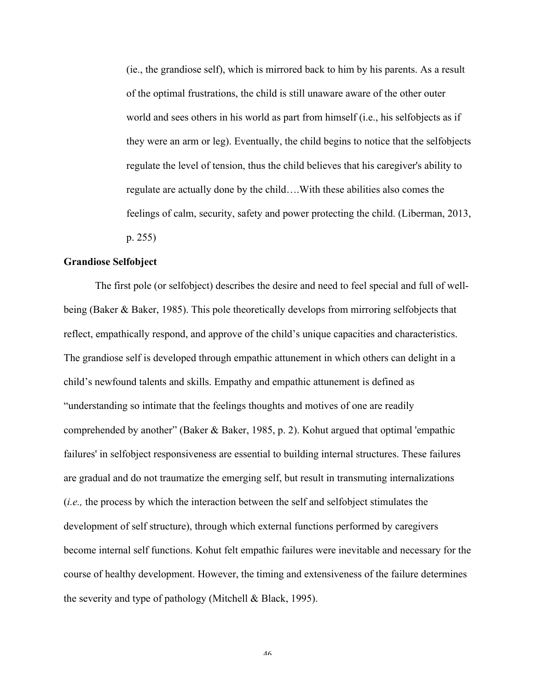(ie., the grandiose self), which is mirrored back to him by his parents. As a result of the optimal frustrations, the child is still unaware aware of the other outer world and sees others in his world as part from himself (i.e., his selfobjects as if they were an arm or leg). Eventually, the child begins to notice that the selfobjects regulate the level of tension, thus the child believes that his caregiver's ability to regulate are actually done by the child….With these abilities also comes the feelings of calm, security, safety and power protecting the child. (Liberman, 2013, p. 255)

## **Grandiose Selfobject**

The first pole (or selfobject) describes the desire and need to feel special and full of wellbeing (Baker & Baker, 1985). This pole theoretically develops from mirroring selfobjects that reflect, empathically respond, and approve of the child's unique capacities and characteristics. The grandiose self is developed through empathic attunement in which others can delight in a child's newfound talents and skills. Empathy and empathic attunement is defined as "understanding so intimate that the feelings thoughts and motives of one are readily comprehended by another" (Baker & Baker, 1985, p. 2). Kohut argued that optimal 'empathic failures' in selfobject responsiveness are essential to building internal structures. These failures are gradual and do not traumatize the emerging self, but result in transmuting internalizations (*i.e.,* the process by which the interaction between the self and selfobject stimulates the development of self structure), through which external functions performed by caregivers become internal self functions. Kohut felt empathic failures were inevitable and necessary for the course of healthy development. However, the timing and extensiveness of the failure determines the severity and type of pathology (Mitchell & Black, 1995).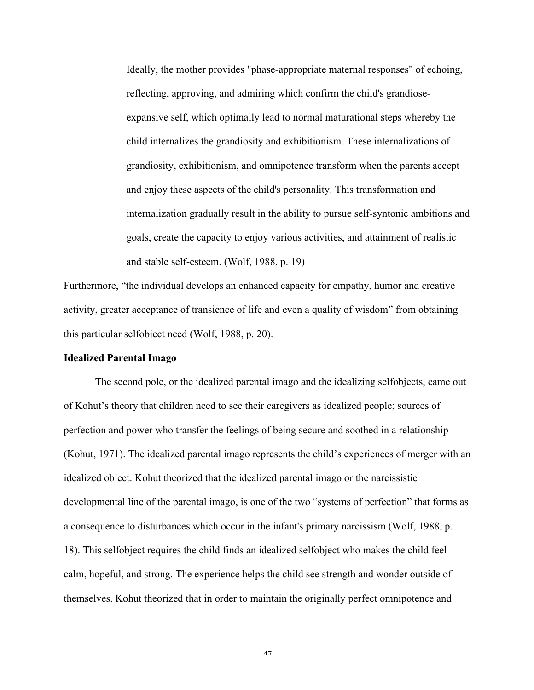Ideally, the mother provides "phase-appropriate maternal responses" of echoing, reflecting, approving, and admiring which confirm the child's grandioseexpansive self, which optimally lead to normal maturational steps whereby the child internalizes the grandiosity and exhibitionism. These internalizations of grandiosity, exhibitionism, and omnipotence transform when the parents accept and enjoy these aspects of the child's personality. This transformation and internalization gradually result in the ability to pursue self-syntonic ambitions and goals, create the capacity to enjoy various activities, and attainment of realistic and stable self-esteem. (Wolf, 1988, p. 19)

Furthermore, "the individual develops an enhanced capacity for empathy, humor and creative activity, greater acceptance of transience of life and even a quality of wisdom" from obtaining this particular selfobject need (Wolf, 1988, p. 20).

#### **Idealized Parental Imago**

The second pole, or the idealized parental imago and the idealizing selfobjects, came out of Kohut's theory that children need to see their caregivers as idealized people; sources of perfection and power who transfer the feelings of being secure and soothed in a relationship (Kohut, 1971). The idealized parental imago represents the child's experiences of merger with an idealized object. Kohut theorized that the idealized parental imago or the narcissistic developmental line of the parental imago, is one of the two "systems of perfection" that forms as a consequence to disturbances which occur in the infant's primary narcissism (Wolf, 1988, p. 18). This selfobject requires the child finds an idealized selfobject who makes the child feel calm, hopeful, and strong. The experience helps the child see strength and wonder outside of themselves. Kohut theorized that in order to maintain the originally perfect omnipotence and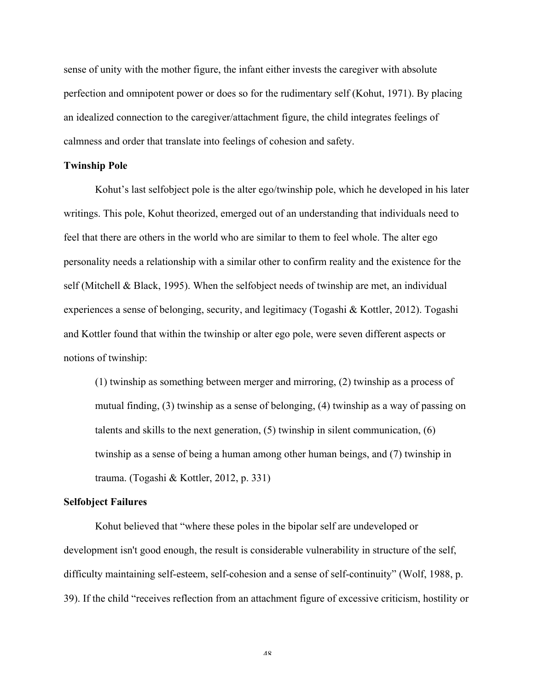sense of unity with the mother figure, the infant either invests the caregiver with absolute perfection and omnipotent power or does so for the rudimentary self (Kohut, 1971). By placing an idealized connection to the caregiver/attachment figure, the child integrates feelings of calmness and order that translate into feelings of cohesion and safety.

#### **Twinship Pole**

Kohut's last selfobject pole is the alter ego/twinship pole, which he developed in his later writings. This pole, Kohut theorized, emerged out of an understanding that individuals need to feel that there are others in the world who are similar to them to feel whole. The alter ego personality needs a relationship with a similar other to confirm reality and the existence for the self (Mitchell & Black, 1995). When the selfobject needs of twinship are met, an individual experiences a sense of belonging, security, and legitimacy (Togashi & Kottler, 2012). Togashi and Kottler found that within the twinship or alter ego pole, were seven different aspects or notions of twinship:

(1) twinship as something between merger and mirroring, (2) twinship as a process of mutual finding, (3) twinship as a sense of belonging, (4) twinship as a way of passing on talents and skills to the next generation, (5) twinship in silent communication, (6) twinship as a sense of being a human among other human beings, and (7) twinship in trauma. (Togashi & Kottler, 2012, p. 331)

## **Selfobject Failures**

Kohut believed that "where these poles in the bipolar self are undeveloped or development isn't good enough, the result is considerable vulnerability in structure of the self, difficulty maintaining self-esteem, self-cohesion and a sense of self-continuity" (Wolf, 1988, p. 39). If the child "receives reflection from an attachment figure of excessive criticism, hostility or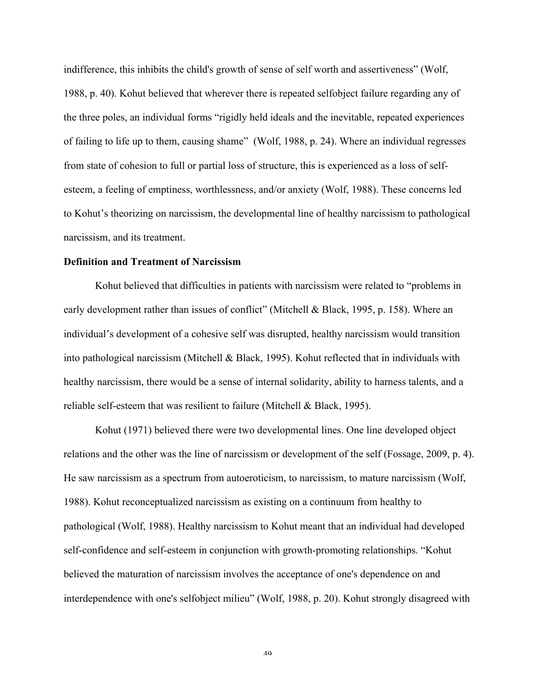indifference, this inhibits the child's growth of sense of self worth and assertiveness" (Wolf, 1988, p. 40). Kohut believed that wherever there is repeated selfobject failure regarding any of the three poles, an individual forms "rigidly held ideals and the inevitable, repeated experiences of failing to life up to them, causing shame" (Wolf, 1988, p. 24). Where an individual regresses from state of cohesion to full or partial loss of structure, this is experienced as a loss of selfesteem, a feeling of emptiness, worthlessness, and/or anxiety (Wolf, 1988). These concerns led to Kohut's theorizing on narcissism, the developmental line of healthy narcissism to pathological narcissism, and its treatment.

## **Definition and Treatment of Narcissism**

Kohut believed that difficulties in patients with narcissism were related to "problems in early development rather than issues of conflict" (Mitchell & Black, 1995, p. 158). Where an individual's development of a cohesive self was disrupted, healthy narcissism would transition into pathological narcissism (Mitchell & Black, 1995). Kohut reflected that in individuals with healthy narcissism, there would be a sense of internal solidarity, ability to harness talents, and a reliable self-esteem that was resilient to failure (Mitchell & Black, 1995).

Kohut (1971) believed there were two developmental lines. One line developed object relations and the other was the line of narcissism or development of the self (Fossage, 2009, p. 4). He saw narcissism as a spectrum from autoeroticism, to narcissism, to mature narcissism (Wolf, 1988). Kohut reconceptualized narcissism as existing on a continuum from healthy to pathological (Wolf, 1988). Healthy narcissism to Kohut meant that an individual had developed self-confidence and self-esteem in conjunction with growth-promoting relationships. "Kohut believed the maturation of narcissism involves the acceptance of one's dependence on and interdependence with one's selfobject milieu" (Wolf, 1988, p. 20). Kohut strongly disagreed with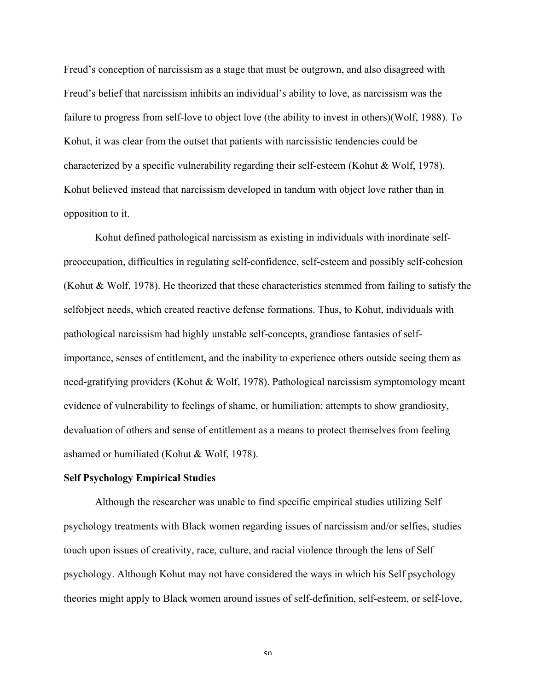Freud's conception of narcissism as a stage that must be outgrown, and also disagreed with Freud's belief that narcissism inhibits an individual's ability to love, as narcissism was the failure to progress from self-love to object love (the ability to invest in others)(Wolf, 1988). To Kohut, it was clear from the outset that patients with narcissistic tendencies could be characterized by a specific vulnerability regarding their self-esteem (Kohut & Wolf, 1978). Kohut believed instead that narcissism developed in tandum with object love rather than in opposition to it.

Kohut defined pathological narcissism as existing in individuals with inordinate selfpreoccupation, difficulties in regulating self-confidence, self-esteem and possibly self-cohesion (Kohut & Wolf, 1978). He theorized that these characteristics stemmed from failing to satisfy the selfobject needs, which created reactive defense formations. Thus, to Kohut, individuals with pathological narcissism had highly unstable self-concepts, grandiose fantasies of selfimportance, senses of entitlement, and the inability to experience others outside seeing them as need-gratifying providers (Kohut & Wolf, 1978). Pathological narcissism symptomology meant evidence of vulnerability to feelings of shame, or humiliation: attempts to show grandiosity, devaluation of others and sense of entitlement as a means to protect themselves from feeling ashamed or humiliated (Kohut & Wolf, 1978).

## **Self Psychology Empirical Studies**

Although the researcher was unable to find specific empirical studies utilizing Self psychology treatments with Black women regarding issues of narcissism and/or selfies, studies touch upon issues of creativity, race, culture, and racial violence through the lens of Self psychology. Although Kohut may not have considered the ways in which his Self psychology theories might apply to Black women around issues of self-definition, self-esteem, or self-love,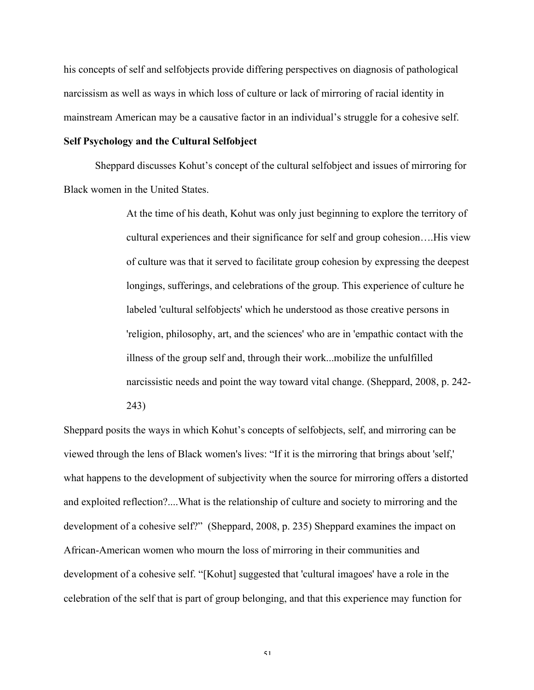his concepts of self and selfobjects provide differing perspectives on diagnosis of pathological narcissism as well as ways in which loss of culture or lack of mirroring of racial identity in mainstream American may be a causative factor in an individual's struggle for a cohesive self.

## **Self Psychology and the Cultural Selfobject**

Sheppard discusses Kohut's concept of the cultural selfobject and issues of mirroring for Black women in the United States.

> At the time of his death, Kohut was only just beginning to explore the territory of cultural experiences and their significance for self and group cohesion….His view of culture was that it served to facilitate group cohesion by expressing the deepest longings, sufferings, and celebrations of the group. This experience of culture he labeled 'cultural selfobjects' which he understood as those creative persons in 'religion, philosophy, art, and the sciences' who are in 'empathic contact with the illness of the group self and, through their work...mobilize the unfulfilled narcissistic needs and point the way toward vital change. (Sheppard, 2008, p. 242- 243)

Sheppard posits the ways in which Kohut's concepts of selfobjects, self, and mirroring can be viewed through the lens of Black women's lives: "If it is the mirroring that brings about 'self,' what happens to the development of subjectivity when the source for mirroring offers a distorted and exploited reflection?....What is the relationship of culture and society to mirroring and the development of a cohesive self?" (Sheppard, 2008, p. 235) Sheppard examines the impact on African-American women who mourn the loss of mirroring in their communities and development of a cohesive self. "[Kohut] suggested that 'cultural imagoes' have a role in the celebration of the self that is part of group belonging, and that this experience may function for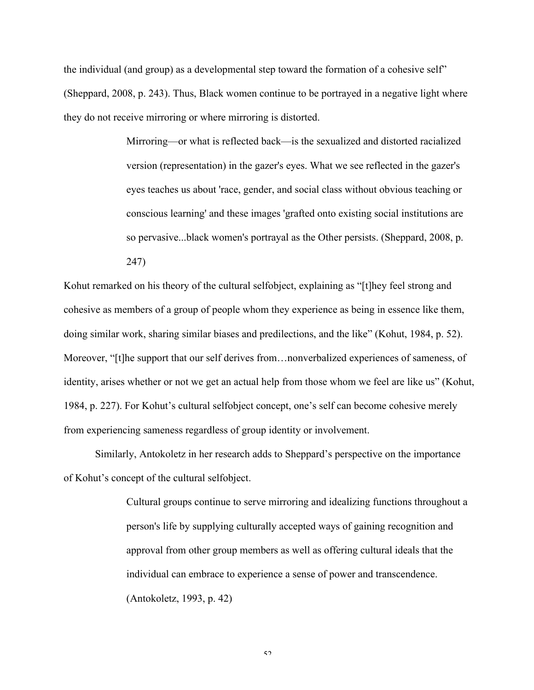the individual (and group) as a developmental step toward the formation of a cohesive self" (Sheppard, 2008, p. 243). Thus, Black women continue to be portrayed in a negative light where they do not receive mirroring or where mirroring is distorted.

> Mirroring—or what is reflected back—is the sexualized and distorted racialized version (representation) in the gazer's eyes. What we see reflected in the gazer's eyes teaches us about 'race, gender, and social class without obvious teaching or conscious learning' and these images 'grafted onto existing social institutions are so pervasive...black women's portrayal as the Other persists. (Sheppard, 2008, p. 247)

Kohut remarked on his theory of the cultural selfobject, explaining as "[t]hey feel strong and cohesive as members of a group of people whom they experience as being in essence like them, doing similar work, sharing similar biases and predilections, and the like" (Kohut, 1984, p. 52). Moreover, "[t]he support that our self derives from…nonverbalized experiences of sameness, of identity, arises whether or not we get an actual help from those whom we feel are like us" (Kohut, 1984, p. 227). For Kohut's cultural selfobject concept, one's self can become cohesive merely from experiencing sameness regardless of group identity or involvement.

Similarly, Antokoletz in her research adds to Sheppard's perspective on the importance of Kohut's concept of the cultural selfobject.

> Cultural groups continue to serve mirroring and idealizing functions throughout a person's life by supplying culturally accepted ways of gaining recognition and approval from other group members as well as offering cultural ideals that the individual can embrace to experience a sense of power and transcendence. (Antokoletz, 1993, p. 42)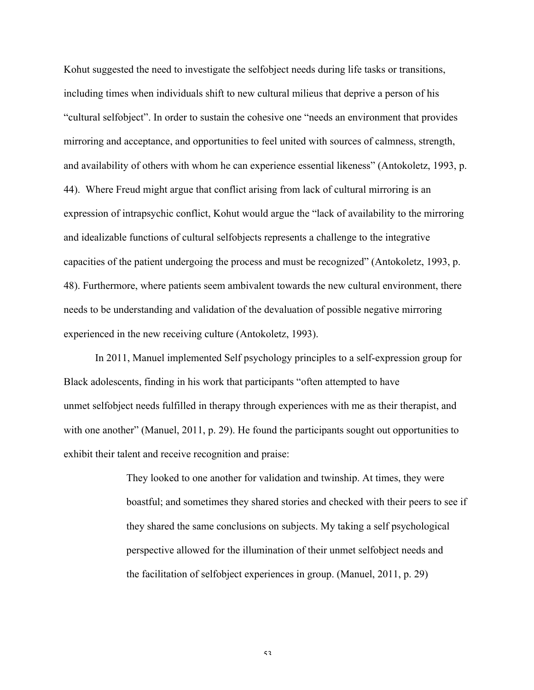Kohut suggested the need to investigate the selfobject needs during life tasks or transitions, including times when individuals shift to new cultural milieus that deprive a person of his "cultural selfobject". In order to sustain the cohesive one "needs an environment that provides mirroring and acceptance, and opportunities to feel united with sources of calmness, strength, and availability of others with whom he can experience essential likeness" (Antokoletz, 1993, p. 44). Where Freud might argue that conflict arising from lack of cultural mirroring is an expression of intrapsychic conflict, Kohut would argue the "lack of availability to the mirroring and idealizable functions of cultural selfobjects represents a challenge to the integrative capacities of the patient undergoing the process and must be recognized" (Antokoletz, 1993, p. 48). Furthermore, where patients seem ambivalent towards the new cultural environment, there needs to be understanding and validation of the devaluation of possible negative mirroring experienced in the new receiving culture (Antokoletz, 1993).

In 2011, Manuel implemented Self psychology principles to a self-expression group for Black adolescents, finding in his work that participants "often attempted to have unmet selfobject needs fulfilled in therapy through experiences with me as their therapist, and with one another" (Manuel, 2011, p. 29). He found the participants sought out opportunities to exhibit their talent and receive recognition and praise:

> They looked to one another for validation and twinship. At times, they were boastful; and sometimes they shared stories and checked with their peers to see if they shared the same conclusions on subjects. My taking a self psychological perspective allowed for the illumination of their unmet selfobject needs and the facilitation of selfobject experiences in group. (Manuel, 2011, p. 29)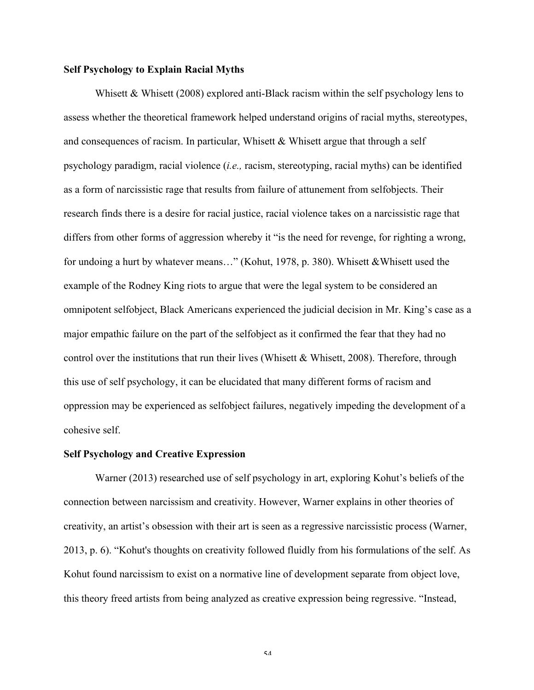## **Self Psychology to Explain Racial Myths**

Whisett & Whisett (2008) explored anti-Black racism within the self psychology lens to assess whether the theoretical framework helped understand origins of racial myths, stereotypes, and consequences of racism. In particular, Whisett  $&$  Whisett argue that through a self psychology paradigm, racial violence (*i.e.,* racism, stereotyping, racial myths) can be identified as a form of narcissistic rage that results from failure of attunement from selfobjects. Their research finds there is a desire for racial justice, racial violence takes on a narcissistic rage that differs from other forms of aggression whereby it "is the need for revenge, for righting a wrong, for undoing a hurt by whatever means..." (Kohut, 1978, p. 380). Whisett & Whisett used the example of the Rodney King riots to argue that were the legal system to be considered an omnipotent selfobject, Black Americans experienced the judicial decision in Mr. King's case as a major empathic failure on the part of the selfobject as it confirmed the fear that they had no control over the institutions that run their lives (Whisett & Whisett, 2008). Therefore, through this use of self psychology, it can be elucidated that many different forms of racism and oppression may be experienced as selfobject failures, negatively impeding the development of a cohesive self.

#### **Self Psychology and Creative Expression**

Warner (2013) researched use of self psychology in art, exploring Kohut's beliefs of the connection between narcissism and creativity. However, Warner explains in other theories of creativity, an artist's obsession with their art is seen as a regressive narcissistic process (Warner, 2013, p. 6). "Kohut's thoughts on creativity followed fluidly from his formulations of the self. As Kohut found narcissism to exist on a normative line of development separate from object love, this theory freed artists from being analyzed as creative expression being regressive. "Instead,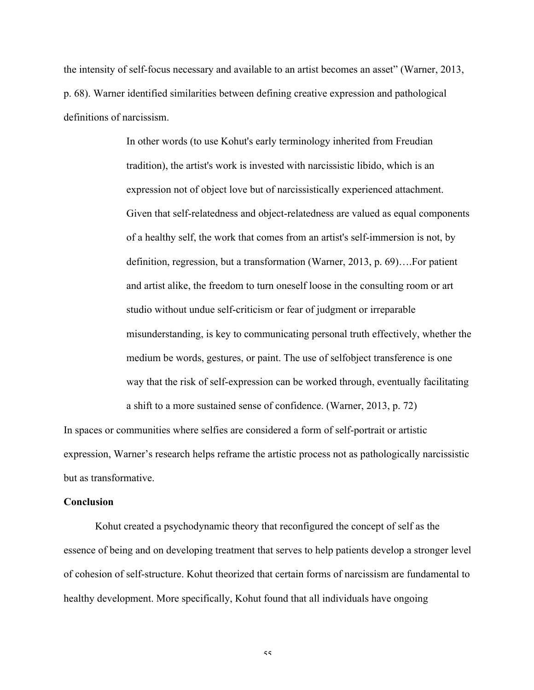the intensity of self-focus necessary and available to an artist becomes an asset" (Warner, 2013, p. 68). Warner identified similarities between defining creative expression and pathological definitions of narcissism.

> In other words (to use Kohut's early terminology inherited from Freudian tradition), the artist's work is invested with narcissistic libido, which is an expression not of object love but of narcissistically experienced attachment. Given that self-relatedness and object-relatedness are valued as equal components of a healthy self, the work that comes from an artist's self-immersion is not, by definition, regression, but a transformation (Warner, 2013, p. 69)….For patient and artist alike, the freedom to turn oneself loose in the consulting room or art studio without undue self-criticism or fear of judgment or irreparable misunderstanding, is key to communicating personal truth effectively, whether the medium be words, gestures, or paint. The use of selfobject transference is one way that the risk of self-expression can be worked through, eventually facilitating a shift to a more sustained sense of confidence. (Warner, 2013, p. 72)

In spaces or communities where selfies are considered a form of self-portrait or artistic expression, Warner's research helps reframe the artistic process not as pathologically narcissistic but as transformative.

#### **Conclusion**

Kohut created a psychodynamic theory that reconfigured the concept of self as the essence of being and on developing treatment that serves to help patients develop a stronger level of cohesion of self-structure. Kohut theorized that certain forms of narcissism are fundamental to healthy development. More specifically, Kohut found that all individuals have ongoing

 $\leq$   $\leq$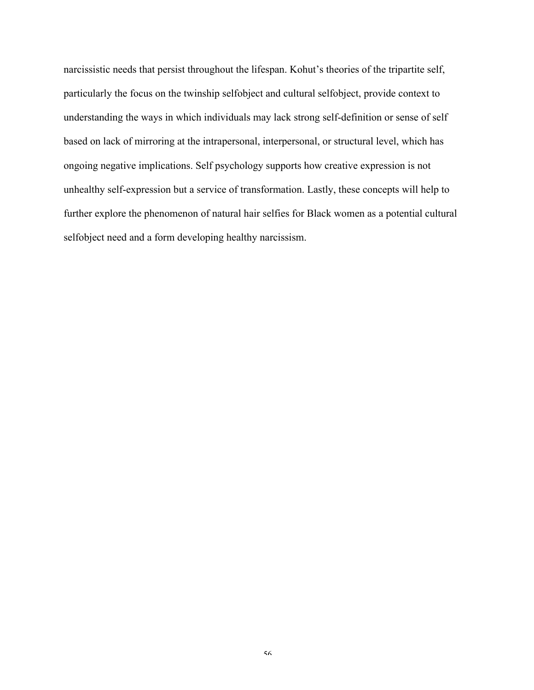narcissistic needs that persist throughout the lifespan. Kohut's theories of the tripartite self, particularly the focus on the twinship selfobject and cultural selfobject, provide context to understanding the ways in which individuals may lack strong self-definition or sense of self based on lack of mirroring at the intrapersonal, interpersonal, or structural level, which has ongoing negative implications. Self psychology supports how creative expression is not unhealthy self-expression but a service of transformation. Lastly, these concepts will help to further explore the phenomenon of natural hair selfies for Black women as a potential cultural selfobject need and a form developing healthy narcissism.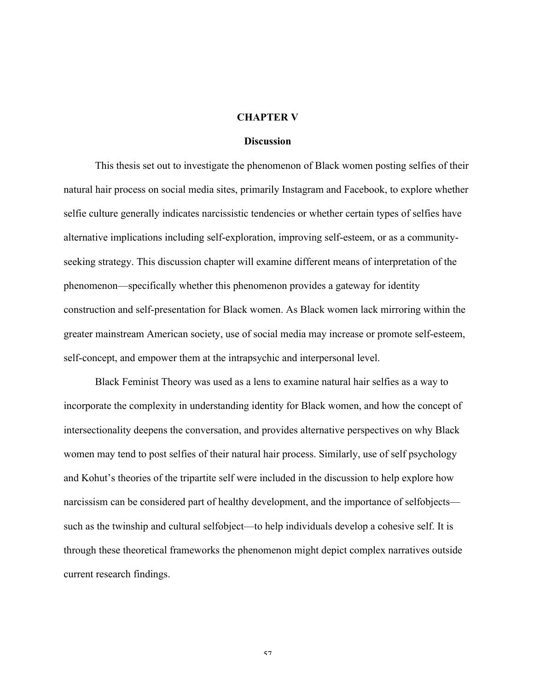#### **CHAPTER V**

#### **Discussion**

This thesis set out to investigate the phenomenon of Black women posting selfies of their natural hair process on social media sites, primarily Instagram and Facebook, to explore whether selfie culture generally indicates narcissistic tendencies or whether certain types of selfies have alternative implications including self-exploration, improving self-esteem, or as a communityseeking strategy. This discussion chapter will examine different means of interpretation of the phenomenon—specifically whether this phenomenon provides a gateway for identity construction and self-presentation for Black women. As Black women lack mirroring within the greater mainstream American society, use of social media may increase or promote self-esteem, self-concept, and empower them at the intrapsychic and interpersonal level.

Black Feminist Theory was used as a lens to examine natural hair selfies as a way to incorporate the complexity in understanding identity for Black women, and how the concept of intersectionality deepens the conversation, and provides alternative perspectives on why Black women may tend to post selfies of their natural hair process. Similarly, use of self psychology and Kohut's theories of the tripartite self were included in the discussion to help explore how narcissism can be considered part of healthy development, and the importance of selfobjects such as the twinship and cultural selfobject—to help individuals develop a cohesive self. It is through these theoretical frameworks the phenomenon might depict complex narratives outside current research findings.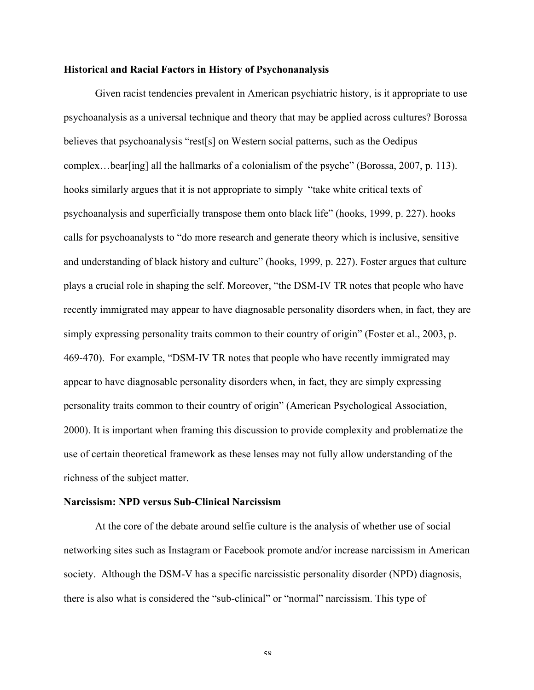## **Historical and Racial Factors in History of Psychonanalysis**

Given racist tendencies prevalent in American psychiatric history, is it appropriate to use psychoanalysis as a universal technique and theory that may be applied across cultures? Borossa believes that psychoanalysis "rest[s] on Western social patterns, such as the Oedipus complex…bear[ing] all the hallmarks of a colonialism of the psyche" (Borossa, 2007, p. 113). hooks similarly argues that it is not appropriate to simply "take white critical texts of psychoanalysis and superficially transpose them onto black life" (hooks, 1999, p. 227). hooks calls for psychoanalysts to "do more research and generate theory which is inclusive, sensitive and understanding of black history and culture" (hooks, 1999, p. 227). Foster argues that culture plays a crucial role in shaping the self. Moreover, "the DSM-IV TR notes that people who have recently immigrated may appear to have diagnosable personality disorders when, in fact, they are simply expressing personality traits common to their country of origin" (Foster et al., 2003, p. 469-470). For example, "DSM-IV TR notes that people who have recently immigrated may appear to have diagnosable personality disorders when, in fact, they are simply expressing personality traits common to their country of origin" (American Psychological Association, 2000). It is important when framing this discussion to provide complexity and problematize the use of certain theoretical framework as these lenses may not fully allow understanding of the richness of the subject matter.

#### **Narcissism: NPD versus Sub-Clinical Narcissism**

At the core of the debate around selfie culture is the analysis of whether use of social networking sites such as Instagram or Facebook promote and/or increase narcissism in American society. Although the DSM-V has a specific narcissistic personality disorder (NPD) diagnosis, there is also what is considered the "sub-clinical" or "normal" narcissism. This type of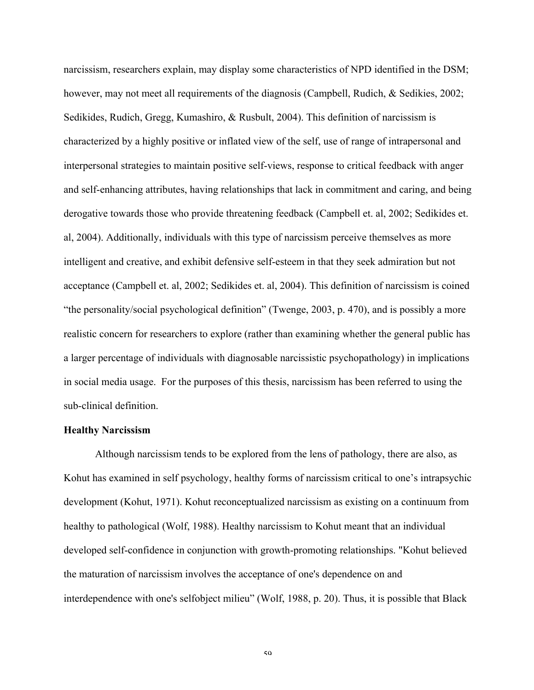narcissism, researchers explain, may display some characteristics of NPD identified in the DSM; however, may not meet all requirements of the diagnosis (Campbell, Rudich, & Sedikies, 2002; Sedikides, Rudich, Gregg, Kumashiro, & Rusbult, 2004). This definition of narcissism is characterized by a highly positive or inflated view of the self, use of range of intrapersonal and interpersonal strategies to maintain positive self-views, response to critical feedback with anger and self-enhancing attributes, having relationships that lack in commitment and caring, and being derogative towards those who provide threatening feedback (Campbell et. al, 2002; Sedikides et. al, 2004). Additionally, individuals with this type of narcissism perceive themselves as more intelligent and creative, and exhibit defensive self-esteem in that they seek admiration but not acceptance (Campbell et. al, 2002; Sedikides et. al, 2004). This definition of narcissism is coined "the personality/social psychological definition" (Twenge, 2003, p. 470), and is possibly a more realistic concern for researchers to explore (rather than examining whether the general public has a larger percentage of individuals with diagnosable narcissistic psychopathology) in implications in social media usage. For the purposes of this thesis, narcissism has been referred to using the sub-clinical definition.

#### **Healthy Narcissism**

Although narcissism tends to be explored from the lens of pathology, there are also, as Kohut has examined in self psychology, healthy forms of narcissism critical to one's intrapsychic development (Kohut, 1971). Kohut reconceptualized narcissism as existing on a continuum from healthy to pathological (Wolf, 1988). Healthy narcissism to Kohut meant that an individual developed self-confidence in conjunction with growth-promoting relationships. "Kohut believed the maturation of narcissism involves the acceptance of one's dependence on and interdependence with one's selfobject milieu" (Wolf, 1988, p. 20). Thus, it is possible that Black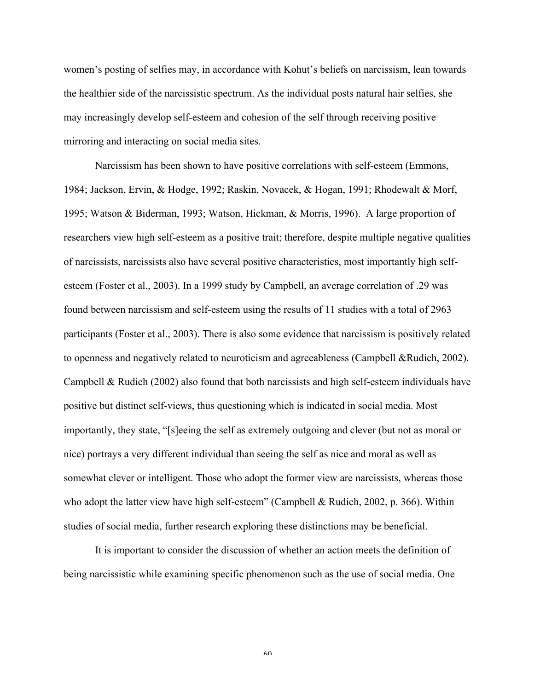women's posting of selfies may, in accordance with Kohut's beliefs on narcissism, lean towards the healthier side of the narcissistic spectrum. As the individual posts natural hair selfies, she may increasingly develop self-esteem and cohesion of the self through receiving positive mirroring and interacting on social media sites.

Narcissism has been shown to have positive correlations with self-esteem (Emmons, 1984; Jackson, Ervin, & Hodge, 1992; Raskin, Novacek, & Hogan, 1991; Rhodewalt & Morf, 1995; Watson & Biderman, 1993; Watson, Hickman, & Morris, 1996). A large proportion of researchers view high self-esteem as a positive trait; therefore, despite multiple negative qualities of narcissists, narcissists also have several positive characteristics, most importantly high selfesteem (Foster et al., 2003). In a 1999 study by Campbell, an average correlation of .29 was found between narcissism and self-esteem using the results of 11 studies with a total of 2963 participants (Foster et al., 2003). There is also some evidence that narcissism is positively related to openness and negatively related to neuroticism and agreeableness (Campbell &Rudich, 2002). Campbell & Rudich (2002) also found that both narcissists and high self-esteem individuals have positive but distinct self-views, thus questioning which is indicated in social media. Most importantly, they state, "[s]eeing the self as extremely outgoing and clever (but not as moral or nice) portrays a very different individual than seeing the self as nice and moral as well as somewhat clever or intelligent. Those who adopt the former view are narcissists, whereas those who adopt the latter view have high self-esteem" (Campbell & Rudich, 2002, p. 366). Within studies of social media, further research exploring these distinctions may be beneficial.

It is important to consider the discussion of whether an action meets the definition of being narcissistic while examining specific phenomenon such as the use of social media. One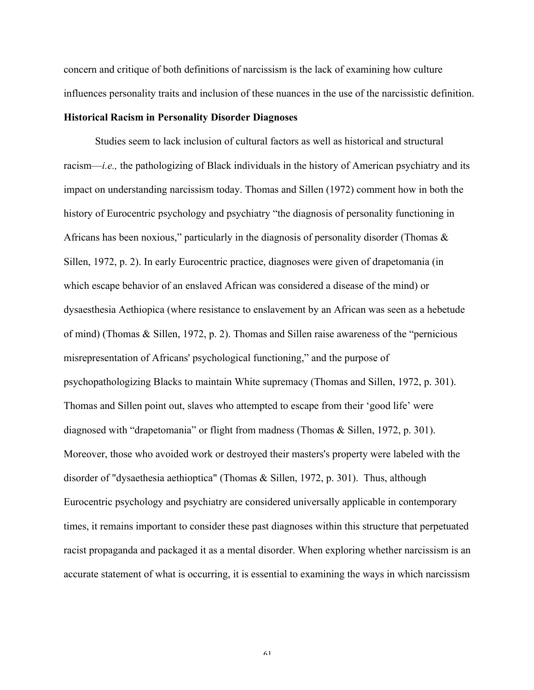concern and critique of both definitions of narcissism is the lack of examining how culture influences personality traits and inclusion of these nuances in the use of the narcissistic definition.

## **Historical Racism in Personality Disorder Diagnoses**

Studies seem to lack inclusion of cultural factors as well as historical and structural racism—*i.e.,* the pathologizing of Black individuals in the history of American psychiatry and its impact on understanding narcissism today. Thomas and Sillen (1972) comment how in both the history of Eurocentric psychology and psychiatry "the diagnosis of personality functioning in Africans has been noxious," particularly in the diagnosis of personality disorder (Thomas  $\&$ Sillen, 1972, p. 2). In early Eurocentric practice, diagnoses were given of drapetomania (in which escape behavior of an enslaved African was considered a disease of the mind) or dysaesthesia Aethiopica (where resistance to enslavement by an African was seen as a hebetude of mind) (Thomas & Sillen, 1972, p. 2). Thomas and Sillen raise awareness of the "pernicious misrepresentation of Africans' psychological functioning," and the purpose of psychopathologizing Blacks to maintain White supremacy (Thomas and Sillen, 1972, p. 301). Thomas and Sillen point out, slaves who attempted to escape from their 'good life' were diagnosed with "drapetomania" or flight from madness (Thomas & Sillen, 1972, p. 301). Moreover, those who avoided work or destroyed their masters's property were labeled with the disorder of "dysaethesia aethioptica" (Thomas & Sillen, 1972, p. 301). Thus, although Eurocentric psychology and psychiatry are considered universally applicable in contemporary times, it remains important to consider these past diagnoses within this structure that perpetuated racist propaganda and packaged it as a mental disorder. When exploring whether narcissism is an accurate statement of what is occurring, it is essential to examining the ways in which narcissism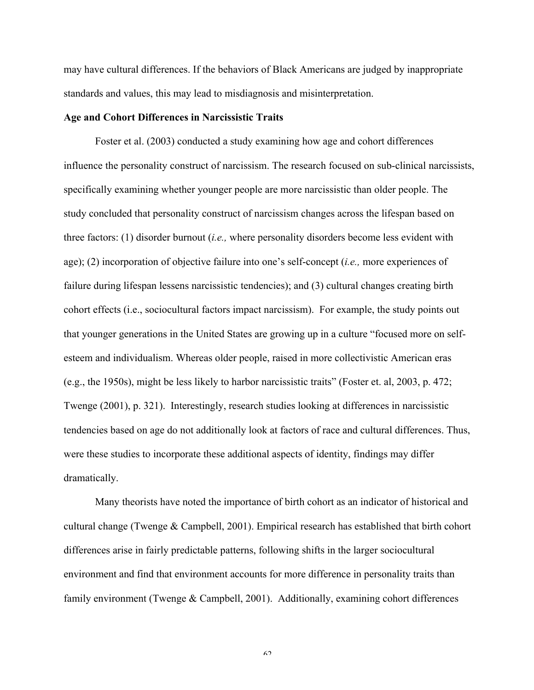may have cultural differences. If the behaviors of Black Americans are judged by inappropriate standards and values, this may lead to misdiagnosis and misinterpretation.

## **Age and Cohort Differences in Narcissistic Traits**

Foster et al. (2003) conducted a study examining how age and cohort differences influence the personality construct of narcissism. The research focused on sub-clinical narcissists, specifically examining whether younger people are more narcissistic than older people. The study concluded that personality construct of narcissism changes across the lifespan based on three factors: (1) disorder burnout (*i.e.,* where personality disorders become less evident with age); (2) incorporation of objective failure into one's self-concept (*i.e.,* more experiences of failure during lifespan lessens narcissistic tendencies); and (3) cultural changes creating birth cohort effects (i.e., sociocultural factors impact narcissism). For example, the study points out that younger generations in the United States are growing up in a culture "focused more on selfesteem and individualism. Whereas older people, raised in more collectivistic American eras (e.g., the 1950s), might be less likely to harbor narcissistic traits" (Foster et. al, 2003, p. 472; Twenge (2001), p. 321). Interestingly, research studies looking at differences in narcissistic tendencies based on age do not additionally look at factors of race and cultural differences. Thus, were these studies to incorporate these additional aspects of identity, findings may differ dramatically.

Many theorists have noted the importance of birth cohort as an indicator of historical and cultural change (Twenge & Campbell, 2001). Empirical research has established that birth cohort differences arise in fairly predictable patterns, following shifts in the larger sociocultural environment and find that environment accounts for more difference in personality traits than family environment (Twenge & Campbell, 2001). Additionally, examining cohort differences

 $\zeta$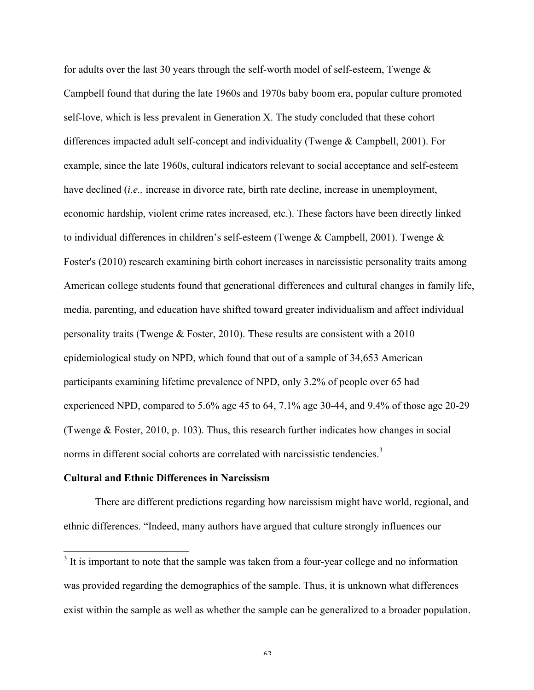for adults over the last 30 years through the self-worth model of self-esteem, Twenge  $\&$ Campbell found that during the late 1960s and 1970s baby boom era, popular culture promoted self-love, which is less prevalent in Generation X. The study concluded that these cohort differences impacted adult self-concept and individuality (Twenge & Campbell, 2001). For example, since the late 1960s, cultural indicators relevant to social acceptance and self-esteem have declined (*i.e.,* increase in divorce rate, birth rate decline, increase in unemployment, economic hardship, violent crime rates increased, etc.). These factors have been directly linked to individual differences in children's self-esteem (Twenge  $\&$  Campbell, 2001). Twenge  $\&$ Foster's (2010) research examining birth cohort increases in narcissistic personality traits among American college students found that generational differences and cultural changes in family life, media, parenting, and education have shifted toward greater individualism and affect individual personality traits (Twenge & Foster, 2010). These results are consistent with a 2010 epidemiological study on NPD, which found that out of a sample of 34,653 American participants examining lifetime prevalence of NPD, only 3.2% of people over 65 had experienced NPD, compared to 5.6% age 45 to 64, 7.1% age 30-44, and 9.4% of those age 20-29 (Twenge & Foster, 2010, p. 103). Thus, this research further indicates how changes in social norms in different social cohorts are correlated with narcissistic tendencies.<sup>3</sup>

## **Cultural and Ethnic Differences in Narcissism**

There are different predictions regarding how narcissism might have world, regional, and ethnic differences. "Indeed, many authors have argued that culture strongly influences our

 $3$  It is important to note that the sample was taken from a four-year college and no information was provided regarding the demographics of the sample. Thus, it is unknown what differences exist within the sample as well as whether the sample can be generalized to a broader population.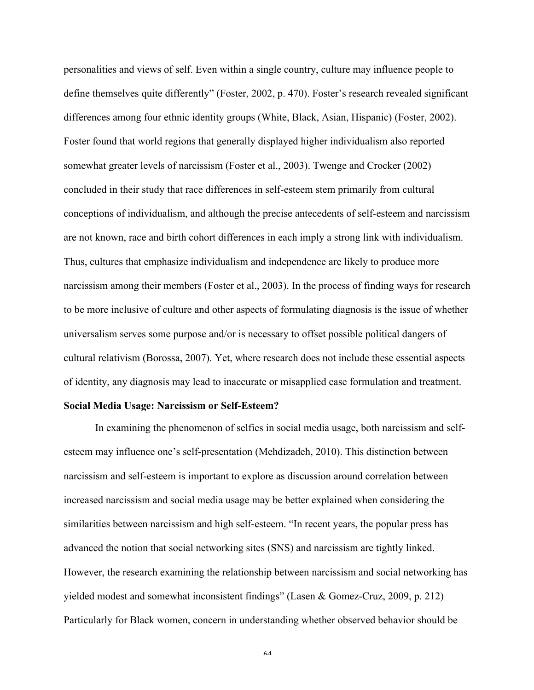personalities and views of self. Even within a single country, culture may influence people to define themselves quite differently" (Foster, 2002, p. 470). Foster's research revealed significant differences among four ethnic identity groups (White, Black, Asian, Hispanic) (Foster, 2002). Foster found that world regions that generally displayed higher individualism also reported somewhat greater levels of narcissism (Foster et al., 2003). Twenge and Crocker (2002) concluded in their study that race differences in self-esteem stem primarily from cultural conceptions of individualism, and although the precise antecedents of self-esteem and narcissism are not known, race and birth cohort differences in each imply a strong link with individualism. Thus, cultures that emphasize individualism and independence are likely to produce more narcissism among their members (Foster et al., 2003). In the process of finding ways for research to be more inclusive of culture and other aspects of formulating diagnosis is the issue of whether universalism serves some purpose and/or is necessary to offset possible political dangers of cultural relativism (Borossa, 2007). Yet, where research does not include these essential aspects of identity, any diagnosis may lead to inaccurate or misapplied case formulation and treatment.

# **Social Media Usage: Narcissism or Self-Esteem?**

In examining the phenomenon of selfies in social media usage, both narcissism and selfesteem may influence one's self-presentation (Mehdizadeh, 2010). This distinction between narcissism and self-esteem is important to explore as discussion around correlation between increased narcissism and social media usage may be better explained when considering the similarities between narcissism and high self-esteem. "In recent years, the popular press has advanced the notion that social networking sites (SNS) and narcissism are tightly linked. However, the research examining the relationship between narcissism and social networking has yielded modest and somewhat inconsistent findings" (Lasen & Gomez-Cruz, 2009, p. 212) Particularly for Black women, concern in understanding whether observed behavior should be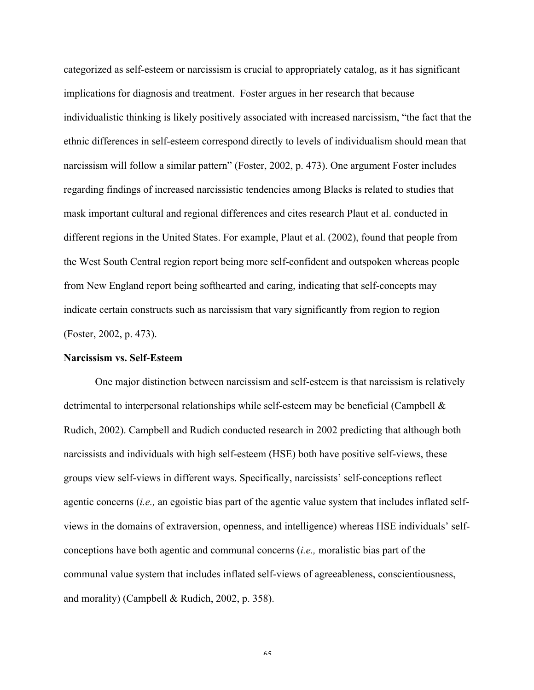categorized as self-esteem or narcissism is crucial to appropriately catalog, as it has significant implications for diagnosis and treatment. Foster argues in her research that because individualistic thinking is likely positively associated with increased narcissism, "the fact that the ethnic differences in self-esteem correspond directly to levels of individualism should mean that narcissism will follow a similar pattern" (Foster, 2002, p. 473). One argument Foster includes regarding findings of increased narcissistic tendencies among Blacks is related to studies that mask important cultural and regional differences and cites research Plaut et al. conducted in different regions in the United States. For example, Plaut et al. (2002), found that people from the West South Central region report being more self-confident and outspoken whereas people from New England report being softhearted and caring, indicating that self-concepts may indicate certain constructs such as narcissism that vary significantly from region to region (Foster, 2002, p. 473).

#### **Narcissism vs. Self-Esteem**

One major distinction between narcissism and self-esteem is that narcissism is relatively detrimental to interpersonal relationships while self-esteem may be beneficial (Campbell & Rudich, 2002). Campbell and Rudich conducted research in 2002 predicting that although both narcissists and individuals with high self-esteem (HSE) both have positive self-views, these groups view self-views in different ways. Specifically, narcissists' self-conceptions reflect agentic concerns (*i.e.,* an egoistic bias part of the agentic value system that includes inflated selfviews in the domains of extraversion, openness, and intelligence) whereas HSE individuals' selfconceptions have both agentic and communal concerns (*i.e.,* moralistic bias part of the communal value system that includes inflated self-views of agreeableness, conscientiousness, and morality) (Campbell & Rudich, 2002, p. 358).

 $\zeta$   $\zeta$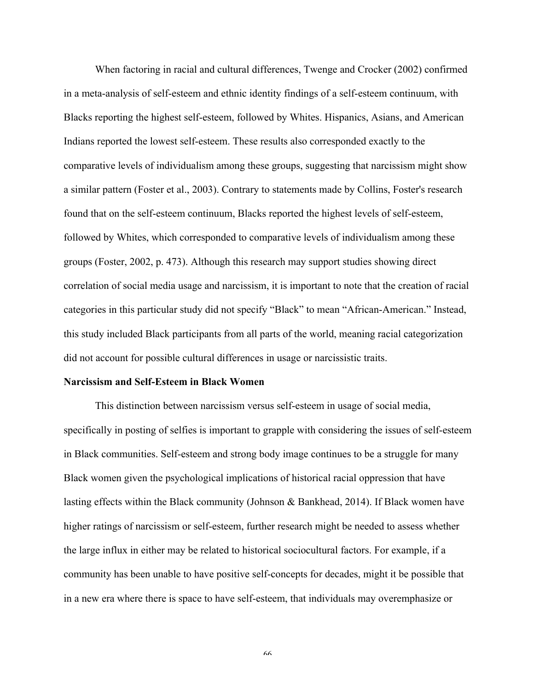When factoring in racial and cultural differences, Twenge and Crocker (2002) confirmed in a meta-analysis of self-esteem and ethnic identity findings of a self-esteem continuum, with Blacks reporting the highest self-esteem, followed by Whites. Hispanics, Asians, and American Indians reported the lowest self-esteem. These results also corresponded exactly to the comparative levels of individualism among these groups, suggesting that narcissism might show a similar pattern (Foster et al., 2003). Contrary to statements made by Collins, Foster's research found that on the self-esteem continuum, Blacks reported the highest levels of self-esteem, followed by Whites, which corresponded to comparative levels of individualism among these groups (Foster, 2002, p. 473). Although this research may support studies showing direct correlation of social media usage and narcissism, it is important to note that the creation of racial categories in this particular study did not specify "Black" to mean "African-American." Instead, this study included Black participants from all parts of the world, meaning racial categorization did not account for possible cultural differences in usage or narcissistic traits.

## **Narcissism and Self-Esteem in Black Women**

This distinction between narcissism versus self-esteem in usage of social media, specifically in posting of selfies is important to grapple with considering the issues of self-esteem in Black communities. Self-esteem and strong body image continues to be a struggle for many Black women given the psychological implications of historical racial oppression that have lasting effects within the Black community (Johnson & Bankhead, 2014). If Black women have higher ratings of narcissism or self-esteem, further research might be needed to assess whether the large influx in either may be related to historical sociocultural factors. For example, if a community has been unable to have positive self-concepts for decades, might it be possible that in a new era where there is space to have self-esteem, that individuals may overemphasize or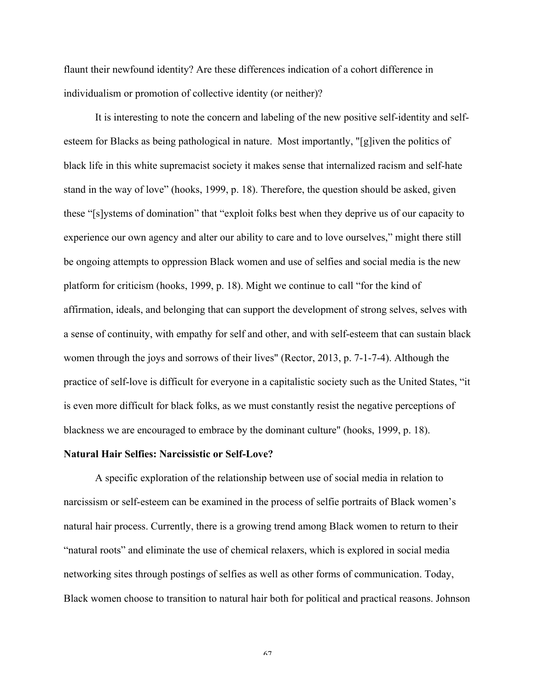flaunt their newfound identity? Are these differences indication of a cohort difference in individualism or promotion of collective identity (or neither)?

It is interesting to note the concern and labeling of the new positive self-identity and selfesteem for Blacks as being pathological in nature. Most importantly, "[g]iven the politics of black life in this white supremacist society it makes sense that internalized racism and self-hate stand in the way of love" (hooks, 1999, p. 18). Therefore, the question should be asked, given these "[s]ystems of domination" that "exploit folks best when they deprive us of our capacity to experience our own agency and alter our ability to care and to love ourselves," might there still be ongoing attempts to oppression Black women and use of selfies and social media is the new platform for criticism (hooks, 1999, p. 18). Might we continue to call "for the kind of affirmation, ideals, and belonging that can support the development of strong selves, selves with a sense of continuity, with empathy for self and other, and with self-esteem that can sustain black women through the joys and sorrows of their lives" (Rector, 2013, p. 7-1-7-4). Although the practice of self-love is difficult for everyone in a capitalistic society such as the United States, "it is even more difficult for black folks, as we must constantly resist the negative perceptions of blackness we are encouraged to embrace by the dominant culture" (hooks, 1999, p. 18).

#### **Natural Hair Selfies: Narcissistic or Self-Love?**

A specific exploration of the relationship between use of social media in relation to narcissism or self-esteem can be examined in the process of selfie portraits of Black women's natural hair process. Currently, there is a growing trend among Black women to return to their "natural roots" and eliminate the use of chemical relaxers, which is explored in social media networking sites through postings of selfies as well as other forms of communication. Today, Black women choose to transition to natural hair both for political and practical reasons. Johnson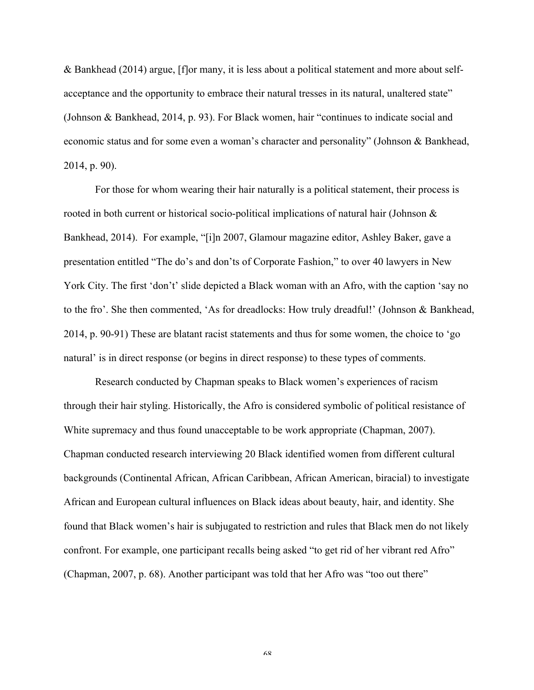& Bankhead (2014) argue, [f]or many, it is less about a political statement and more about selfacceptance and the opportunity to embrace their natural tresses in its natural, unaltered state" (Johnson & Bankhead, 2014, p. 93). For Black women, hair "continues to indicate social and economic status and for some even a woman's character and personality" (Johnson & Bankhead, 2014, p. 90).

For those for whom wearing their hair naturally is a political statement, their process is rooted in both current or historical socio-political implications of natural hair (Johnson & Bankhead, 2014). For example, "[i]n 2007, Glamour magazine editor, Ashley Baker, gave a presentation entitled "The do's and don'ts of Corporate Fashion," to over 40 lawyers in New York City. The first 'don't' slide depicted a Black woman with an Afro, with the caption 'say no to the fro'. She then commented, 'As for dreadlocks: How truly dreadful!' (Johnson & Bankhead, 2014, p. 90-91) These are blatant racist statements and thus for some women, the choice to 'go natural' is in direct response (or begins in direct response) to these types of comments.

Research conducted by Chapman speaks to Black women's experiences of racism through their hair styling. Historically, the Afro is considered symbolic of political resistance of White supremacy and thus found unacceptable to be work appropriate (Chapman, 2007). Chapman conducted research interviewing 20 Black identified women from different cultural backgrounds (Continental African, African Caribbean, African American, biracial) to investigate African and European cultural influences on Black ideas about beauty, hair, and identity. She found that Black women's hair is subjugated to restriction and rules that Black men do not likely confront. For example, one participant recalls being asked "to get rid of her vibrant red Afro" (Chapman, 2007, p. 68). Another participant was told that her Afro was "too out there"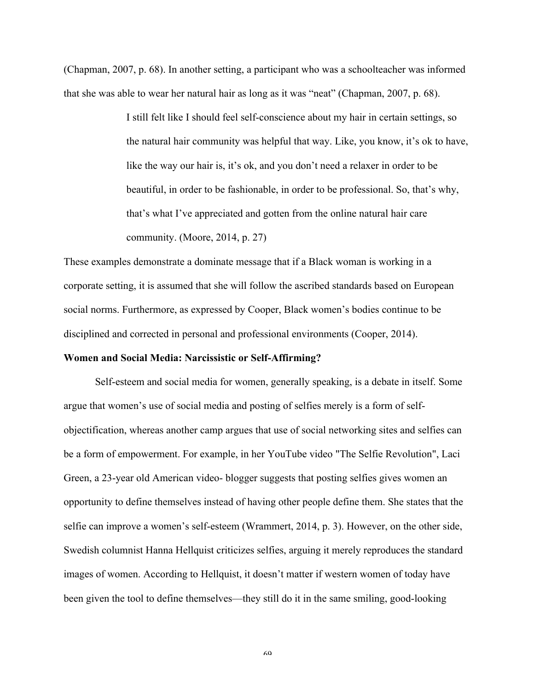(Chapman, 2007, p. 68). In another setting, a participant who was a schoolteacher was informed that she was able to wear her natural hair as long as it was "neat" (Chapman, 2007, p. 68).

> I still felt like I should feel self-conscience about my hair in certain settings, so the natural hair community was helpful that way. Like, you know, it's ok to have, like the way our hair is, it's ok, and you don't need a relaxer in order to be beautiful, in order to be fashionable, in order to be professional. So, that's why, that's what I've appreciated and gotten from the online natural hair care community. (Moore, 2014, p. 27)

These examples demonstrate a dominate message that if a Black woman is working in a corporate setting, it is assumed that she will follow the ascribed standards based on European social norms. Furthermore, as expressed by Cooper, Black women's bodies continue to be disciplined and corrected in personal and professional environments (Cooper, 2014).

#### **Women and Social Media: Narcissistic or Self-Affirming?**

Self-esteem and social media for women, generally speaking, is a debate in itself. Some argue that women's use of social media and posting of selfies merely is a form of selfobjectification, whereas another camp argues that use of social networking sites and selfies can be a form of empowerment. For example, in her YouTube video "The Selfie Revolution", Laci Green, a 23-year old American video- blogger suggests that posting selfies gives women an opportunity to define themselves instead of having other people define them. She states that the selfie can improve a women's self-esteem (Wrammert, 2014, p. 3). However, on the other side, Swedish columnist Hanna Hellquist criticizes selfies, arguing it merely reproduces the standard images of women. According to Hellquist, it doesn't matter if western women of today have been given the tool to define themselves—they still do it in the same smiling, good-looking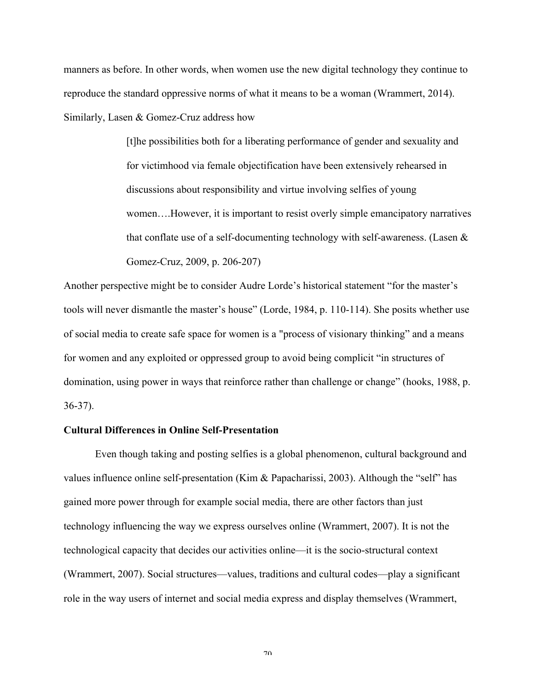manners as before. In other words, when women use the new digital technology they continue to reproduce the standard oppressive norms of what it means to be a woman (Wrammert, 2014). Similarly, Lasen & Gomez-Cruz address how

> [t]he possibilities both for a liberating performance of gender and sexuality and for victimhood via female objectification have been extensively rehearsed in discussions about responsibility and virtue involving selfies of young women….However, it is important to resist overly simple emancipatory narratives that conflate use of a self-documenting technology with self-awareness. (Lasen & Gomez-Cruz, 2009, p. 206-207)

Another perspective might be to consider Audre Lorde's historical statement "for the master's tools will never dismantle the master's house" (Lorde, 1984, p. 110-114). She posits whether use of social media to create safe space for women is a "process of visionary thinking" and a means for women and any exploited or oppressed group to avoid being complicit "in structures of domination, using power in ways that reinforce rather than challenge or change" (hooks, 1988, p. 36-37).

## **Cultural Differences in Online Self-Presentation**

Even though taking and posting selfies is a global phenomenon, cultural background and values influence online self-presentation (Kim & Papacharissi, 2003). Although the "self" has gained more power through for example social media, there are other factors than just technology influencing the way we express ourselves online (Wrammert, 2007). It is not the technological capacity that decides our activities online—it is the socio-structural context (Wrammert, 2007). Social structures—values, traditions and cultural codes—play a significant role in the way users of internet and social media express and display themselves (Wrammert,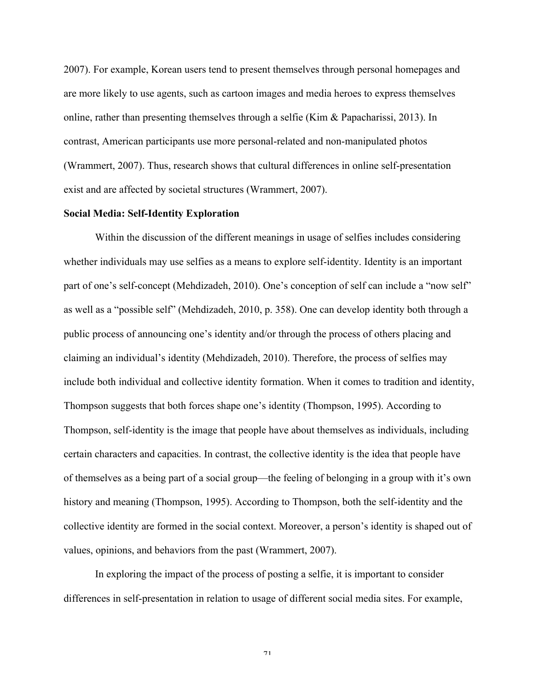2007). For example, Korean users tend to present themselves through personal homepages and are more likely to use agents, such as cartoon images and media heroes to express themselves online, rather than presenting themselves through a selfie (Kim & Papacharissi, 2013). In contrast, American participants use more personal-related and non-manipulated photos (Wrammert, 2007). Thus, research shows that cultural differences in online self-presentation exist and are affected by societal structures (Wrammert, 2007).

# **Social Media: Self-Identity Exploration**

Within the discussion of the different meanings in usage of selfies includes considering whether individuals may use selfies as a means to explore self-identity. Identity is an important part of one's self-concept (Mehdizadeh, 2010). One's conception of self can include a "now self" as well as a "possible self" (Mehdizadeh, 2010, p. 358). One can develop identity both through a public process of announcing one's identity and/or through the process of others placing and claiming an individual's identity (Mehdizadeh, 2010). Therefore, the process of selfies may include both individual and collective identity formation. When it comes to tradition and identity, Thompson suggests that both forces shape one's identity (Thompson, 1995). According to Thompson, self-identity is the image that people have about themselves as individuals, including certain characters and capacities. In contrast, the collective identity is the idea that people have of themselves as a being part of a social group—the feeling of belonging in a group with it's own history and meaning (Thompson, 1995). According to Thompson, both the self-identity and the collective identity are formed in the social context. Moreover, a person's identity is shaped out of values, opinions, and behaviors from the past (Wrammert, 2007).

In exploring the impact of the process of posting a selfie, it is important to consider differences in self-presentation in relation to usage of different social media sites. For example,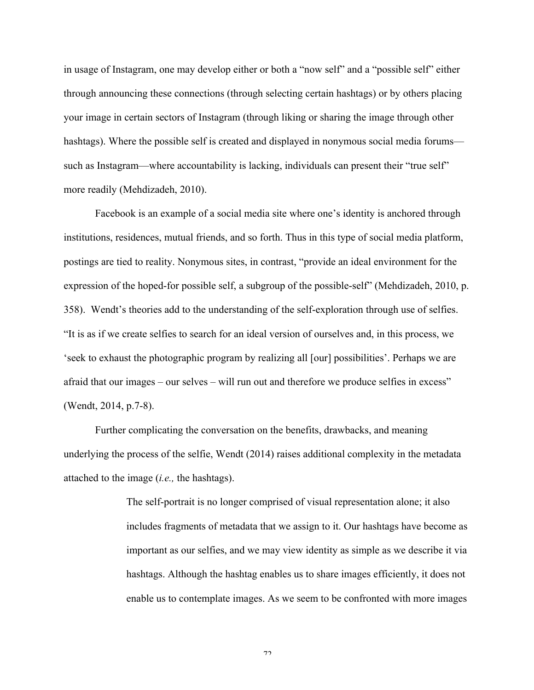in usage of Instagram, one may develop either or both a "now self" and a "possible self" either through announcing these connections (through selecting certain hashtags) or by others placing your image in certain sectors of Instagram (through liking or sharing the image through other hashtags). Where the possible self is created and displayed in nonymous social media forums such as Instagram—where accountability is lacking, individuals can present their "true self" more readily (Mehdizadeh, 2010).

Facebook is an example of a social media site where one's identity is anchored through institutions, residences, mutual friends, and so forth. Thus in this type of social media platform, postings are tied to reality. Nonymous sites, in contrast, "provide an ideal environment for the expression of the hoped-for possible self, a subgroup of the possible-self" (Mehdizadeh, 2010, p. 358). Wendt's theories add to the understanding of the self-exploration through use of selfies. "It is as if we create selfies to search for an ideal version of ourselves and, in this process, we 'seek to exhaust the photographic program by realizing all [our] possibilities'. Perhaps we are afraid that our images – our selves – will run out and therefore we produce selfies in excess" (Wendt, 2014, p.7-8).

Further complicating the conversation on the benefits, drawbacks, and meaning underlying the process of the selfie, Wendt (2014) raises additional complexity in the metadata attached to the image (*i.e.,* the hashtags).

> The self-portrait is no longer comprised of visual representation alone; it also includes fragments of metadata that we assign to it. Our hashtags have become as important as our selfies, and we may view identity as simple as we describe it via hashtags. Although the hashtag enables us to share images efficiently, it does not enable us to contemplate images. As we seem to be confronted with more images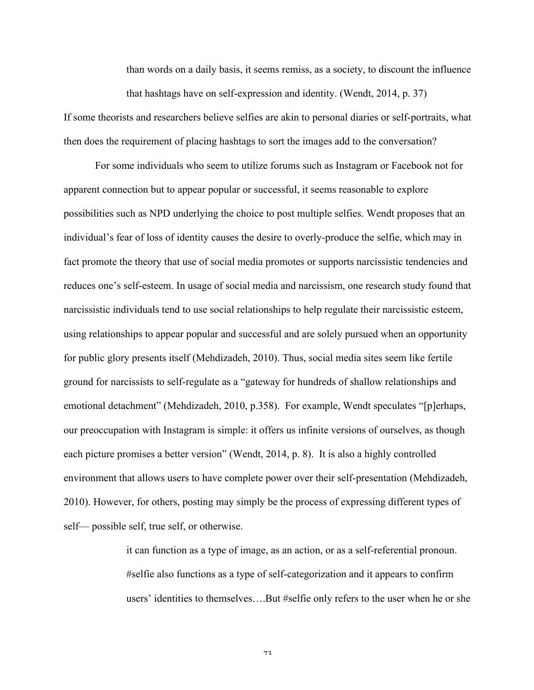than words on a daily basis, it seems remiss, as a society, to discount the influence that hashtags have on self-expression and identity. (Wendt, 2014, p. 37)

If some theorists and researchers believe selfies are akin to personal diaries or self-portraits, what then does the requirement of placing hashtags to sort the images add to the conversation?

For some individuals who seem to utilize forums such as Instagram or Facebook not for apparent connection but to appear popular or successful, it seems reasonable to explore possibilities such as NPD underlying the choice to post multiple selfies. Wendt proposes that an individual's fear of loss of identity causes the desire to overly-produce the selfie, which may in fact promote the theory that use of social media promotes or supports narcissistic tendencies and reduces one's self-esteem. In usage of social media and narcissism, one research study found that narcissistic individuals tend to use social relationships to help regulate their narcissistic esteem, using relationships to appear popular and successful and are solely pursued when an opportunity for public glory presents itself (Mehdizadeh, 2010). Thus, social media sites seem like fertile ground for narcissists to self-regulate as a "gateway for hundreds of shallow relationships and emotional detachment" (Mehdizadeh, 2010, p.358). For example, Wendt speculates "[p]erhaps, our preoccupation with Instagram is simple: it offers us infinite versions of ourselves, as though each picture promises a better version" (Wendt, 2014, p. 8). It is also a highly controlled environment that allows users to have complete power over their self-presentation (Mehdizadeh, 2010). However, for others, posting may simply be the process of expressing different types of self— possible self, true self, or otherwise.

> it can function as a type of image, as an action, or as a self-referential pronoun. #selfie also functions as a type of self-categorization and it appears to confirm users' identities to themselves….But #selfie only refers to the user when he or she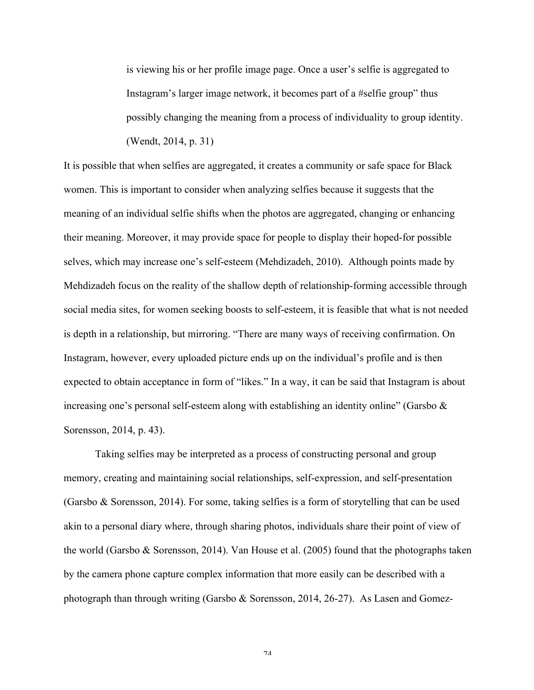is viewing his or her profile image page. Once a user's selfie is aggregated to Instagram's larger image network, it becomes part of a #selfie group" thus possibly changing the meaning from a process of individuality to group identity. (Wendt, 2014, p. 31)

It is possible that when selfies are aggregated, it creates a community or safe space for Black women. This is important to consider when analyzing selfies because it suggests that the meaning of an individual selfie shifts when the photos are aggregated, changing or enhancing their meaning. Moreover, it may provide space for people to display their hoped-for possible selves, which may increase one's self-esteem (Mehdizadeh, 2010). Although points made by Mehdizadeh focus on the reality of the shallow depth of relationship-forming accessible through social media sites, for women seeking boosts to self-esteem, it is feasible that what is not needed is depth in a relationship, but mirroring. "There are many ways of receiving confirmation. On Instagram, however, every uploaded picture ends up on the individual's profile and is then expected to obtain acceptance in form of "likes." In a way, it can be said that Instagram is about increasing one's personal self-esteem along with establishing an identity online" (Garsbo & Sorensson, 2014, p. 43).

Taking selfies may be interpreted as a process of constructing personal and group memory, creating and maintaining social relationships, self-expression, and self-presentation (Garsbo & Sorensson, 2014). For some, taking selfies is a form of storytelling that can be used akin to a personal diary where, through sharing photos, individuals share their point of view of the world (Garsbo & Sorensson, 2014). Van House et al. (2005) found that the photographs taken by the camera phone capture complex information that more easily can be described with a photograph than through writing (Garsbo & Sorensson, 2014, 26-27). As Lasen and Gomez-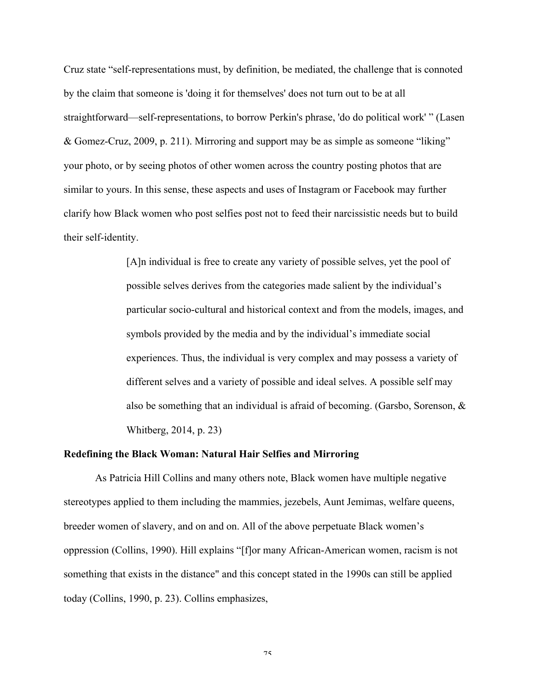Cruz state "self-representations must, by definition, be mediated, the challenge that is connoted by the claim that someone is 'doing it for themselves' does not turn out to be at all straightforward—self-representations, to borrow Perkin's phrase, 'do do political work' " (Lasen & Gomez-Cruz, 2009, p. 211). Mirroring and support may be as simple as someone "liking" your photo, or by seeing photos of other women across the country posting photos that are similar to yours. In this sense, these aspects and uses of Instagram or Facebook may further clarify how Black women who post selfies post not to feed their narcissistic needs but to build their self-identity.

> [A]n individual is free to create any variety of possible selves, yet the pool of possible selves derives from the categories made salient by the individual's particular socio-cultural and historical context and from the models, images, and symbols provided by the media and by the individual's immediate social experiences. Thus, the individual is very complex and may possess a variety of different selves and a variety of possible and ideal selves. A possible self may also be something that an individual is afraid of becoming. (Garsbo, Sorenson, & Whitberg, 2014, p. 23)

### **Redefining the Black Woman: Natural Hair Selfies and Mirroring**

As Patricia Hill Collins and many others note, Black women have multiple negative stereotypes applied to them including the mammies, jezebels, Aunt Jemimas, welfare queens, breeder women of slavery, and on and on. All of the above perpetuate Black women's oppression (Collins, 1990). Hill explains "[f]or many African-American women, racism is not something that exists in the distance" and this concept stated in the 1990s can still be applied today (Collins, 1990, p. 23). Collins emphasizes,

 $7\,$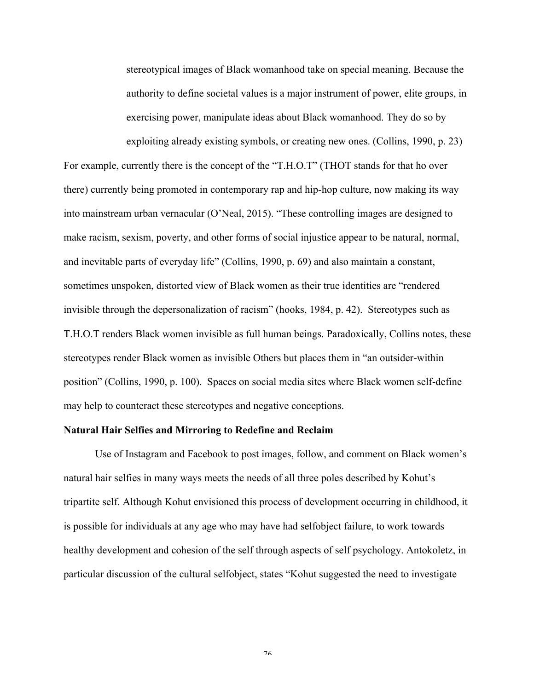stereotypical images of Black womanhood take on special meaning. Because the authority to define societal values is a major instrument of power, elite groups, in exercising power, manipulate ideas about Black womanhood. They do so by exploiting already existing symbols, or creating new ones. (Collins, 1990, p. 23)

For example, currently there is the concept of the "T.H.O.T" (THOT stands for that ho over there) currently being promoted in contemporary rap and hip-hop culture, now making its way into mainstream urban vernacular (O'Neal, 2015). "These controlling images are designed to make racism, sexism, poverty, and other forms of social injustice appear to be natural, normal, and inevitable parts of everyday life" (Collins, 1990, p. 69) and also maintain a constant, sometimes unspoken, distorted view of Black women as their true identities are "rendered invisible through the depersonalization of racism" (hooks, 1984, p. 42). Stereotypes such as T.H.O.T renders Black women invisible as full human beings. Paradoxically, Collins notes, these stereotypes render Black women as invisible Others but places them in "an outsider-within position" (Collins, 1990, p. 100). Spaces on social media sites where Black women self-define may help to counteract these stereotypes and negative conceptions.

#### **Natural Hair Selfies and Mirroring to Redefine and Reclaim**

Use of Instagram and Facebook to post images, follow, and comment on Black women's natural hair selfies in many ways meets the needs of all three poles described by Kohut's tripartite self. Although Kohut envisioned this process of development occurring in childhood, it is possible for individuals at any age who may have had selfobject failure, to work towards healthy development and cohesion of the self through aspects of self psychology. Antokoletz, in particular discussion of the cultural selfobject, states "Kohut suggested the need to investigate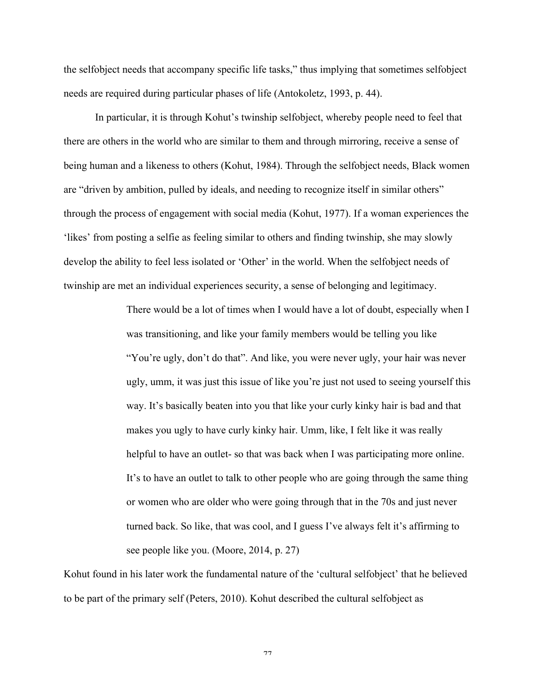the selfobject needs that accompany specific life tasks," thus implying that sometimes selfobject needs are required during particular phases of life (Antokoletz, 1993, p. 44).

In particular, it is through Kohut's twinship selfobject, whereby people need to feel that there are others in the world who are similar to them and through mirroring, receive a sense of being human and a likeness to others (Kohut, 1984). Through the selfobject needs, Black women are "driven by ambition, pulled by ideals, and needing to recognize itself in similar others" through the process of engagement with social media (Kohut, 1977). If a woman experiences the 'likes' from posting a selfie as feeling similar to others and finding twinship, she may slowly develop the ability to feel less isolated or 'Other' in the world. When the selfobject needs of twinship are met an individual experiences security, a sense of belonging and legitimacy.

> There would be a lot of times when I would have a lot of doubt, especially when I was transitioning, and like your family members would be telling you like "You're ugly, don't do that". And like, you were never ugly, your hair was never ugly, umm, it was just this issue of like you're just not used to seeing yourself this way. It's basically beaten into you that like your curly kinky hair is bad and that makes you ugly to have curly kinky hair. Umm, like, I felt like it was really helpful to have an outlet- so that was back when I was participating more online. It's to have an outlet to talk to other people who are going through the same thing or women who are older who were going through that in the 70s and just never turned back. So like, that was cool, and I guess I've always felt it's affirming to see people like you. (Moore, 2014, p. 27)

Kohut found in his later work the fundamental nature of the 'cultural selfobject' that he believed to be part of the primary self (Peters, 2010). Kohut described the cultural selfobject as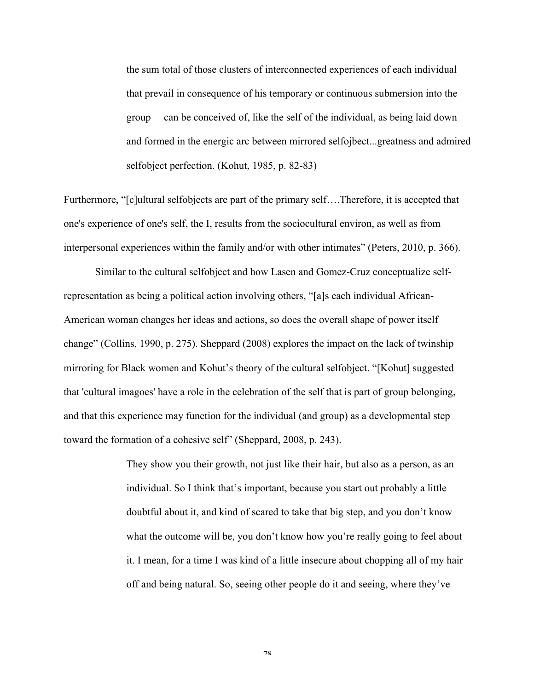the sum total of those clusters of interconnected experiences of each individual that prevail in consequence of his temporary or continuous submersion into the group— can be conceived of, like the self of the individual, as being laid down and formed in the energic arc between mirrored selfojbect...greatness and admired selfobject perfection. (Kohut, 1985, p. 82-83)

Furthermore, "[c]ultural selfobjects are part of the primary self….Therefore, it is accepted that one's experience of one's self, the I, results from the sociocultural environ, as well as from interpersonal experiences within the family and/or with other intimates" (Peters, 2010, p. 366).

Similar to the cultural selfobject and how Lasen and Gomez-Cruz conceptualize selfrepresentation as being a political action involving others, "[a]s each individual African-American woman changes her ideas and actions, so does the overall shape of power itself change" (Collins, 1990, p. 275). Sheppard (2008) explores the impact on the lack of twinship mirroring for Black women and Kohut's theory of the cultural selfobject. "[Kohut] suggested that 'cultural imagoes' have a role in the celebration of the self that is part of group belonging, and that this experience may function for the individual (and group) as a developmental step toward the formation of a cohesive self" (Sheppard, 2008, p. 243).

> They show you their growth, not just like their hair, but also as a person, as an individual. So I think that's important, because you start out probably a little doubtful about it, and kind of scared to take that big step, and you don't know what the outcome will be, you don't know how you're really going to feel about it. I mean, for a time I was kind of a little insecure about chopping all of my hair off and being natural. So, seeing other people do it and seeing, where they've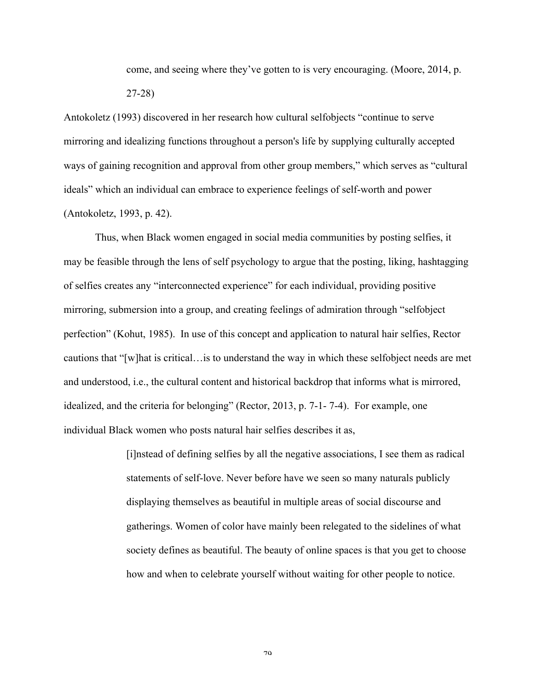come, and seeing where they've gotten to is very encouraging. (Moore, 2014, p.

27-28)

Antokoletz (1993) discovered in her research how cultural selfobjects "continue to serve mirroring and idealizing functions throughout a person's life by supplying culturally accepted ways of gaining recognition and approval from other group members," which serves as "cultural ideals" which an individual can embrace to experience feelings of self-worth and power (Antokoletz, 1993, p. 42).

Thus, when Black women engaged in social media communities by posting selfies, it may be feasible through the lens of self psychology to argue that the posting, liking, hashtagging of selfies creates any "interconnected experience" for each individual, providing positive mirroring, submersion into a group, and creating feelings of admiration through "selfobject perfection" (Kohut, 1985). In use of this concept and application to natural hair selfies, Rector cautions that "[w]hat is critical…is to understand the way in which these selfobject needs are met and understood, i.e., the cultural content and historical backdrop that informs what is mirrored, idealized, and the criteria for belonging" (Rector, 2013, p. 7-1- 7-4). For example, one individual Black women who posts natural hair selfies describes it as,

> [i]nstead of defining selfies by all the negative associations, I see them as radical statements of self-love. Never before have we seen so many naturals publicly displaying themselves as beautiful in multiple areas of social discourse and gatherings. Women of color have mainly been relegated to the sidelines of what society defines as beautiful. The beauty of online spaces is that you get to choose how and when to celebrate yourself without waiting for other people to notice.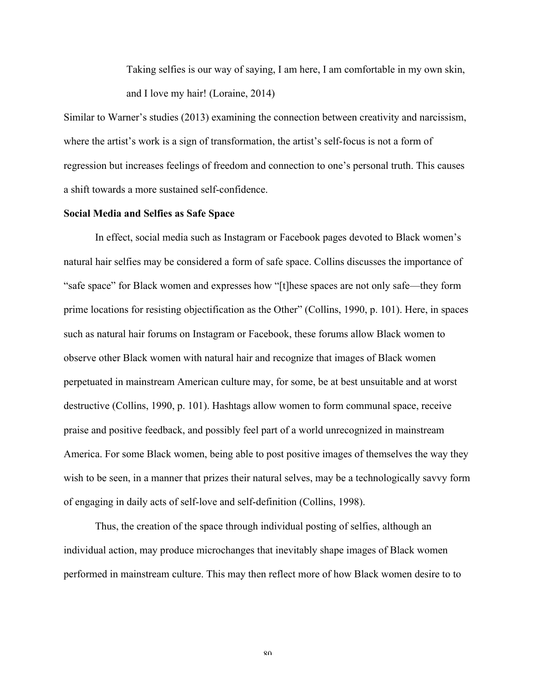Taking selfies is our way of saying, I am here, I am comfortable in my own skin, and I love my hair! (Loraine, 2014)

Similar to Warner's studies (2013) examining the connection between creativity and narcissism, where the artist's work is a sign of transformation, the artist's self-focus is not a form of regression but increases feelings of freedom and connection to one's personal truth. This causes a shift towards a more sustained self-confidence.

# **Social Media and Selfies as Safe Space**

In effect, social media such as Instagram or Facebook pages devoted to Black women's natural hair selfies may be considered a form of safe space. Collins discusses the importance of "safe space" for Black women and expresses how "[t]hese spaces are not only safe—they form prime locations for resisting objectification as the Other" (Collins, 1990, p. 101). Here, in spaces such as natural hair forums on Instagram or Facebook, these forums allow Black women to observe other Black women with natural hair and recognize that images of Black women perpetuated in mainstream American culture may, for some, be at best unsuitable and at worst destructive (Collins, 1990, p. 101). Hashtags allow women to form communal space, receive praise and positive feedback, and possibly feel part of a world unrecognized in mainstream America. For some Black women, being able to post positive images of themselves the way they wish to be seen, in a manner that prizes their natural selves, may be a technologically savvy form of engaging in daily acts of self-love and self-definition (Collins, 1998).

Thus, the creation of the space through individual posting of selfies, although an individual action, may produce microchanges that inevitably shape images of Black women performed in mainstream culture. This may then reflect more of how Black women desire to to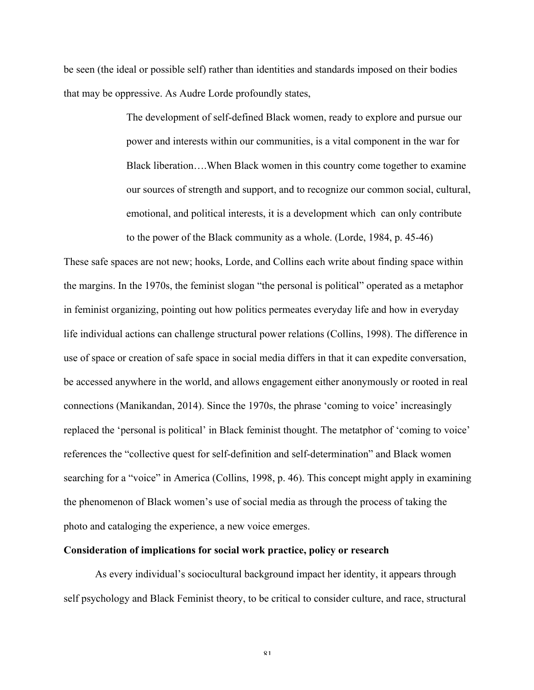be seen (the ideal or possible self) rather than identities and standards imposed on their bodies that may be oppressive. As Audre Lorde profoundly states,

> The development of self-defined Black women, ready to explore and pursue our power and interests within our communities, is a vital component in the war for Black liberation….When Black women in this country come together to examine our sources of strength and support, and to recognize our common social, cultural, emotional, and political interests, it is a development which can only contribute to the power of the Black community as a whole. (Lorde, 1984, p. 45-46)

These safe spaces are not new; hooks, Lorde, and Collins each write about finding space within the margins. In the 1970s, the feminist slogan "the personal is political" operated as a metaphor in feminist organizing, pointing out how politics permeates everyday life and how in everyday life individual actions can challenge structural power relations (Collins, 1998). The difference in use of space or creation of safe space in social media differs in that it can expedite conversation, be accessed anywhere in the world, and allows engagement either anonymously or rooted in real connections (Manikandan, 2014). Since the 1970s, the phrase 'coming to voice' increasingly replaced the 'personal is political' in Black feminist thought. The metatphor of 'coming to voice' references the "collective quest for self-definition and self-determination" and Black women searching for a "voice" in America (Collins, 1998, p. 46). This concept might apply in examining the phenomenon of Black women's use of social media as through the process of taking the photo and cataloging the experience, a new voice emerges.

#### **Consideration of implications for social work practice, policy or research**

As every individual's sociocultural background impact her identity, it appears through self psychology and Black Feminist theory, to be critical to consider culture, and race, structural

 $Q<sub>1</sub>$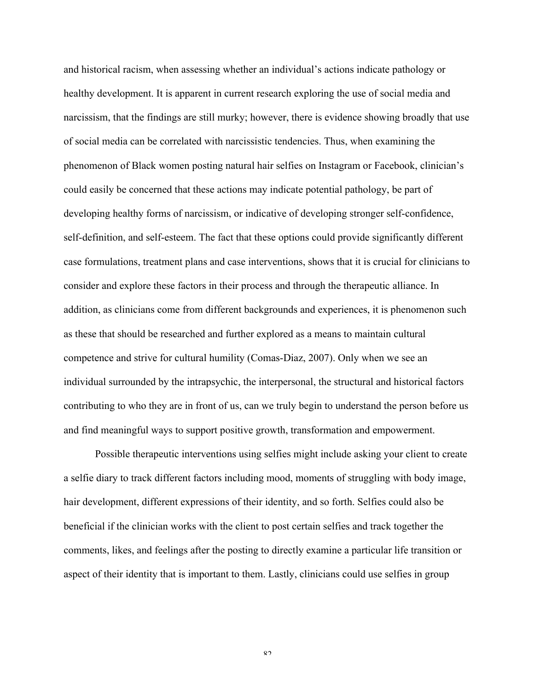and historical racism, when assessing whether an individual's actions indicate pathology or healthy development. It is apparent in current research exploring the use of social media and narcissism, that the findings are still murky; however, there is evidence showing broadly that use of social media can be correlated with narcissistic tendencies. Thus, when examining the phenomenon of Black women posting natural hair selfies on Instagram or Facebook, clinician's could easily be concerned that these actions may indicate potential pathology, be part of developing healthy forms of narcissism, or indicative of developing stronger self-confidence, self-definition, and self-esteem. The fact that these options could provide significantly different case formulations, treatment plans and case interventions, shows that it is crucial for clinicians to consider and explore these factors in their process and through the therapeutic alliance. In addition, as clinicians come from different backgrounds and experiences, it is phenomenon such as these that should be researched and further explored as a means to maintain cultural competence and strive for cultural humility (Comas-Diaz, 2007). Only when we see an individual surrounded by the intrapsychic, the interpersonal, the structural and historical factors contributing to who they are in front of us, can we truly begin to understand the person before us and find meaningful ways to support positive growth, transformation and empowerment.

Possible therapeutic interventions using selfies might include asking your client to create a selfie diary to track different factors including mood, moments of struggling with body image, hair development, different expressions of their identity, and so forth. Selfies could also be beneficial if the clinician works with the client to post certain selfies and track together the comments, likes, and feelings after the posting to directly examine a particular life transition or aspect of their identity that is important to them. Lastly, clinicians could use selfies in group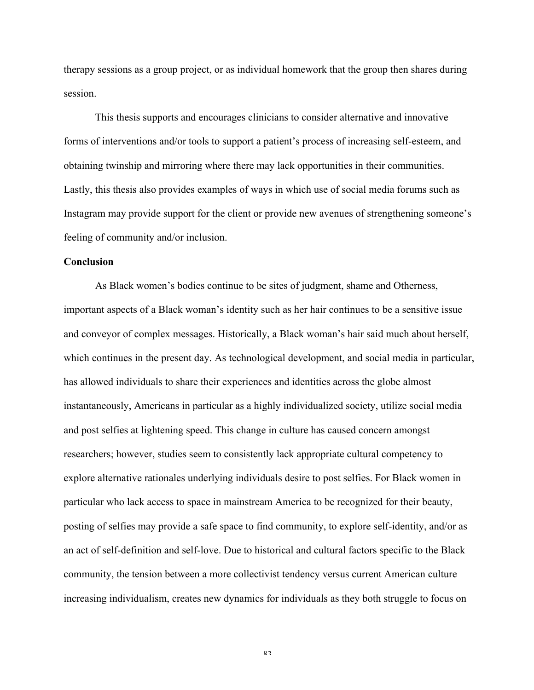therapy sessions as a group project, or as individual homework that the group then shares during session.

This thesis supports and encourages clinicians to consider alternative and innovative forms of interventions and/or tools to support a patient's process of increasing self-esteem, and obtaining twinship and mirroring where there may lack opportunities in their communities. Lastly, this thesis also provides examples of ways in which use of social media forums such as Instagram may provide support for the client or provide new avenues of strengthening someone's feeling of community and/or inclusion.

## **Conclusion**

As Black women's bodies continue to be sites of judgment, shame and Otherness, important aspects of a Black woman's identity such as her hair continues to be a sensitive issue and conveyor of complex messages. Historically, a Black woman's hair said much about herself, which continues in the present day. As technological development, and social media in particular, has allowed individuals to share their experiences and identities across the globe almost instantaneously, Americans in particular as a highly individualized society, utilize social media and post selfies at lightening speed. This change in culture has caused concern amongst researchers; however, studies seem to consistently lack appropriate cultural competency to explore alternative rationales underlying individuals desire to post selfies. For Black women in particular who lack access to space in mainstream America to be recognized for their beauty, posting of selfies may provide a safe space to find community, to explore self-identity, and/or as an act of self-definition and self-love. Due to historical and cultural factors specific to the Black community, the tension between a more collectivist tendency versus current American culture increasing individualism, creates new dynamics for individuals as they both struggle to focus on

 $8<sub>3</sub>$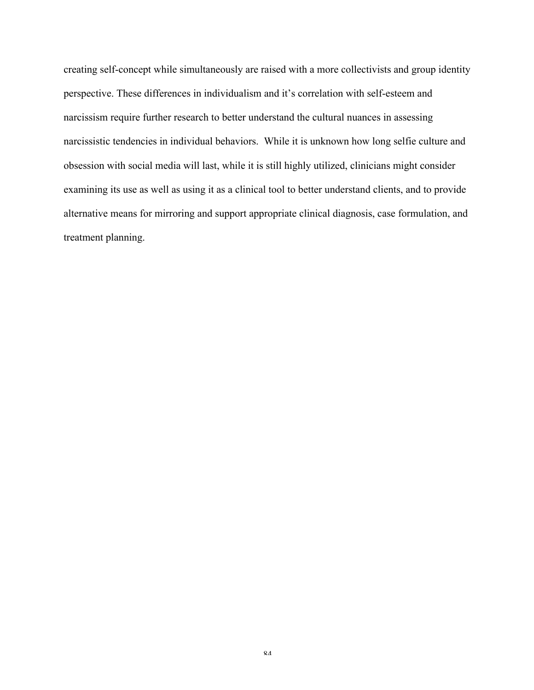creating self-concept while simultaneously are raised with a more collectivists and group identity perspective. These differences in individualism and it's correlation with self-esteem and narcissism require further research to better understand the cultural nuances in assessing narcissistic tendencies in individual behaviors. While it is unknown how long selfie culture and obsession with social media will last, while it is still highly utilized, clinicians might consider examining its use as well as using it as a clinical tool to better understand clients, and to provide alternative means for mirroring and support appropriate clinical diagnosis, case formulation, and treatment planning.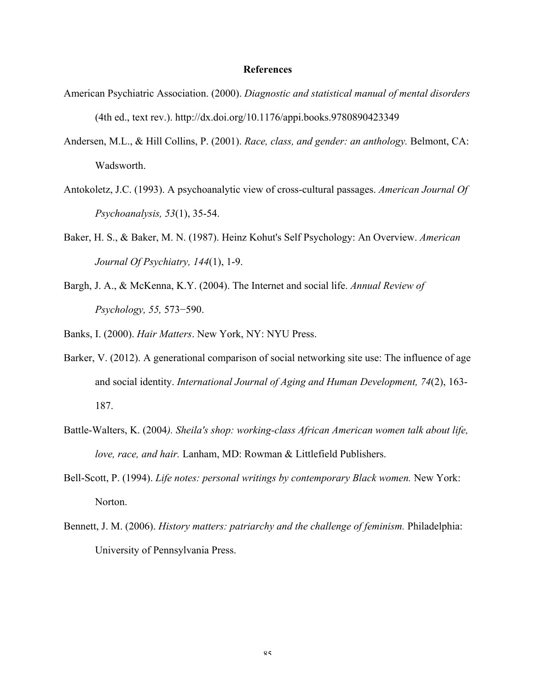### **References**

- American Psychiatric Association. (2000). *Diagnostic and statistical manual of mental disorders* (4th ed., text rev.). http://dx.doi.org/10.1176/appi.books.9780890423349
- Andersen, M.L., & Hill Collins, P. (2001). *Race, class, and gender: an anthology.* Belmont, CA: Wadsworth.
- Antokoletz, J.C. (1993). A psychoanalytic view of cross-cultural passages. *American Journal Of Psychoanalysis, 53*(1), 35-54.
- Baker, H. S., & Baker, M. N. (1987). Heinz Kohut's Self Psychology: An Overview. *American Journal Of Psychiatry, 144*(1), 1-9.
- Bargh, J. A., & McKenna, K.Y. (2004). The Internet and social life. *Annual Review of Psychology, 55,* 573−590.
- Banks, I. (2000). *Hair Matters*. New York, NY: NYU Press.
- Barker, V. (2012). A generational comparison of social networking site use: The influence of age and social identity. *International Journal of Aging and Human Development, 74*(2), 163- 187.
- Battle-Walters, K. (2004*). Sheila's shop: working-class African American women talk about life, love, race, and hair.* Lanham, MD: Rowman & Littlefield Publishers.
- Bell-Scott, P. (1994). *Life notes: personal writings by contemporary Black women.* New York: Norton.
- Bennett, J. M. (2006). *History matters: patriarchy and the challenge of feminism.* Philadelphia: University of Pennsylvania Press.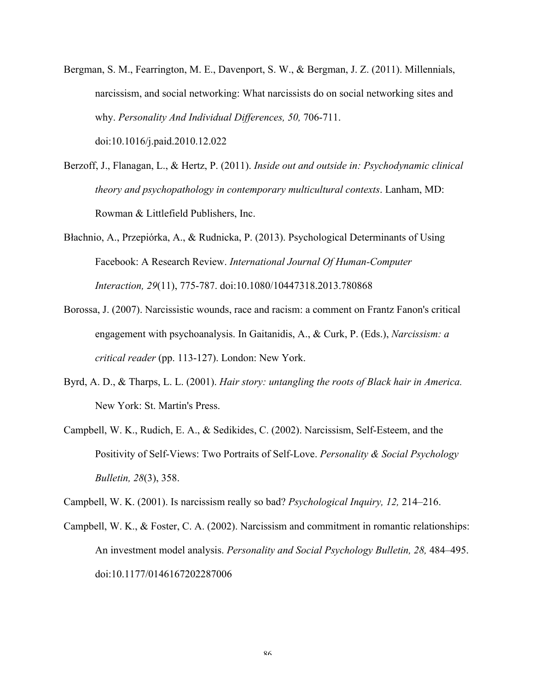- Bergman, S. M., Fearrington, M. E., Davenport, S. W., & Bergman, J. Z. (2011). Millennials, narcissism, and social networking: What narcissists do on social networking sites and why. *Personality And Individual Differences, 50,* 706-711. doi:10.1016/j.paid.2010.12.022
- Berzoff, J., Flanagan, L., & Hertz, P. (2011). *Inside out and outside in: Psychodynamic clinical theory and psychopathology in contemporary multicultural contexts*. Lanham, MD: Rowman & Littlefield Publishers, Inc.
- Błachnio, A., Przepiórka, A., & Rudnicka, P. (2013). Psychological Determinants of Using Facebook: A Research Review. *International Journal Of Human-Computer Interaction, 29*(11), 775-787. doi:10.1080/10447318.2013.780868
- Borossa, J. (2007). Narcissistic wounds, race and racism: a comment on Frantz Fanon's critical engagement with psychoanalysis. In Gaitanidis, A., & Curk, P. (Eds.), *Narcissism: a critical reader* (pp. 113-127). London: New York.
- Byrd, A. D., & Tharps, L. L. (2001). *Hair story: untangling the roots of Black hair in America.* New York: St. Martin's Press.
- Campbell, W. K., Rudich, E. A., & Sedikides, C. (2002). Narcissism, Self-Esteem, and the Positivity of Self-Views: Two Portraits of Self-Love. *Personality & Social Psychology Bulletin, 28*(3), 358.

Campbell, W. K. (2001). Is narcissism really so bad? *Psychological Inquiry, 12,* 214–216.

Campbell, W. K., & Foster, C. A. (2002). Narcissism and commitment in romantic relationships: An investment model analysis. *Personality and Social Psychology Bulletin, 28,* 484–495. doi:10.1177/0146167202287006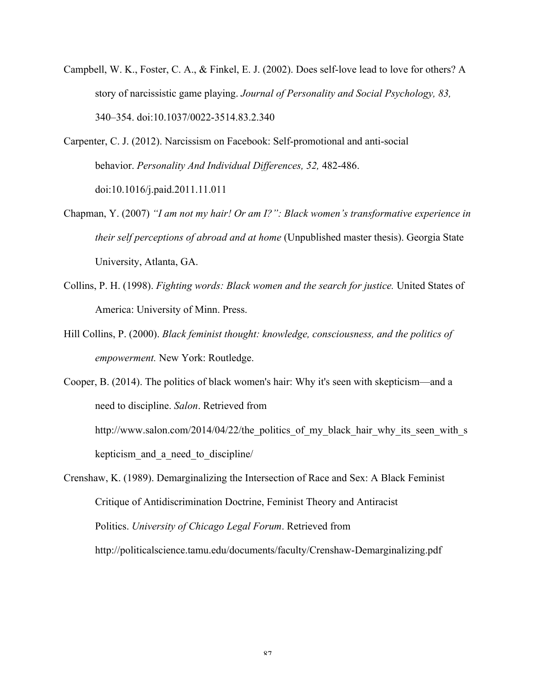- Campbell, W. K., Foster, C. A., & Finkel, E. J. (2002). Does self-love lead to love for others? A story of narcissistic game playing. *Journal of Personality and Social Psychology, 83,* 340–354. doi:10.1037/0022-3514.83.2.340
- Carpenter, C. J. (2012). Narcissism on Facebook: Self-promotional and anti-social behavior. *Personality And Individual Differences, 52,* 482-486. doi:10.1016/j.paid.2011.11.011
- Chapman, Y. (2007) *"I am not my hair! Or am I?": Black women's transformative experience in their self perceptions of abroad and at home* (Unpublished master thesis). Georgia State University, Atlanta, GA.
- Collins, P. H. (1998). *Fighting words: Black women and the search for justice.* United States of America: University of Minn. Press.
- Hill Collins, P. (2000). *Black feminist thought: knowledge, consciousness, and the politics of empowerment.* New York: Routledge.

Cooper, B. (2014). The politics of black women's hair: Why it's seen with skepticism—and a need to discipline. *Salon*. Retrieved from http://www.salon.com/2014/04/22/the politics of my black hair why its seen with s kepticism\_and\_a\_need\_to\_discipline/

Crenshaw, K. (1989). Demarginalizing the Intersection of Race and Sex: A Black Feminist Critique of Antidiscrimination Doctrine, Feminist Theory and Antiracist Politics. *University of Chicago Legal Forum*. Retrieved from http://politicalscience.tamu.edu/documents/faculty/Crenshaw-Demarginalizing.pdf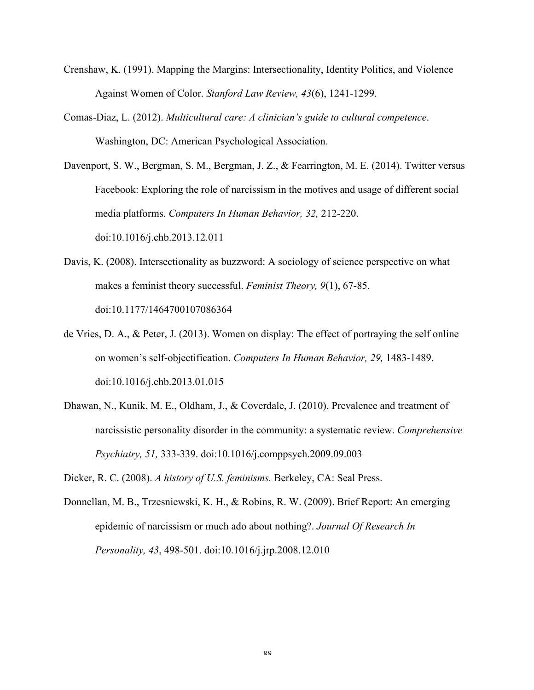- Crenshaw, K. (1991). Mapping the Margins: Intersectionality, Identity Politics, and Violence Against Women of Color. *Stanford Law Review, 43*(6), 1241-1299.
- Comas-Diaz, L. (2012). *Multicultural care: A clinician's guide to cultural competence*. Washington, DC: American Psychological Association.
- Davenport, S. W., Bergman, S. M., Bergman, J. Z., & Fearrington, M. E. (2014). Twitter versus Facebook: Exploring the role of narcissism in the motives and usage of different social media platforms. *Computers In Human Behavior, 32,* 212-220. doi:10.1016/j.chb.2013.12.011
- Davis, K. (2008). Intersectionality as buzzword: A sociology of science perspective on what makes a feminist theory successful. *Feminist Theory, 9*(1), 67-85. doi:10.1177/1464700107086364
- de Vries, D. A., & Peter, J. (2013). Women on display: The effect of portraying the self online on women's self-objectification. *Computers In Human Behavior, 29,* 1483-1489. doi:10.1016/j.chb.2013.01.015
- Dhawan, N., Kunik, M. E., Oldham, J., & Coverdale, J. (2010). Prevalence and treatment of narcissistic personality disorder in the community: a systematic review. *Comprehensive Psychiatry, 51,* 333-339. doi:10.1016/j.comppsych.2009.09.003
- Dicker, R. C. (2008). *A history of U.S. feminisms.* Berkeley, CA: Seal Press.
- Donnellan, M. B., Trzesniewski, K. H., & Robins, R. W. (2009). Brief Report: An emerging epidemic of narcissism or much ado about nothing?. *Journal Of Research In Personality, 43*, 498-501. doi:10.1016/j.jrp.2008.12.010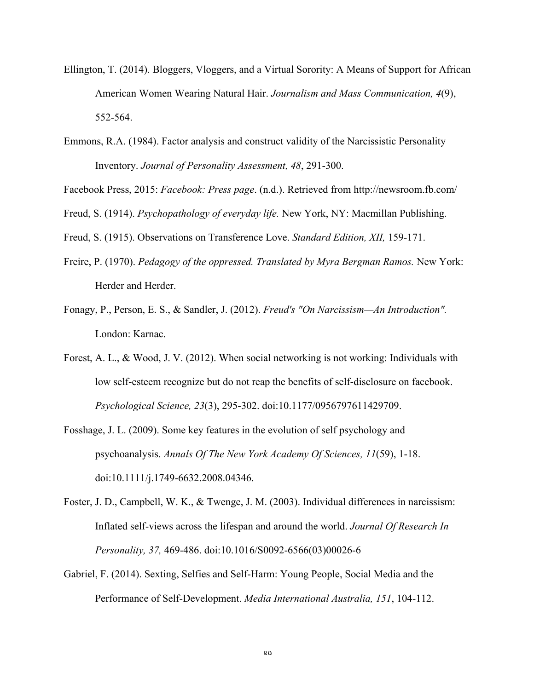- Ellington, T. (2014). Bloggers, Vloggers, and a Virtual Sorority: A Means of Support for African American Women Wearing Natural Hair. *Journalism and Mass Communication, 4*(9), 552-564.
- Emmons, R.A. (1984). Factor analysis and construct validity of the Narcissistic Personality Inventory. *Journal of Personality Assessment, 48*, 291-300.
- Facebook Press, 2015: *Facebook: Press page*. (n.d.). Retrieved from http://newsroom.fb.com/
- Freud, S. (1914). *Psychopathology of everyday life.* New York, NY: Macmillan Publishing.
- Freud, S. (1915). Observations on Transference Love. *Standard Edition, XII,* 159-171.
- Freire, P. (1970). *Pedagogy of the oppressed. Translated by Myra Bergman Ramos.* New York: Herder and Herder.
- Fonagy, P., Person, E. S., & Sandler, J. (2012). *Freud's "On Narcissism—An Introduction".*  London: Karnac.
- Forest, A. L., & Wood, J. V. (2012). When social networking is not working: Individuals with low self-esteem recognize but do not reap the benefits of self-disclosure on facebook. *Psychological Science, 23*(3), 295-302. doi:10.1177/0956797611429709.
- Fosshage, J. L. (2009). Some key features in the evolution of self psychology and psychoanalysis. *Annals Of The New York Academy Of Sciences, 11*(59), 1-18. doi:10.1111/j.1749-6632.2008.04346.
- Foster, J. D., Campbell, W. K., & Twenge, J. M. (2003). Individual differences in narcissism: Inflated self-views across the lifespan and around the world. *Journal Of Research In Personality, 37,* 469-486. doi:10.1016/S0092-6566(03)00026-6
- Gabriel, F. (2014). Sexting, Selfies and Self-Harm: Young People, Social Media and the Performance of Self-Development. *Media International Australia, 151*, 104-112.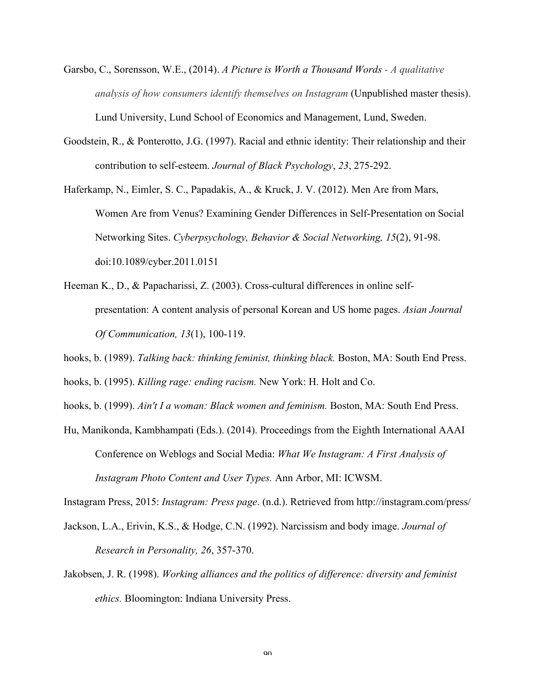- Garsbo, C., Sorensson, W.E., (2014). *A Picture is Worth a Thousand Words - A qualitative analysis of how consumers identify themselves on Instagram* (Unpublished master thesis). Lund University, Lund School of Economics and Management, Lund, Sweden.
- Goodstein, R., & Ponterotto, J.G. (1997). Racial and ethnic identity: Their relationship and their contribution to self-esteem. *Journal of Black Psychology*, *23*, 275-292.
- Haferkamp, N., Eimler, S. C., Papadakis, A., & Kruck, J. V. (2012). Men Are from Mars, Women Are from Venus? Examining Gender Differences in Self-Presentation on Social Networking Sites. *Cyberpsychology, Behavior & Social Networking, 15*(2), 91-98. doi:10.1089/cyber.2011.0151
- Heeman K., D., & Papacharissi, Z. (2003). Cross-cultural differences in online selfpresentation: A content analysis of personal Korean and US home pages. *Asian Journal Of Communication, 13*(1), 100-119.
- hooks, b. (1989). *Talking back: thinking feminist, thinking black.* Boston, MA: South End Press.

hooks, b. (1995). *Killing rage: ending racism.* New York: H. Holt and Co.

hooks, b. (1999). *Ain't I a woman: Black women and feminism.* Boston, MA: South End Press.

Hu, Manikonda, Kambhampati (Eds.). (2014). Proceedings from the Eighth International AAAI Conference on Weblogs and Social Media: *What We Instagram: A First Analysis of Instagram Photo Content and User Types.* Ann Arbor, MI: ICWSM.

Instagram Press, 2015: *Instagram: Press page*. (n.d.). Retrieved from http://instagram.com/press/

- Jackson, L.A., Erivin, K.S., & Hodge, C.N. (1992). Narcissism and body image. *Journal of Research in Personality, 26*, 357-370.
- Jakobsen, J. R. (1998). *Working alliances and the politics of difference: diversity and feminist ethics.* Bloomington: Indiana University Press.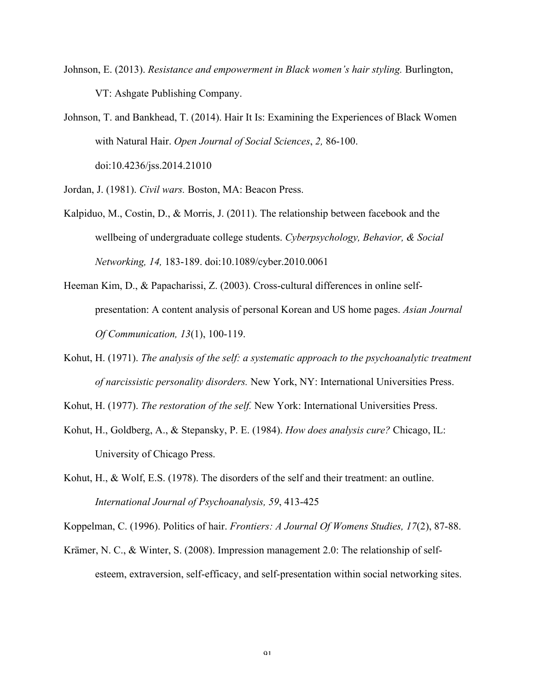- Johnson, E. (2013). *Resistance and empowerment in Black women's hair styling.* Burlington, VT: Ashgate Publishing Company.
- Johnson, T. and Bankhead, T. (2014). Hair It Is: Examining the Experiences of Black Women with Natural Hair. *Open Journal of Social Sciences*, *2,* 86-100. doi:10.4236/jss.2014.21010
- Jordan, J. (1981). *Civil wars.* Boston, MA: Beacon Press.
- Kalpiduo, M., Costin, D., & Morris, J. (2011). The relationship between facebook and the wellbeing of undergraduate college students. *Cyberpsychology, Behavior, & Social Networking, 14,* 183-189. doi:10.1089/cyber.2010.0061
- Heeman Kim, D., & Papacharissi, Z. (2003). Cross-cultural differences in online selfpresentation: A content analysis of personal Korean and US home pages. *Asian Journal Of Communication, 13*(1), 100-119.
- Kohut, H. (1971). *The analysis of the self: a systematic approach to the psychoanalytic treatment of narcissistic personality disorders.* New York, NY: International Universities Press.
- Kohut, H. (1977). *The restoration of the self.* New York: International Universities Press.
- Kohut, H., Goldberg, A., & Stepansky, P. E. (1984). *How does analysis cure?* Chicago, IL: University of Chicago Press.
- Kohut, H., & Wolf, E.S. (1978). The disorders of the self and their treatment: an outline. *International Journal of Psychoanalysis, 59*, 413-425

Koppelman, C. (1996). Politics of hair. *Frontiers: A Journal Of Womens Studies, 17*(2), 87-88.

Krämer, N. C., & Winter, S. (2008). Impression management 2.0: The relationship of selfesteem, extraversion, self-efficacy, and self-presentation within social networking sites.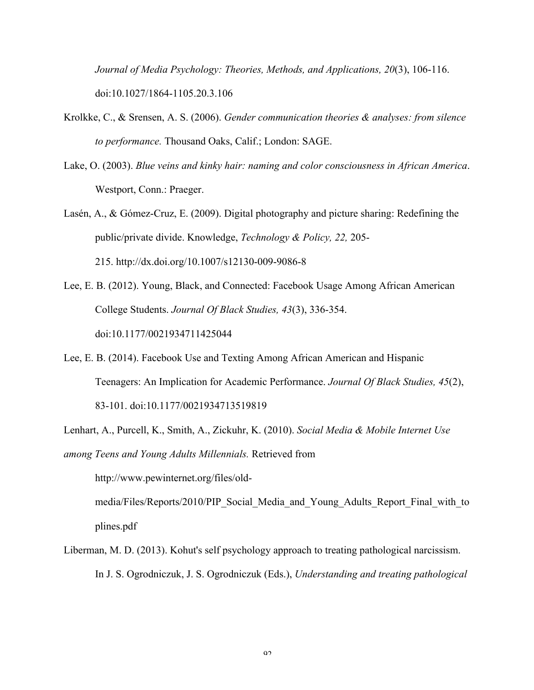*Journal of Media Psychology: Theories, Methods, and Applications, 20*(3), 106-116. doi:10.1027/1864-1105.20.3.106

- Krolkke, C., & Srensen, A. S. (2006). *Gender communication theories & analyses: from silence to performance.* Thousand Oaks, Calif.; London: SAGE.
- Lake, O. (2003). *Blue veins and kinky hair: naming and color consciousness in African America*. Westport, Conn.: Praeger.
- Lasén, A., & Gómez-Cruz, E. (2009). Digital photography and picture sharing: Redefining the public/private divide. Knowledge, *Technology & Policy, 22,* 205- 215. http://dx.doi.org/10.1007/s12130-009-9086-8
- Lee, E. B. (2012). Young, Black, and Connected: Facebook Usage Among African American College Students. *Journal Of Black Studies, 43*(3), 336-354. doi:10.1177/0021934711425044
- Lee, E. B. (2014). Facebook Use and Texting Among African American and Hispanic Teenagers: An Implication for Academic Performance. *Journal Of Black Studies, 45*(2), 83-101. doi:10.1177/0021934713519819
- Lenhart, A., Purcell, K., Smith, A., Zickuhr, K. (2010). *Social Media & Mobile Internet Use among Teens and Young Adults Millennials.* Retrieved from

http://www.pewinternet.org/files/old-

media/Files/Reports/2010/PIP\_Social\_Media\_and\_Young\_Adults\_Report\_Final\_with\_to plines.pdf

Liberman, M. D. (2013). Kohut's self psychology approach to treating pathological narcissism. In J. S. Ogrodniczuk, J. S. Ogrodniczuk (Eds.), *Understanding and treating pathological*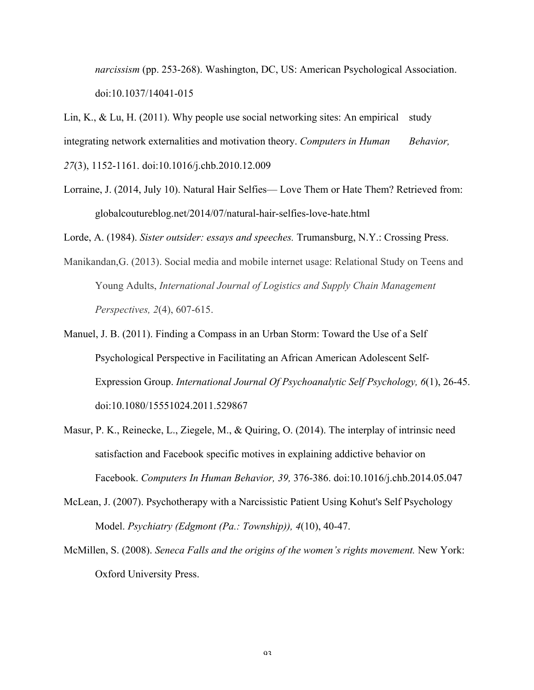*narcissism* (pp. 253-268). Washington, DC, US: American Psychological Association. doi:10.1037/14041-015

Lin, K., & Lu, H. (2011). Why people use social networking sites: An empirical study integrating network externalities and motivation theory. *Computers in Human Behavior, 27*(3), 1152-1161. doi:10.1016/j.chb.2010.12.009

Lorraine, J. (2014, July 10). Natural Hair Selfies— Love Them or Hate Them? Retrieved from: globalcoutureblog.net/2014/07/natural-hair-selfies-love-hate.html

Lorde, A. (1984). *Sister outsider: essays and speeches.* Trumansburg, N.Y.: Crossing Press.

- Manikandan,G. (2013). Social media and mobile internet usage: Relational Study on Teens and Young Adults, *International Journal of Logistics and Supply Chain Management Perspectives, 2*(4), 607-615.
- Manuel, J. B. (2011). Finding a Compass in an Urban Storm: Toward the Use of a Self Psychological Perspective in Facilitating an African American Adolescent Self-Expression Group. *International Journal Of Psychoanalytic Self Psychology, 6*(1), 26-45. doi:10.1080/15551024.2011.529867
- Masur, P. K., Reinecke, L., Ziegele, M., & Quiring, O. (2014). The interplay of intrinsic need satisfaction and Facebook specific motives in explaining addictive behavior on Facebook. *Computers In Human Behavior, 39,* 376-386. doi:10.1016/j.chb.2014.05.047
- McLean, J. (2007). Psychotherapy with a Narcissistic Patient Using Kohut's Self Psychology Model. *Psychiatry (Edgmont (Pa.: Township)), 4*(10), 40-47.
- McMillen, S. (2008). *Seneca Falls and the origins of the women's rights movement.* New York: Oxford University Press.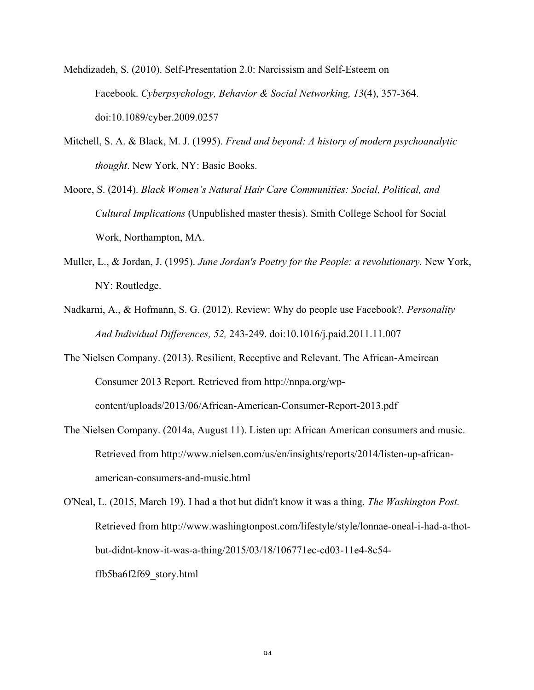Mehdizadeh, S. (2010). Self-Presentation 2.0: Narcissism and Self-Esteem on Facebook. *Cyberpsychology, Behavior & Social Networking, 13*(4), 357-364. doi:10.1089/cyber.2009.0257

- Mitchell, S. A. & Black, M. J. (1995). *Freud and beyond: A history of modern psychoanalytic thought*. New York, NY: Basic Books.
- Moore, S. (2014). *Black Women's Natural Hair Care Communities: Social, Political, and Cultural Implications* (Unpublished master thesis). Smith College School for Social Work, Northampton, MA.
- Muller, L., & Jordan, J. (1995). *June Jordan's Poetry for the People: a revolutionary.* New York, NY: Routledge.
- Nadkarni, A., & Hofmann, S. G. (2012). Review: Why do people use Facebook?. *Personality And Individual Differences, 52,* 243-249. doi:10.1016/j.paid.2011.11.007
- The Nielsen Company. (2013). Resilient, Receptive and Relevant. The African-Ameircan Consumer 2013 Report. Retrieved from http://nnpa.org/wpcontent/uploads/2013/06/African-American-Consumer-Report-2013.pdf
- The Nielsen Company. (2014a, August 11). Listen up: African American consumers and music. Retrieved from http://www.nielsen.com/us/en/insights/reports/2014/listen-up-africanamerican-consumers-and-music.html

O'Neal, L. (2015, March 19). I had a thot but didn't know it was a thing. *The Washington Post.* Retrieved from http://www.washingtonpost.com/lifestyle/style/lonnae-oneal-i-had-a-thotbut-didnt-know-it-was-a-thing/2015/03/18/106771ec-cd03-11e4-8c54 ffb5ba6f2f69\_story.html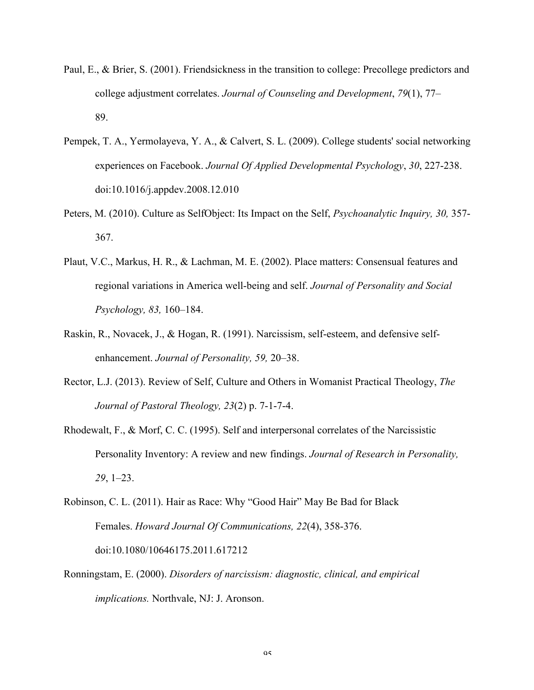- Paul, E., & Brier, S. (2001). Friendsickness in the transition to college: Precollege predictors and college adjustment correlates. *Journal of Counseling and Development*, *79*(1), 77– 89.
- Pempek, T. A., Yermolayeva, Y. A., & Calvert, S. L. (2009). College students' social networking experiences on Facebook. *Journal Of Applied Developmental Psychology*, *30*, 227-238. doi:10.1016/j.appdev.2008.12.010
- Peters, M. (2010). Culture as SelfObject: Its Impact on the Self, *Psychoanalytic Inquiry, 30,* 357- 367.
- Plaut, V.C., Markus, H. R., & Lachman, M. E. (2002). Place matters: Consensual features and regional variations in America well-being and self. *Journal of Personality and Social Psychology, 83,* 160–184.
- Raskin, R., Novacek, J., & Hogan, R. (1991). Narcissism, self-esteem, and defensive selfenhancement. *Journal of Personality, 59,* 20–38.
- Rector, L.J. (2013). Review of Self, Culture and Others in Womanist Practical Theology, *The Journal of Pastoral Theology, 23*(2) p. 7-1-7-4.
- Rhodewalt, F., & Morf, C. C. (1995). Self and interpersonal correlates of the Narcissistic Personality Inventory: A review and new findings. *Journal of Research in Personality, 29*, 1–23.
- Robinson, C. L. (2011). Hair as Race: Why "Good Hair" May Be Bad for Black Females. *Howard Journal Of Communications, 22*(4), 358-376. doi:10.1080/10646175.2011.617212
- Ronningstam, E. (2000). *Disorders of narcissism: diagnostic, clinical, and empirical implications.* Northvale, NJ: J. Aronson.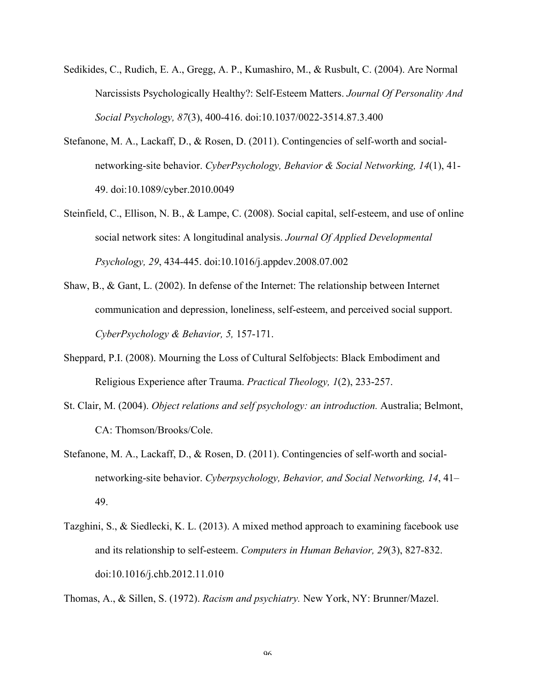- Sedikides, C., Rudich, E. A., Gregg, A. P., Kumashiro, M., & Rusbult, C. (2004). Are Normal Narcissists Psychologically Healthy?: Self-Esteem Matters. *Journal Of Personality And Social Psychology, 87*(3), 400-416. doi:10.1037/0022-3514.87.3.400
- Stefanone, M. A., Lackaff, D., & Rosen, D. (2011). Contingencies of self-worth and socialnetworking-site behavior. *CyberPsychology, Behavior & Social Networking, 14*(1), 41- 49. doi:10.1089/cyber.2010.0049
- Steinfield, C., Ellison, N. B., & Lampe, C. (2008). Social capital, self-esteem, and use of online social network sites: A longitudinal analysis. *Journal Of Applied Developmental Psychology, 29*, 434-445. doi:10.1016/j.appdev.2008.07.002
- Shaw, B., & Gant, L. (2002). In defense of the Internet: The relationship between Internet communication and depression, loneliness, self-esteem, and perceived social support. *CyberPsychology & Behavior, 5,* 157-171.
- Sheppard, P.I. (2008). Mourning the Loss of Cultural Selfobjects: Black Embodiment and Religious Experience after Trauma. *Practical Theology, 1*(2), 233-257.
- St. Clair, M. (2004). *Object relations and self psychology: an introduction.* Australia; Belmont, CA: Thomson/Brooks/Cole.
- Stefanone, M. A., Lackaff, D., & Rosen, D. (2011). Contingencies of self-worth and socialnetworking-site behavior. *Cyberpsychology, Behavior, and Social Networking, 14*, 41– 49.
- Tazghini, S., & Siedlecki, K. L. (2013). A mixed method approach to examining facebook use and its relationship to self-esteem. *Computers in Human Behavior, 29*(3), 827-832. doi:10.1016/j.chb.2012.11.010

Thomas, A., & Sillen, S. (1972). *Racism and psychiatry.* New York, NY: Brunner/Mazel.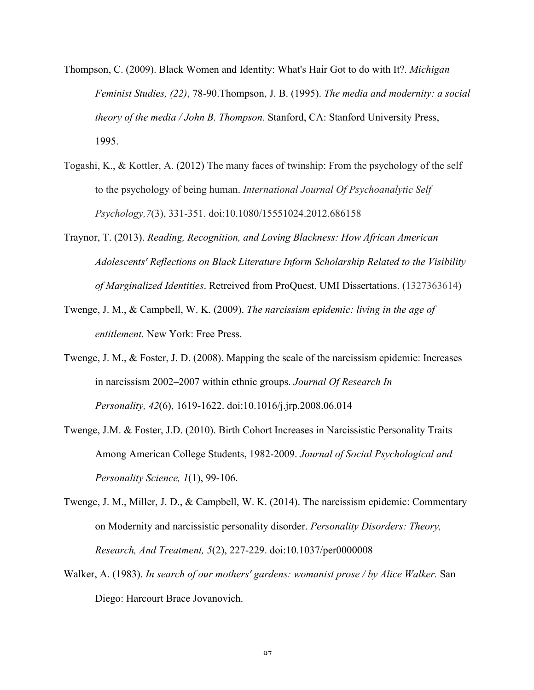- Thompson, C. (2009). Black Women and Identity: What's Hair Got to do with It?. *Michigan Feminist Studies, (22)*, 78-90.Thompson, J. B. (1995). *The media and modernity: a social theory of the media / John B. Thompson.* Stanford, CA: Stanford University Press, 1995.
- Togashi, K., & Kottler, A. (2012) The many faces of twinship: From the psychology of the self to the psychology of being human. *International Journal Of Psychoanalytic Self Psychology,7*(3), 331-351. doi:10.1080/15551024.2012.686158
- Traynor, T. (2013). *Reading, Recognition, and Loving Blackness: How African American Adolescents' Reflections on Black Literature Inform Scholarship Related to the Visibility of Marginalized Identities*. Retreived from ProQuest, UMI Dissertations. (1327363614)
- Twenge, J. M., & Campbell, W. K. (2009). *The narcissism epidemic: living in the age of entitlement.* New York: Free Press.
- Twenge, J. M., & Foster, J. D. (2008). Mapping the scale of the narcissism epidemic: Increases in narcissism 2002–2007 within ethnic groups. *Journal Of Research In Personality, 42*(6), 1619-1622. doi:10.1016/j.jrp.2008.06.014
- Twenge, J.M. & Foster, J.D. (2010). Birth Cohort Increases in Narcissistic Personality Traits Among American College Students, 1982-2009. *Journal of Social Psychological and Personality Science, 1*(1), 99-106.
- Twenge, J. M., Miller, J. D., & Campbell, W. K. (2014). The narcissism epidemic: Commentary on Modernity and narcissistic personality disorder. *Personality Disorders: Theory, Research, And Treatment, 5*(2), 227-229. doi:10.1037/per0000008
- Walker, A. (1983). *In search of our mothers' gardens: womanist prose / by Alice Walker.* San Diego: Harcourt Brace Jovanovich.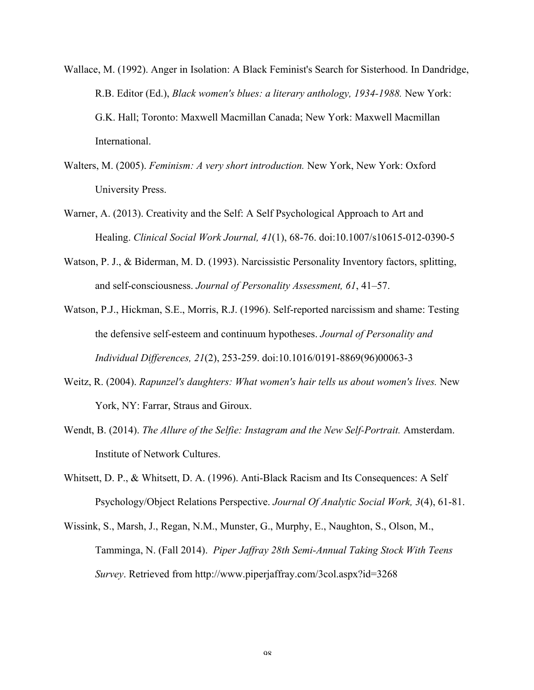- Wallace, M. (1992). Anger in Isolation: A Black Feminist's Search for Sisterhood. In Dandridge, R.B. Editor (Ed.), *Black women's blues: a literary anthology, 1934-1988.* New York: G.K. Hall; Toronto: Maxwell Macmillan Canada; New York: Maxwell Macmillan International.
- Walters, M. (2005). *Feminism: A very short introduction.* New York, New York: Oxford University Press.
- Warner, A. (2013). Creativity and the Self: A Self Psychological Approach to Art and Healing. *Clinical Social Work Journal, 41*(1), 68-76. doi:10.1007/s10615-012-0390-5
- Watson, P. J., & Biderman, M. D. (1993). Narcissistic Personality Inventory factors, splitting, and self-consciousness. *Journal of Personality Assessment, 61*, 41–57.
- Watson, P.J., Hickman, S.E., Morris, R.J. (1996). Self-reported narcissism and shame: Testing the defensive self-esteem and continuum hypotheses. *Journal of Personality and Individual Differences, 21*(2), 253-259. doi:10.1016/0191-8869(96)00063-3
- Weitz, R. (2004). *Rapunzel's daughters: What women's hair tells us about women's lives.* New York, NY: Farrar, Straus and Giroux.
- Wendt, B. (2014). *The Allure of the Selfie: Instagram and the New Self-Portrait.* Amsterdam. Institute of Network Cultures.
- Whitsett, D. P., & Whitsett, D. A. (1996). Anti-Black Racism and Its Consequences: A Self Psychology/Object Relations Perspective. *Journal Of Analytic Social Work, 3*(4), 61-81.
- Wissink, S., Marsh, J., Regan, N.M., Munster, G., Murphy, E., Naughton, S., Olson, M., Tamminga, N. (Fall 2014). *Piper Jaffray 28th Semi-Annual Taking Stock With Teens Survey*. Retrieved from http://www.piperjaffray.com/3col.aspx?id=3268